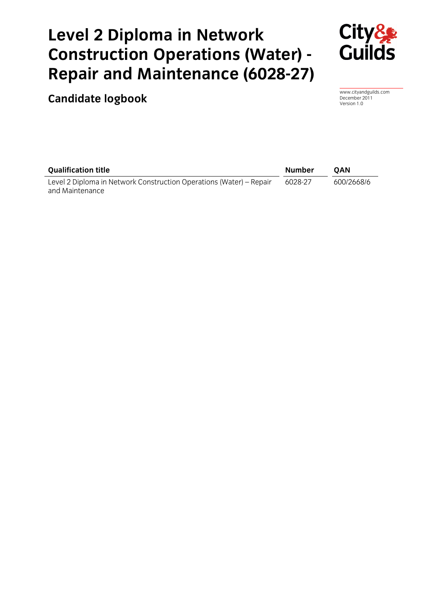# **Level 2 Diploma in Network Construction Operations (Water) - Repair and Maintenance (6028-27)**



**Candidate logbook** 

www.cityandguilds.com December 2011 Version 1.0

| <b>Qualification title</b>                                                             | Number  | <b>OAN</b> |
|----------------------------------------------------------------------------------------|---------|------------|
| Level 2 Diploma in Network Construction Operations (Water) – Repair<br>and Maintenance | 6028-27 | 600/2668/6 |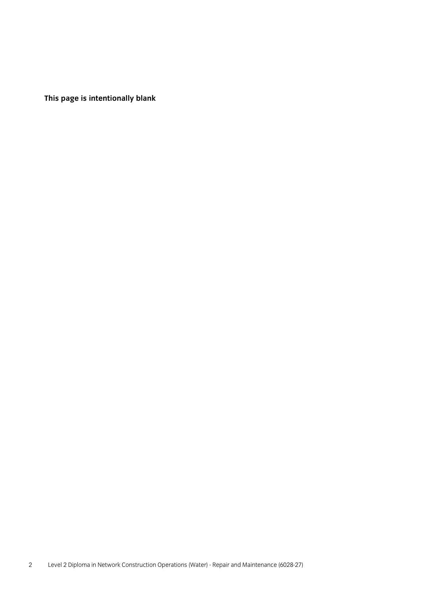**This page is intentionally blank**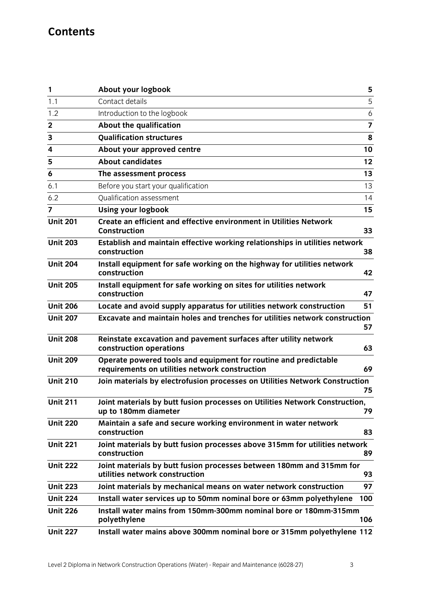# **Contents**

| $\mathbf{1}$    | About your logbook                                                                                                | 5                       |
|-----------------|-------------------------------------------------------------------------------------------------------------------|-------------------------|
| 1.1             | Contact details                                                                                                   | 5                       |
| 1.2             | Introduction to the logbook                                                                                       | 6                       |
| $\mathbf 2$     | About the qualification                                                                                           | $\overline{\mathbf{z}}$ |
| 3               | <b>Qualification structures</b>                                                                                   | 8                       |
| 4               | About your approved centre                                                                                        | 10                      |
| 5               | <b>About candidates</b>                                                                                           | 12                      |
| 6               | The assessment process                                                                                            | 13                      |
| 6.1             | Before you start your qualification                                                                               | 13                      |
| 6.2             | Qualification assessment                                                                                          | 14                      |
| 7               | <b>Using your logbook</b>                                                                                         | 15                      |
| <b>Unit 201</b> | Create an efficient and effective environment in Utilities Network<br><b>Construction</b>                         | 33                      |
| <b>Unit 203</b> | Establish and maintain effective working relationships in utilities network<br>construction                       | 38                      |
| <b>Unit 204</b> | Install equipment for safe working on the highway for utilities network<br>construction                           | 42                      |
| <b>Unit 205</b> | Install equipment for safe working on sites for utilities network<br>construction                                 | 47                      |
| <b>Unit 206</b> | Locate and avoid supply apparatus for utilities network construction                                              | 51                      |
| <b>Unit 207</b> | Excavate and maintain holes and trenches for utilities network construction                                       | 57                      |
| <b>Unit 208</b> | Reinstate excavation and pavement surfaces after utility network<br>construction operations                       | 63                      |
| <b>Unit 209</b> | Operate powered tools and equipment for routine and predictable<br>requirements on utilities network construction | 69                      |
| <b>Unit 210</b> | Join materials by electrofusion processes on Utilities Network Construction                                       | 75                      |
| <b>Unit 211</b> | Joint materials by butt fusion processes on Utilities Network Construction,<br>up to 180mm diameter               | 79                      |
| <b>Unit 220</b> | Maintain a safe and secure working environment in water network<br>construction                                   | 83                      |
| <b>Unit 221</b> | Joint materials by butt fusion processes above 315mm for utilities network<br>construction                        | 89                      |
| <b>Unit 222</b> | Joint materials by butt fusion processes between 180mm and 315mm for<br>utilities network construction            | 93                      |
| <b>Unit 223</b> | Joint materials by mechanical means on water network construction                                                 | 97                      |
| <b>Unit 224</b> | Install water services up to 50mm nominal bore or 63mm polyethylene                                               | 100                     |
| <b>Unit 226</b> | Install water mains from 150mm-300mm nominal bore or 180mm-315mm<br>polyethylene                                  | 106                     |
| <b>Unit 227</b> | Install water mains above 300mm nominal bore or 315mm polyethylene 112                                            |                         |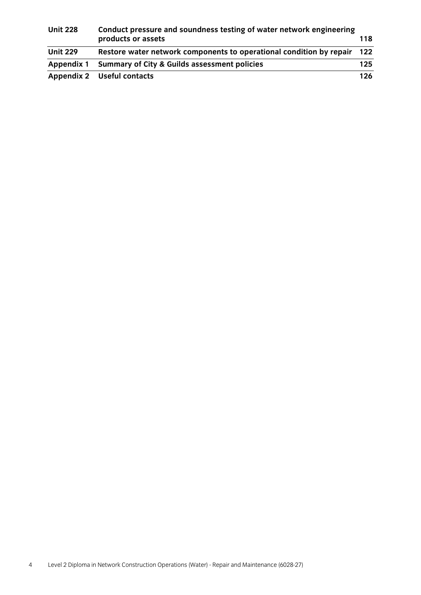| <b>Unit 228</b> | Conduct pressure and soundness testing of water network engineering<br>products or assets | 118 |
|-----------------|-------------------------------------------------------------------------------------------|-----|
| <b>Unit 229</b> | Restore water network components to operational condition by repair 122                   |     |
|                 | Appendix 1 Summary of City & Guilds assessment policies                                   | 125 |
|                 | <b>Appendix 2 Useful contacts</b>                                                         | 126 |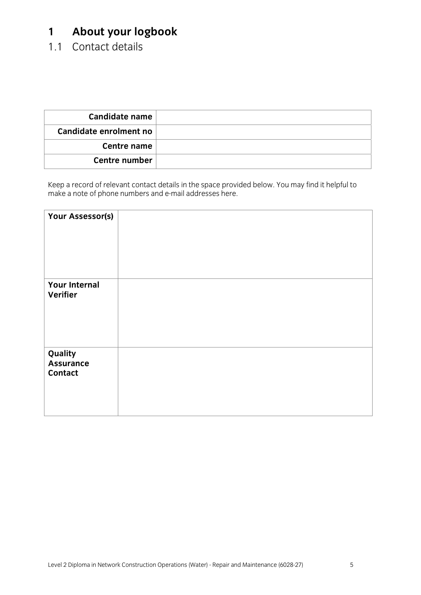# <span id="page-4-0"></span>**1 About your logbook**

<span id="page-4-1"></span>1.1 Contact details

| <b>Candidate name</b>  |  |
|------------------------|--|
| Candidate enrolment no |  |
| Centre name            |  |
| <b>Centre number</b>   |  |

Keep a record of relevant contact details in the space provided below. You may find it helpful to make a note of phone numbers and e-mail addresses here.

| Your Assessor(s)                              |  |
|-----------------------------------------------|--|
| <b>Your Internal</b><br>Verifier              |  |
| Quality<br><b>Assurance</b><br><b>Contact</b> |  |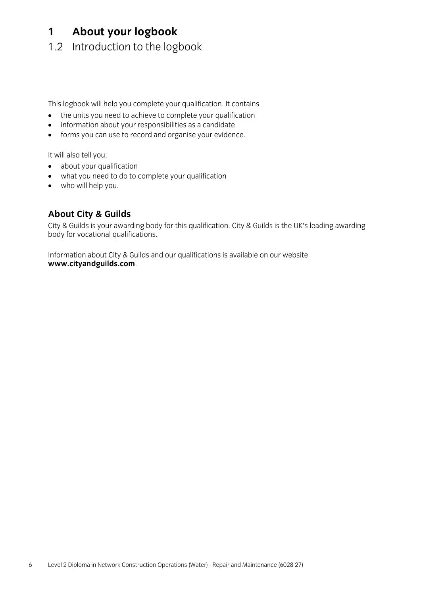## **1 About your logbook**

# <span id="page-5-0"></span>1.2 Introduction to the logbook

This logbook will help you complete your qualification. It contains

- the units you need to achieve to complete your qualification
- information about your responsibilities as a candidate
- forms you can use to record and organise your evidence.

It will also tell you:

- about your qualification
- what you need to do to complete your qualification
- who will help you.

### **About City & Guilds**

City & Guilds is your awarding body for this qualification. City & Guilds is the UK's leading awarding body for vocational qualifications.

Information about City & Guilds and our qualifications is available on our website **[www.cityandguilds.com](http://www.cityandguilds.com/)**.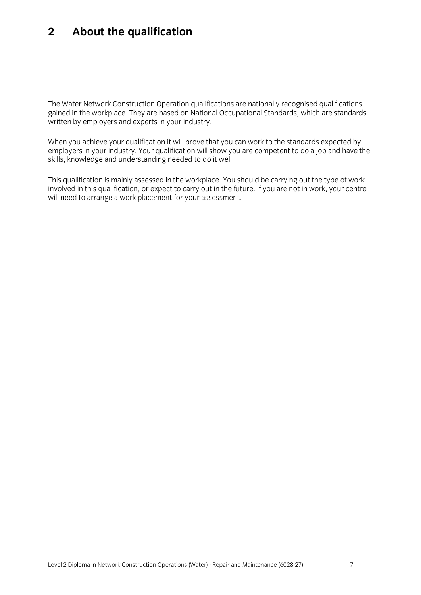### <span id="page-6-0"></span>**2 About the qualification**

The Water Network Construction Operation qualifications are nationally recognised qualifications gained in the workplace. They are based on National Occupational Standards, which are standards written by employers and experts in your industry.

When you achieve your qualification it will prove that you can work to the standards expected by employers in your industry. Your qualification will show you are competent to do a job and have the skills, knowledge and understanding needed to do it well.

This qualification is mainly assessed in the workplace. You should be carrying out the type of work involved in this qualification, or expect to carry out in the future. If you are not in work, your centre will need to arrange a work placement for your assessment.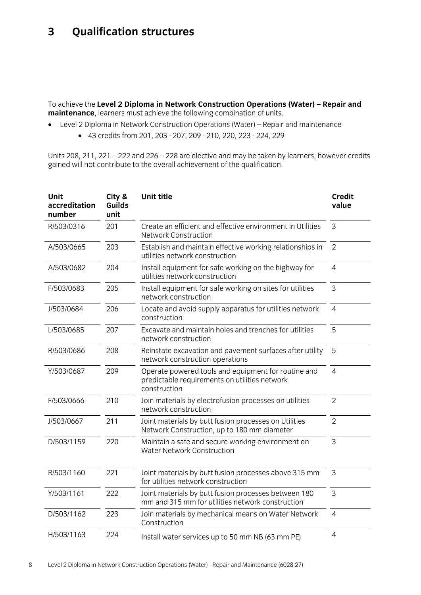### <span id="page-7-0"></span>**3 Qualification structures**

To achieve the **Level 2 Diploma in Network Construction Operations (Water) – Repair and maintenance**, learners must achieve the following combination of units.

- Level 2 Diploma in Network Construction Operations (Water) Repair and maintenance
	- 43 credits from 201, 203 207, 209 210, 220, 223 224, 229

Units 208, 211, 221 – 222 and 226 – 228 are elective and may be taken by learners; however credits gained will not contribute to the overall achievement of the qualification.

| Unit<br>accreditation<br>number | City &<br><b>Guilds</b><br>unit | <b>Unit title</b>                                                                                                    | <b>Credit</b><br>value |
|---------------------------------|---------------------------------|----------------------------------------------------------------------------------------------------------------------|------------------------|
| R/503/0316                      | 201                             | Create an efficient and effective environment in Utilities<br><b>Network Construction</b>                            | 3                      |
| A/503/0665                      | 203                             | Establish and maintain effective working relationships in<br>utilities network construction                          | $\overline{2}$         |
| A/503/0682                      | 204                             | Install equipment for safe working on the highway for<br>utilities network construction                              | $\overline{4}$         |
| F/503/0683                      | 205                             | Install equipment for safe working on sites for utilities<br>network construction                                    | 3                      |
| J/503/0684                      | 206                             | Locate and avoid supply apparatus for utilities network<br>construction                                              | 4                      |
| L/503/0685                      | 207                             | Excavate and maintain holes and trenches for utilities<br>network construction                                       | 5                      |
| R/503/0686                      | 208                             | Reinstate excavation and pavement surfaces after utility<br>network construction operations                          | 5                      |
| Y/503/0687                      | 209                             | Operate powered tools and equipment for routine and<br>predictable requirements on utilities network<br>construction | $\overline{4}$         |
| F/503/0666                      | 210                             | Join materials by electrofusion processes on utilities<br>network construction                                       |                        |
| J/503/0667                      | 211                             | Joint materials by butt fusion processes on Utilities<br>Network Construction, up to 180 mm diameter                 | $\overline{2}$         |
| D/503/1159                      | 220                             | Maintain a safe and secure working environment on<br><b>Water Network Construction</b>                               |                        |
| R/503/1160                      | 221                             | Joint materials by butt fusion processes above 315 mm<br>for utilities network construction                          |                        |
| Y/503/1161                      | 222                             | Joint materials by butt fusion processes between 180<br>mm and 315 mm for utilities network construction             | 3                      |
| D/503/1162                      | 223                             | $\overline{4}$<br>Join materials by mechanical means on Water Network<br>Construction                                |                        |
| H/503/1163                      | 224                             | $\overline{4}$<br>Install water services up to 50 mm NB (63 mm PE)                                                   |                        |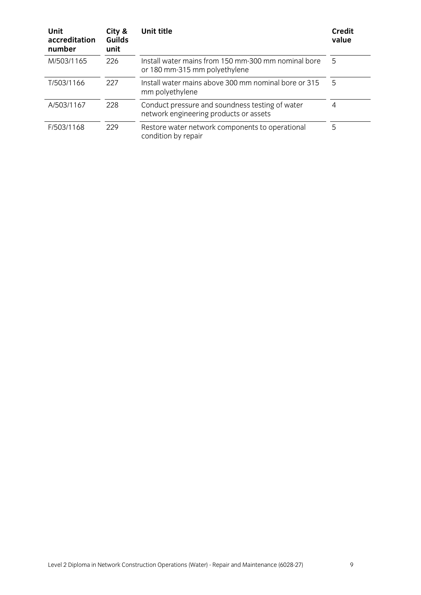| <b>Unit</b><br>accreditation<br>number | City &<br><b>Guilds</b><br>unit | Unit title                                                                                | <b>Credit</b><br>value |
|----------------------------------------|---------------------------------|-------------------------------------------------------------------------------------------|------------------------|
| M/503/1165                             | 226                             | Install water mains from 150 mm-300 mm nominal bore<br>or 180 mm-315 mm polyethylene      | 5                      |
| T/503/1166                             | 227                             | Install water mains above 300 mm nominal bore or 315<br>mm polyethylene                   | 5                      |
| A/503/1167                             | 228                             | Conduct pressure and soundness testing of water<br>network engineering products or assets | 4                      |
| F/503/1168                             | 229                             | Restore water network components to operational<br>condition by repair                    | 5                      |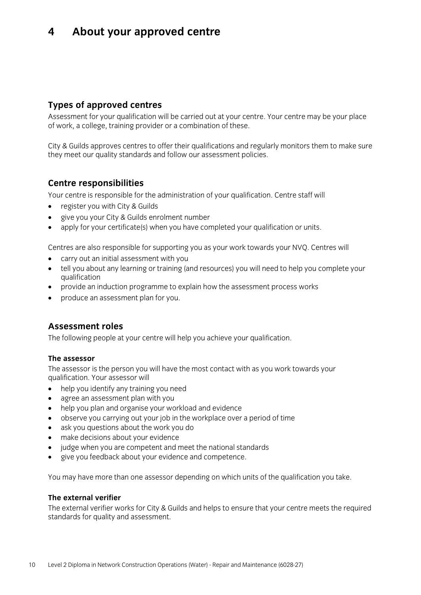### <span id="page-9-0"></span>**4 About your approved centre**

#### **Types of approved centres**

Assessment for your qualification will be carried out at your centre. Your centre may be your place of work, a college, training provider or a combination of these.

City & Guilds approves centres to offer their qualifications and regularly monitors them to make sure they meet our quality standards and follow our assessment policies.

#### **Centre responsibilities**

Your centre is responsible for the administration of your qualification. Centre staff will

- register you with City & Guilds
- give you your City & Guilds enrolment number
- apply for your certificate(s) when you have completed your qualification or units.

Centres are also responsible for supporting you as your work towards your NVQ. Centres will

- carry out an initial assessment with you
- tell you about any learning or training (and resources) you will need to help you complete your qualification
- provide an induction programme to explain how the assessment process works
- produce an assessment plan for you.

#### **Assessment roles**

The following people at your centre will help you achieve your qualification.

#### **The assessor**

The assessor is the person you will have the most contact with as you work towards your qualification. Your assessor will

- help you identify any training you need
- agree an assessment plan with you
- help you plan and organise your workload and evidence
- observe you carrying out your job in the workplace over a period of time
- ask you questions about the work you do
- make decisions about your evidence
- judge when you are competent and meet the national standards
- give you feedback about your evidence and competence.

You may have more than one assessor depending on which units of the qualification you take.

#### **The external verifier**

The external verifier works for City & Guilds and helps to ensure that your centre meets the required standards for quality and assessment.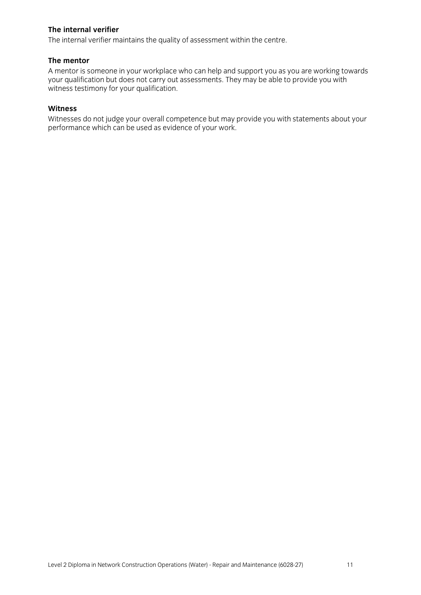#### **The internal verifier**

The internal verifier maintains the quality of assessment within the centre.

#### **The mentor**

A mentor is someone in your workplace who can help and support you as you are working towards your qualification but does not carry out assessments. They may be able to provide you with witness testimony for your qualification.

#### **Witness**

Witnesses do not judge your overall competence but may provide you with statements about your performance which can be used as evidence of your work.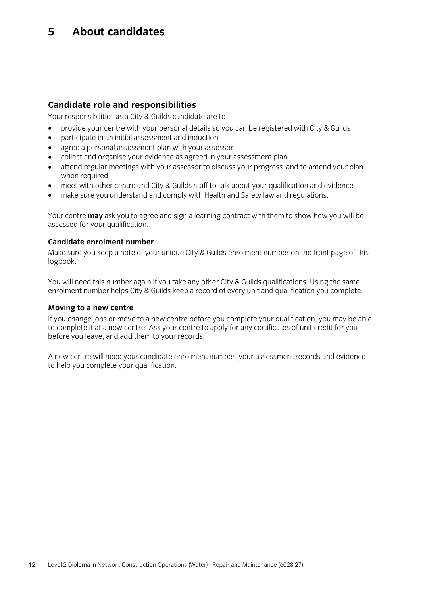### <span id="page-11-0"></span>**5 About candidates**

#### **Candidate role and responsibilities**

Your responsibilities as a City & Guilds candidate are to

- provide your centre with your personal details so you can be registered with City & Guilds
- participate in an initial assessment and induction
- agree a personal assessment plan with your assessor
- collect and organise your evidence as agreed in your assessment plan
- attend regular meetings with your assessor to discuss your progress and to amend your plan when required
- meet with other centre and City & Guilds staff to talk about your qualification and evidence
- make sure you understand and comply with Health and Safety law and regulations.

Your centre **may** ask you to agree and sign a learning contract with them to show how you will be assessed for your qualification.

#### **Candidate enrolment number**

Make sure you keep a note of your unique City & Guilds enrolment number on the front page of this logbook.

You will need this number again if you take any other City & Guilds qualifications. Using the same enrolment number helps City & Guilds keep a record of every unit and qualification you complete.

#### **Moving to a new centre**

If you change jobs or move to a new centre before you complete your qualification, you may be able to complete it at a new centre. Ask your centre to apply for any certificates of unit credit for you before you leave, and add them to your records.

A new centre will need your candidate enrolment number, your assessment records and evidence to help you complete your qualification.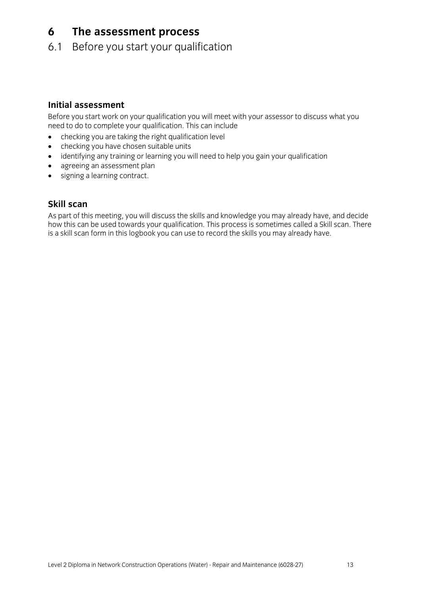### <span id="page-12-0"></span>**6 The assessment process**

<span id="page-12-1"></span>6.1 Before you start your qualification

### **Initial assessment**

Before you start work on your qualification you will meet with your assessor to discuss what you need to do to complete your qualification. This can include

- checking you are taking the right qualification level
- checking you have chosen suitable units
- identifying any training or learning you will need to help you gain your qualification
- agreeing an assessment plan
- signing a learning contract.

#### **Skill scan**

As part of this meeting, you will discuss the skills and knowledge you may already have, and decide how this can be used towards your qualification. This process is sometimes called a Skill scan. There is a skill scan form in this logbook you can use to record the skills you may already have.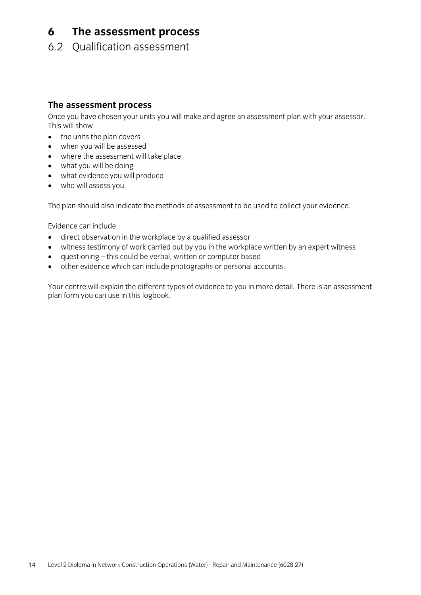### **6 The assessment process**

<span id="page-13-0"></span>6.2 Qualification assessment

#### **The assessment process**

Once you have chosen your units you will make and agree an assessment plan with your assessor. This will show

- the units the plan covers
- when you will be assessed
- where the assessment will take place
- what you will be doing
- what evidence you will produce
- who will assess you.

The plan should also indicate the methods of assessment to be used to collect your evidence.

Evidence can include

- direct observation in the workplace by a qualified assessor
- witness testimony of work carried out by you in the workplace written by an expert witness
- questioning this could be verbal, written or computer based
- other evidence which can include photographs or personal accounts.

Your centre will explain the different types of evidence to you in more detail. There is an assessment plan form you can use in this logbook.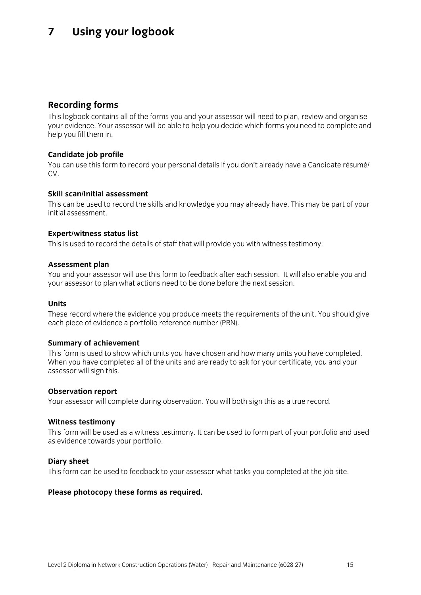### <span id="page-14-0"></span>**7 Using your logbook**

#### **Recording forms**

This logbook contains all of the forms you and your assessor will need to plan, review and organise your evidence. Your assessor will be able to help you decide which forms you need to complete and help you fill them in.

#### **Candidate job profile**

You can use this form to record your personal details if you don't already have a Candidate résumé/ CV.

#### **Skill scan/Initial assessment**

This can be used to record the skills and knowledge you may already have. This may be part of your initial assessment.

#### **Expert/witness status list**

This is used to record the details of staff that will provide you with witness testimony.

#### **Assessment plan**

You and your assessor will use this form to feedback after each session. It will also enable you and your assessor to plan what actions need to be done before the next session.

#### **Units**

These record where the evidence you produce meets the requirements of the unit. You should give each piece of evidence a portfolio reference number (PRN).

#### **Summary of achievement**

This form is used to show which units you have chosen and how many units you have completed. When you have completed all of the units and are ready to ask for your certificate, you and your assessor will sign this.

#### **Observation report**

Your assessor will complete during observation. You will both sign this as a true record.

#### **Witness testimony**

This form will be used as a witness testimony. It can be used to form part of your portfolio and used as evidence towards your portfolio.

#### **Diary sheet**

This form can be used to feedback to your assessor what tasks you completed at the job site.

#### **Please photocopy these forms as required.**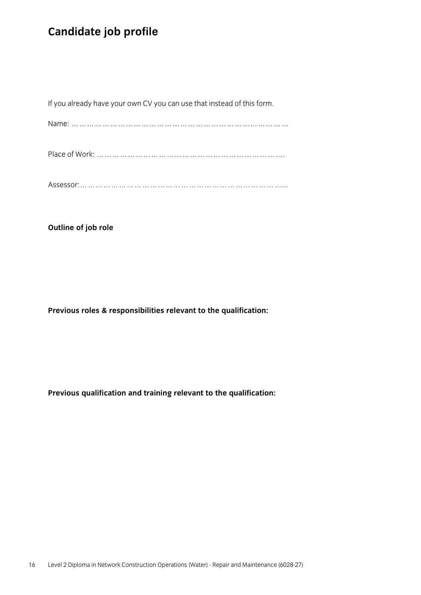### **Candidate job profile**

If you already have your own CV you can use that instead of this form.

Name: …………………………………………………………………………

Place of Work: ……………………………………………………………….

Assessor:……………………………………………………………………...

**Outline of job role** 

**Previous roles & responsibilities relevant to the qualification:** 

**Previous qualification and training relevant to the qualification:**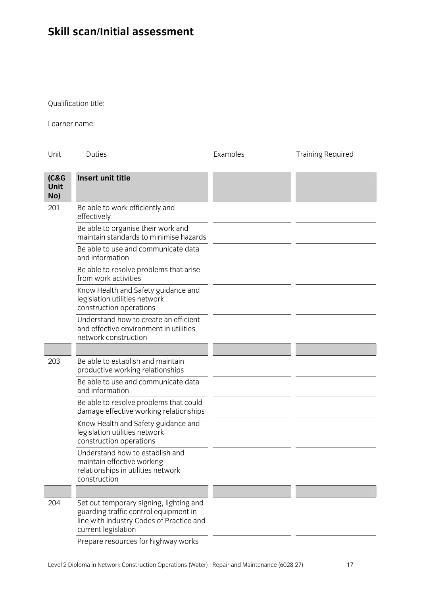# **Skill scan/Initial assessment**

Qualification title:

Learner name:

| Unit                | Duties                                                                                                                                              | Examples | <b>Training Required</b> |
|---------------------|-----------------------------------------------------------------------------------------------------------------------------------------------------|----------|--------------------------|
| (C&G<br>Unit<br>No) | Insert unit title                                                                                                                                   |          |                          |
| 201                 | Be able to work efficiently and<br>effectively                                                                                                      |          |                          |
|                     | Be able to organise their work and<br>maintain standards to minimise hazards                                                                        |          |                          |
|                     | Be able to use and communicate data<br>and information                                                                                              |          |                          |
|                     | Be able to resolve problems that arise<br>from work activities                                                                                      |          |                          |
|                     | Know Health and Safety guidance and<br>legislation utilities network<br>construction operations                                                     |          |                          |
|                     | Understand how to create an efficient<br>and effective environment in utilities<br>network construction                                             |          |                          |
|                     |                                                                                                                                                     |          |                          |
| 203                 | Be able to establish and maintain<br>productive working relationships                                                                               |          |                          |
|                     | Be able to use and communicate data<br>and information                                                                                              |          |                          |
|                     | Be able to resolve problems that could<br>damage effective working relationships                                                                    |          |                          |
|                     | Know Health and Safety guidance and<br>legislation utilities network<br>construction operations                                                     |          |                          |
|                     | Understand how to establish and<br>maintain effective working<br>relationships in utilities network<br>construction                                 |          |                          |
|                     |                                                                                                                                                     |          |                          |
| 204                 | Set out temporary signing, lighting and<br>guarding traffic control equipment in<br>line with industry Codes of Practice and<br>current legislation |          |                          |
|                     |                                                                                                                                                     |          |                          |

Prepare resources for highway works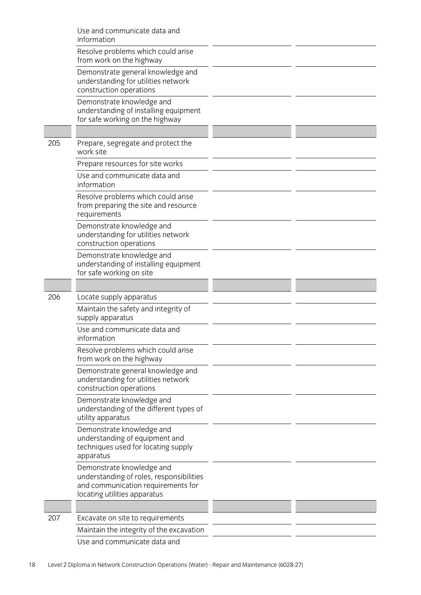|     | Use and communicate data and<br>information                                                                                                 |  |
|-----|---------------------------------------------------------------------------------------------------------------------------------------------|--|
|     | Resolve problems which could arise<br>from work on the highway                                                                              |  |
|     | Demonstrate general knowledge and<br>understanding for utilities network<br>construction operations                                         |  |
|     | Demonstrate knowledge and<br>understanding of installing equipment<br>for safe working on the highway                                       |  |
|     |                                                                                                                                             |  |
| 205 | Prepare, segregate and protect the<br>work site                                                                                             |  |
|     | Prepare resources for site works                                                                                                            |  |
|     | Use and communicate data and<br>information                                                                                                 |  |
|     | Resolve problems which could arise<br>from preparing the site and resource<br>requirements                                                  |  |
|     | Demonstrate knowledge and<br>understanding for utilities network<br>construction operations                                                 |  |
|     | Demonstrate knowledge and<br>understanding of installing equipment<br>for safe working on site                                              |  |
|     |                                                                                                                                             |  |
| 206 | Locate supply apparatus                                                                                                                     |  |
|     | Maintain the safety and integrity of<br>supply apparatus                                                                                    |  |
|     | Use and communicate data and<br>information                                                                                                 |  |
|     | Resolve problems which could arise<br>from work on the highway                                                                              |  |
|     | Demonstrate general knowledge and<br>understanding for utilities network<br>construction operations                                         |  |
|     | Demonstrate knowledge and<br>understanding of the different types of<br>utility apparatus                                                   |  |
|     | Demonstrate knowledge and<br>understanding of equipment and<br>techniques used for locating supply<br>apparatus                             |  |
|     | Demonstrate knowledge and<br>understanding of roles, responsibilities<br>and communication requirements for<br>locating utilities apparatus |  |
|     |                                                                                                                                             |  |
| 207 | Excavate on site to requirements                                                                                                            |  |
|     | Maintain the integrity of the excavation                                                                                                    |  |
|     | Use and communicate data and                                                                                                                |  |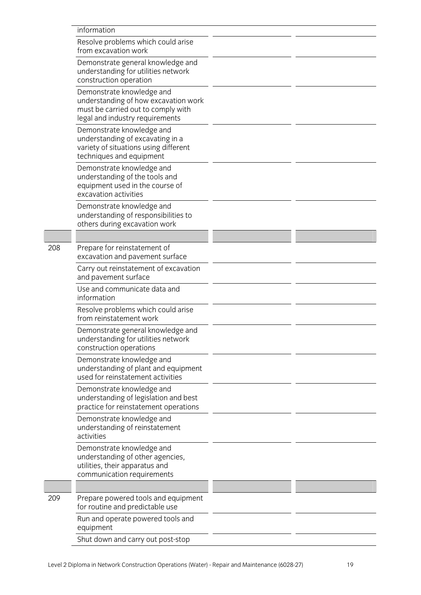|     | information                                                                                                                                |  |
|-----|--------------------------------------------------------------------------------------------------------------------------------------------|--|
|     | Resolve problems which could arise<br>from excavation work                                                                                 |  |
|     | Demonstrate general knowledge and<br>understanding for utilities network<br>construction operation                                         |  |
|     | Demonstrate knowledge and<br>understanding of how excavation work<br>must be carried out to comply with<br>legal and industry requirements |  |
|     | Demonstrate knowledge and<br>understanding of excavating in a<br>variety of situations using different<br>techniques and equipment         |  |
|     | Demonstrate knowledge and<br>understanding of the tools and<br>equipment used in the course of<br>excavation activities                    |  |
|     | Demonstrate knowledge and<br>understanding of responsibilities to<br>others during excavation work                                         |  |
| 208 | Prepare for reinstatement of                                                                                                               |  |
|     | excavation and pavement surface                                                                                                            |  |
|     | Carry out reinstatement of excavation<br>and pavement surface                                                                              |  |
|     | Use and communicate data and<br>information                                                                                                |  |
|     | Resolve problems which could arise<br>from reinstatement work                                                                              |  |
|     | Demonstrate general knowledge and<br>understanding for utilities network<br>construction operations                                        |  |
|     | Demonstrate knowledge and<br>understanding of plant and equipment<br>used for reinstatement activities                                     |  |
|     | Demonstrate knowledge and<br>understanding of legislation and best<br>practice for reinstatement operations                                |  |
|     | Demonstrate knowledge and<br>understanding of reinstatement<br>activities                                                                  |  |
|     | Demonstrate knowledge and<br>understanding of other agencies,<br>utilities, their apparatus and<br>communication requirements              |  |
|     |                                                                                                                                            |  |
| 209 | Prepare powered tools and equipment<br>for routine and predictable use                                                                     |  |
|     | Run and operate powered tools and<br>equipment                                                                                             |  |
|     | Shut down and carry out post-stop                                                                                                          |  |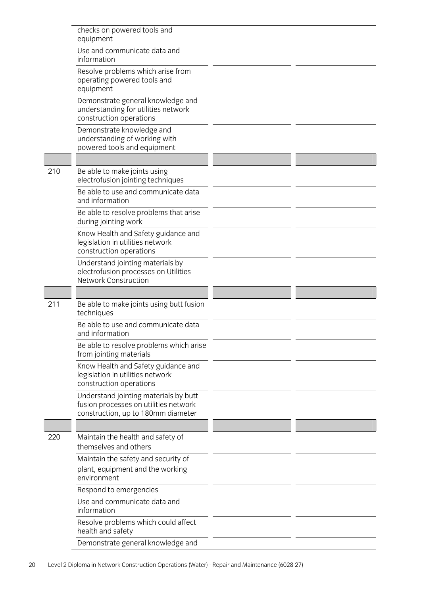|     | checks on powered tools and<br>equipment                                                                             |  |
|-----|----------------------------------------------------------------------------------------------------------------------|--|
|     | Use and communicate data and<br>information                                                                          |  |
|     | Resolve problems which arise from<br>operating powered tools and<br>equipment                                        |  |
|     | Demonstrate general knowledge and<br>understanding for utilities network<br>construction operations                  |  |
|     | Demonstrate knowledge and<br>understanding of working with<br>powered tools and equipment                            |  |
|     |                                                                                                                      |  |
| 210 | Be able to make joints using<br>electrofusion jointing techniques                                                    |  |
|     | Be able to use and communicate data<br>and information                                                               |  |
|     | Be able to resolve problems that arise<br>during jointing work                                                       |  |
|     | Know Health and Safety guidance and<br>legislation in utilities network<br>construction operations                   |  |
|     | Understand jointing materials by<br>electrofusion processes on Utilities<br>Network Construction                     |  |
|     |                                                                                                                      |  |
|     |                                                                                                                      |  |
| 211 | Be able to make joints using butt fusion<br>techniques                                                               |  |
|     | Be able to use and communicate data<br>and information                                                               |  |
|     | Be able to resolve problems which arise<br>from jointing materials                                                   |  |
|     | Know Health and Safety guidance and<br>legislation in utilities network<br>construction operations                   |  |
|     | Understand jointing materials by butt<br>fusion processes on utilities network<br>construction, up to 180mm diameter |  |
|     |                                                                                                                      |  |
| 220 | Maintain the health and safety of<br>themselves and others                                                           |  |
|     | Maintain the safety and security of<br>plant, equipment and the working<br>environment                               |  |
|     | Respond to emergencies                                                                                               |  |
|     | Use and communicate data and<br>information                                                                          |  |
|     | Resolve problems which could affect<br>health and safety                                                             |  |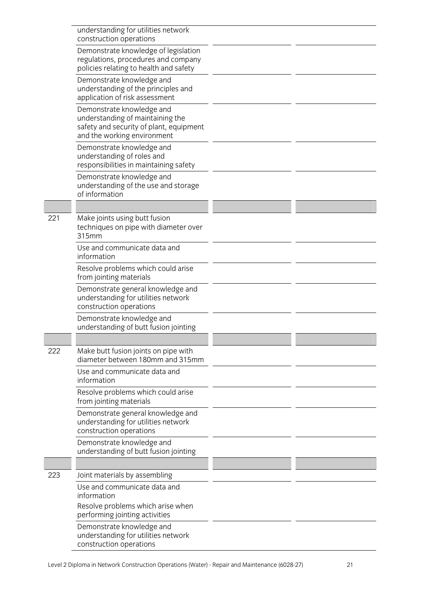|     | understanding for utilities network<br>construction operations           |  |
|-----|--------------------------------------------------------------------------|--|
|     | Demonstrate knowledge of legislation                                     |  |
|     | regulations, procedures and company                                      |  |
|     | policies relating to health and safety                                   |  |
|     | Demonstrate knowledge and                                                |  |
|     | understanding of the principles and                                      |  |
|     | application of risk assessment                                           |  |
|     | Demonstrate knowledge and                                                |  |
|     | understanding of maintaining the                                         |  |
|     | safety and security of plant, equipment<br>and the working environment   |  |
|     |                                                                          |  |
|     | Demonstrate knowledge and<br>understanding of roles and                  |  |
|     | responsibilities in maintaining safety                                   |  |
|     | Demonstrate knowledge and                                                |  |
|     | understanding of the use and storage                                     |  |
|     | of information                                                           |  |
|     |                                                                          |  |
| 221 | Make joints using butt fusion                                            |  |
|     | techniques on pipe with diameter over                                    |  |
|     | 315mm                                                                    |  |
|     | Use and communicate data and                                             |  |
|     | information                                                              |  |
|     | Resolve problems which could arise<br>from jointing materials            |  |
|     |                                                                          |  |
|     | Demonstrate general knowledge and<br>understanding for utilities network |  |
|     | construction operations                                                  |  |
|     | Demonstrate knowledge and                                                |  |
|     | understanding of butt fusion jointing                                    |  |
|     |                                                                          |  |
| 222 | Make butt fusion joints on pipe with                                     |  |
|     | diameter between 180mm and 315mm                                         |  |
|     | Use and communicate data and                                             |  |
|     | information                                                              |  |
|     | Resolve problems which could arise                                       |  |
|     | from jointing materials                                                  |  |
|     | Demonstrate general knowledge and                                        |  |
|     | understanding for utilities network<br>construction operations           |  |
|     |                                                                          |  |
|     | Demonstrate knowledge and<br>understanding of butt fusion jointing       |  |
|     |                                                                          |  |
| 223 | Joint materials by assembling                                            |  |
|     | Use and communicate data and                                             |  |
|     | information                                                              |  |
|     | Resolve problems which arise when                                        |  |
|     | performing jointing activities                                           |  |
|     | Demonstrate knowledge and                                                |  |
|     | understanding for utilities network                                      |  |
|     | construction operations                                                  |  |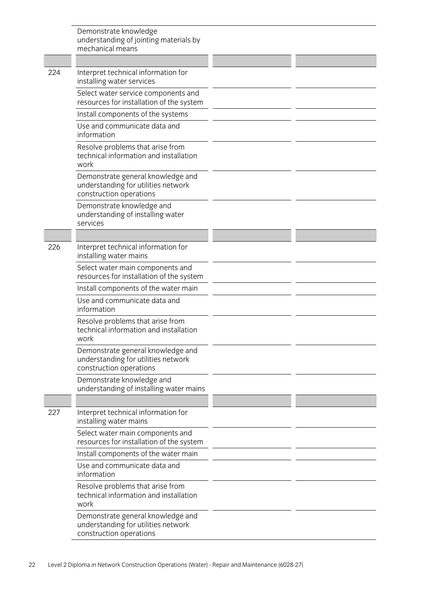|     | Demonstrate knowledge<br>understanding of jointing materials by                                     |  |
|-----|-----------------------------------------------------------------------------------------------------|--|
|     | mechanical means                                                                                    |  |
|     |                                                                                                     |  |
| 224 | Interpret technical information for<br>installing water services                                    |  |
|     | Select water service components and<br>resources for installation of the system                     |  |
|     | Install components of the systems                                                                   |  |
|     | Use and communicate data and<br>information                                                         |  |
|     | Resolve problems that arise from<br>technical information and installation<br>work                  |  |
|     | Demonstrate general knowledge and<br>understanding for utilities network<br>construction operations |  |
|     | Demonstrate knowledge and<br>understanding of installing water<br>services                          |  |
|     |                                                                                                     |  |
| 226 | Interpret technical information for<br>installing water mains                                       |  |
|     | Select water main components and<br>resources for installation of the system                        |  |
|     | Install components of the water main                                                                |  |
|     | Use and communicate data and<br>information                                                         |  |
|     | Resolve problems that arise from<br>technical information and installation<br>work                  |  |
|     | Demonstrate general knowledge and<br>understanding for utilities network<br>construction operations |  |
|     | Demonstrate knowledge and<br>understanding of installing water mains                                |  |
|     |                                                                                                     |  |
| 227 | Interpret technical information for<br>installing water mains                                       |  |
|     | Select water main components and<br>resources for installation of the system                        |  |
|     | Install components of the water main                                                                |  |
|     | Use and communicate data and<br>information                                                         |  |
|     | Resolve problems that arise from<br>technical information and installation<br>work                  |  |
|     | Demonstrate general knowledge and<br>understanding for utilities network<br>construction operations |  |
|     |                                                                                                     |  |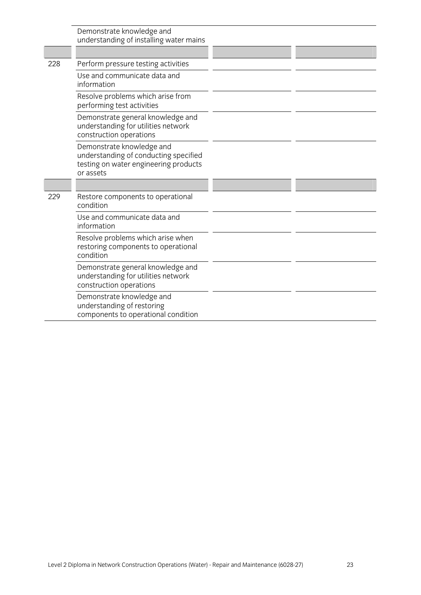|     | Demonstrate knowledge and<br>understanding of installing water mains                                                     |  |
|-----|--------------------------------------------------------------------------------------------------------------------------|--|
|     |                                                                                                                          |  |
| 228 | Perform pressure testing activities                                                                                      |  |
|     | Use and communicate data and<br>information                                                                              |  |
|     | Resolve problems which arise from<br>performing test activities                                                          |  |
|     | Demonstrate general knowledge and<br>understanding for utilities network<br>construction operations                      |  |
|     | Demonstrate knowledge and<br>understanding of conducting specified<br>testing on water engineering products<br>or assets |  |
|     |                                                                                                                          |  |
| 229 | Restore components to operational<br>condition                                                                           |  |
|     | Use and communicate data and<br>information                                                                              |  |
|     | Resolve problems which arise when<br>restoring components to operational<br>condition                                    |  |
|     | Demonstrate general knowledge and<br>understanding for utilities network<br>construction operations                      |  |
|     | Demonstrate knowledge and<br>understanding of restoring<br>components to operational condition                           |  |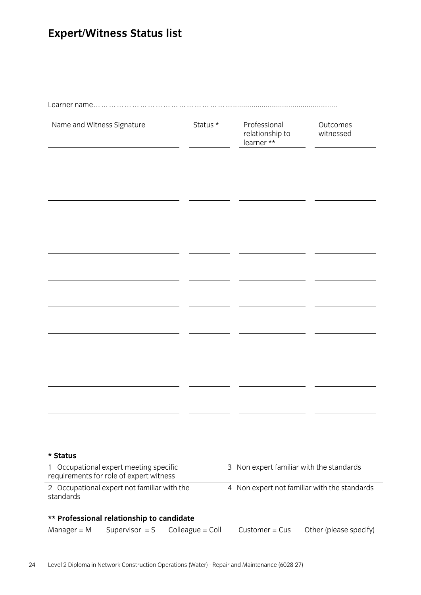# **Expert/Witness Status list**

| Learner name                                                                                  |                  |   |                                               |                                              |
|-----------------------------------------------------------------------------------------------|------------------|---|-----------------------------------------------|----------------------------------------------|
| Name and Witness Signature                                                                    | Status *         |   | Professional<br>relationship to<br>learner ** | Outcomes<br>witnessed                        |
|                                                                                               |                  |   |                                               |                                              |
|                                                                                               |                  |   |                                               |                                              |
|                                                                                               |                  |   |                                               |                                              |
|                                                                                               |                  |   |                                               |                                              |
|                                                                                               |                  |   |                                               |                                              |
|                                                                                               |                  |   |                                               |                                              |
|                                                                                               |                  |   |                                               |                                              |
|                                                                                               |                  |   |                                               |                                              |
|                                                                                               |                  |   |                                               |                                              |
|                                                                                               |                  |   |                                               |                                              |
|                                                                                               |                  |   |                                               |                                              |
|                                                                                               |                  |   |                                               |                                              |
| * Status<br>1 Occupational expert meeting specific<br>requirements for role of expert witness |                  | 3 | Non expert familiar with the standards        |                                              |
| 2 Occupational expert not familiar with the<br>standards                                      |                  |   |                                               | 4 Non expert not familiar with the standards |
| ** Professional relationship to candidate                                                     |                  |   |                                               |                                              |
| Supervisor $=$ S<br>$Manager = M$                                                             | $Collect = Coll$ |   | $Customer = Cus$                              | Other (please specify)                       |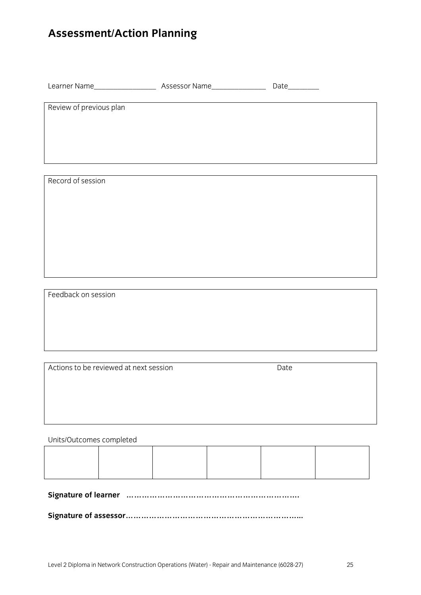# **Assessment/Action Planning**

|  | Learner Name | Assessor Name | Jate |
|--|--------------|---------------|------|
|--|--------------|---------------|------|

Review of previous plan

Record of session

Feedback on session

Actions to be reviewed at next session Date

Units/Outcomes completed

**Signature of learner ………………………………………………………….**

**Signature of assessor…………………………………………………………...**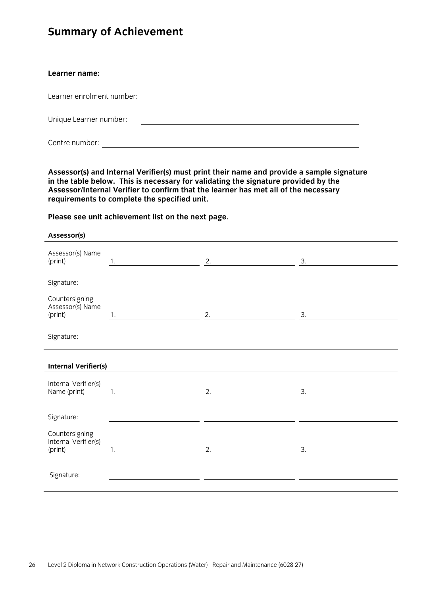### **Summary of Achievement**

| Learner name:             |  |  |  |  |
|---------------------------|--|--|--|--|
|                           |  |  |  |  |
| Learner enrolment number: |  |  |  |  |
|                           |  |  |  |  |
| Unique Learner number:    |  |  |  |  |
|                           |  |  |  |  |
| Centre number:            |  |  |  |  |

**Assessor(s) and Internal Verifier(s) must print their name and provide a sample signature in the table below. This is necessary for validating the signature provided by the Assessor/Internal Verifier to confirm that the learner has met all of the necessary requirements to complete the specified unit.** 

**Please see unit achievement list on the next page.**

| Assessor(s)                                       |                                 |                                                           |    |  |
|---------------------------------------------------|---------------------------------|-----------------------------------------------------------|----|--|
| Assessor(s) Name<br>(print)                       | $1_{\cdot}$                     | $\frac{2}{2}$                                             | 3. |  |
| Signature:                                        |                                 |                                                           |    |  |
| Countersigning<br>Assessor(s) Name<br>(print)     | $1_{\ldots}$                    | $\overline{\phantom{a}2.}$                                | 3. |  |
| Signature:                                        |                                 |                                                           |    |  |
| <b>Internal Verifier(s)</b>                       |                                 |                                                           |    |  |
| Internal Verifier(s)<br>Name (print)              | $\overline{1}$ . $\overline{1}$ | 2.                                                        | 3. |  |
| Signature:                                        |                                 |                                                           |    |  |
| Countersigning<br>Internal Verifier(s)<br>(print) | $1_{-}$                         | 2.                                                        | 3. |  |
| Signature:                                        |                                 | <u> 1989 - Andrea Stadt Britain, amerikansk politik (</u> |    |  |
|                                                   |                                 |                                                           |    |  |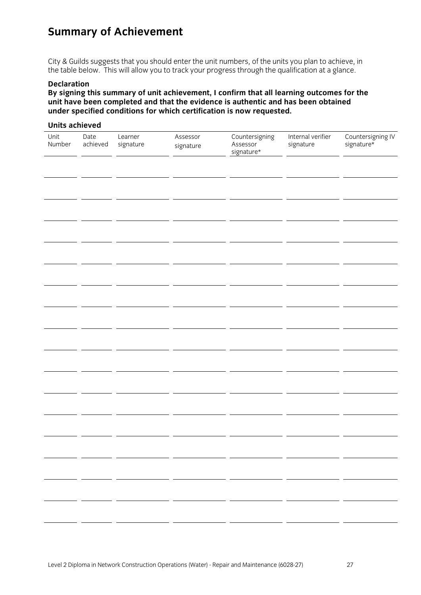### **Summary of Achievement**

City & Guilds suggests that you should enter the unit numbers, of the units you plan to achieve, in the table below. This will allow you to track your progress through the qualification at a glance.

#### **Declaration**

#### **By signing this summary of unit achievement, I confirm that all learning outcomes for the unit have been completed and that the evidence is authentic and has been obtained under specified conditions for which certification is now requested.**

|                | <b>Units achieved</b> |                      |                       |                                          |                                |                                 |
|----------------|-----------------------|----------------------|-----------------------|------------------------------------------|--------------------------------|---------------------------------|
| Unit<br>Number | Date<br>achieved      | Learner<br>signature | Assessor<br>signature | Countersigning<br>Assessor<br>signature* | Internal verifier<br>signature | Countersigning IV<br>signature* |
|                |                       |                      |                       |                                          |                                |                                 |
|                |                       |                      |                       |                                          |                                |                                 |
|                |                       |                      |                       |                                          |                                |                                 |
|                |                       |                      |                       |                                          |                                |                                 |
|                |                       |                      |                       |                                          |                                |                                 |
|                |                       |                      |                       |                                          |                                |                                 |
|                |                       |                      |                       |                                          |                                |                                 |
|                |                       |                      |                       |                                          |                                |                                 |
|                |                       |                      |                       |                                          |                                |                                 |
|                |                       |                      |                       |                                          |                                |                                 |
|                |                       |                      |                       |                                          |                                |                                 |
|                |                       |                      |                       |                                          |                                |                                 |
|                |                       |                      |                       |                                          |                                |                                 |
|                |                       |                      |                       |                                          |                                |                                 |
|                |                       |                      |                       |                                          |                                |                                 |
|                |                       |                      |                       |                                          |                                |                                 |
|                |                       |                      |                       |                                          |                                |                                 |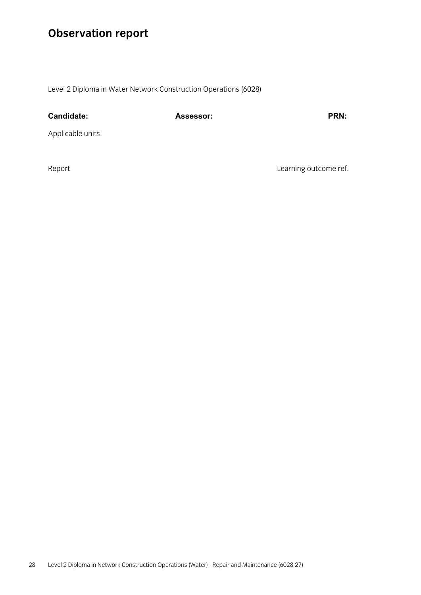# **Observation report**

Level 2 Diploma in Water Network Construction Operations (6028)

#### **Candidate: Assessor: PRN: PRN: PRN:**

Applicable units

Report **Learning outcome ref.**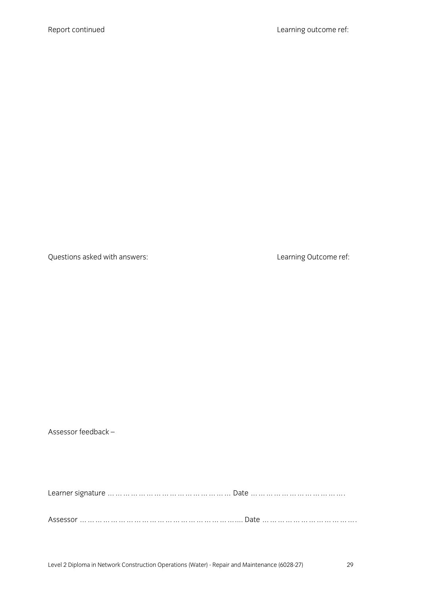Questions asked with answers: Learning Outcome ref:

Assessor feedback –

Learner signature … … … … … … … … … … … … … … … Date … … … … … … … … … … … … …

Assessor …………………………………………………….... Date ……………………………….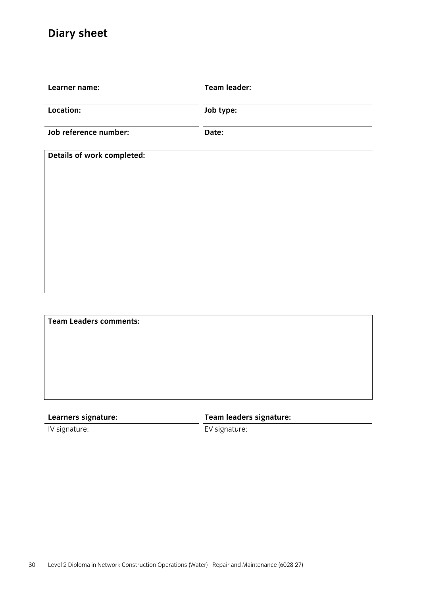# **Diary sheet**

| Learner name:                 | <b>Team leader:</b>     |
|-------------------------------|-------------------------|
| Location:                     | Job type:               |
| Job reference number:         | Date:                   |
| Details of work completed:    |                         |
|                               |                         |
|                               |                         |
|                               |                         |
|                               |                         |
|                               |                         |
|                               |                         |
|                               |                         |
| <b>Team Leaders comments:</b> |                         |
|                               |                         |
|                               |                         |
|                               |                         |
|                               |                         |
| Learners signature:           | Team leaders signature: |

IV signature: EV signature: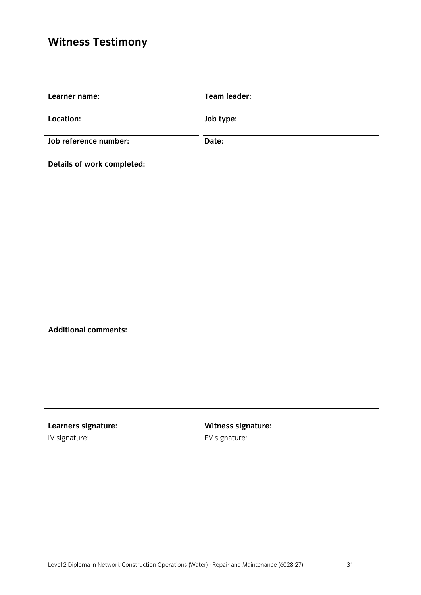# **Witness Testimony**

| Learner name:               | <b>Team leader:</b> |
|-----------------------------|---------------------|
| Location:                   | Job type:           |
| Job reference number:       | Date:               |
| Details of work completed:  |                     |
|                             |                     |
|                             |                     |
|                             |                     |
|                             |                     |
|                             |                     |
|                             |                     |
| <b>Additional comments:</b> |                     |
|                             |                     |

**Learners signature: Witness signature:** 

IV signature: EV signature: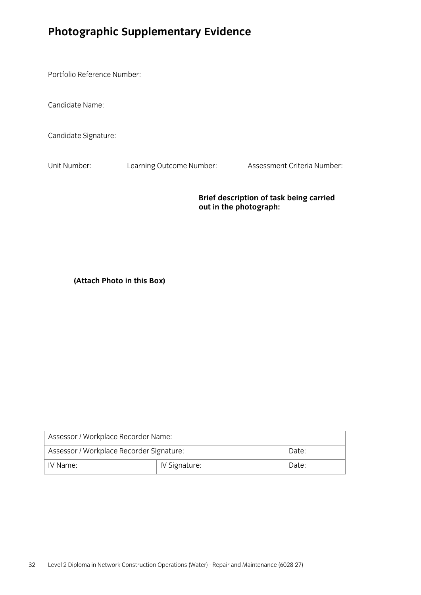# **Photographic Supplementary Evidence**

Portfolio Reference Number:

Candidate Name:

Candidate Signature:

Unit Number: Learning Outcome Number: Assessment Criteria Number:

**Brief description of task being carried out in the photograph:** 

**(Attach Photo in this Box)** 

| Assessor / Workplace Recorder Name:               |               |       |  |
|---------------------------------------------------|---------------|-------|--|
| Assessor / Workplace Recorder Signature:<br>Date: |               |       |  |
| IV Name:                                          | IV Signature: | Date: |  |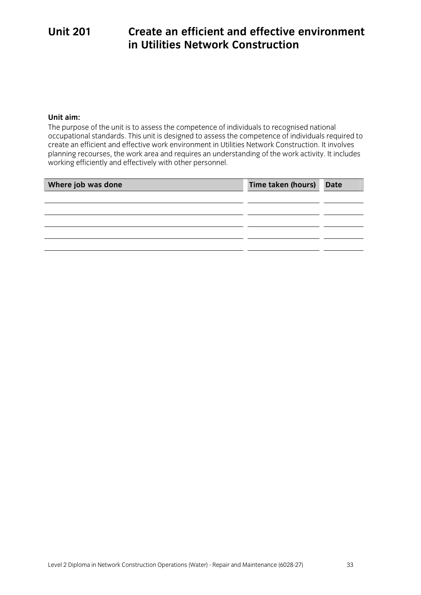<span id="page-32-0"></span>

#### **Unit aim:**

The purpose of the unit is to assess the competence of individuals to recognised national occupational standards. This unit is designed to assess the competence of individuals required to create an efficient and effective work environment in Utilities Network Construction. It involves planning recourses, the work area and requires an understanding of the work activity. It includes working efficiently and effectively with other personnel.

| Where job was done | Time taken (hours) Date |  |
|--------------------|-------------------------|--|
|                    |                         |  |
|                    |                         |  |
|                    |                         |  |
|                    |                         |  |
|                    |                         |  |
|                    |                         |  |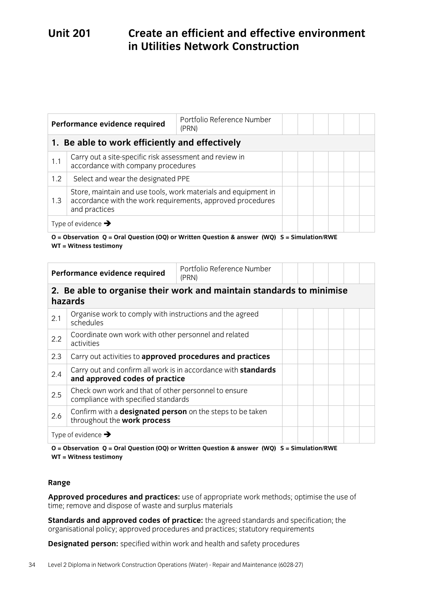### **Unit 201 Create an efficient and effective environment in Utilities Network Construction**

| Performance evidence required  |                                                                                                                                               | Portfolio Reference Number<br>(PRN) |  |  |  |  |  |  |
|--------------------------------|-----------------------------------------------------------------------------------------------------------------------------------------------|-------------------------------------|--|--|--|--|--|--|
|                                | 1. Be able to work efficiently and effectively                                                                                                |                                     |  |  |  |  |  |  |
| 1.1                            | Carry out a site-specific risk assessment and review in<br>accordance with company procedures                                                 |                                     |  |  |  |  |  |  |
| 1.2                            | Select and wear the designated PPE                                                                                                            |                                     |  |  |  |  |  |  |
| 1.3                            | Store, maintain and use tools, work materials and equipment in<br>accordance with the work requirements, approved procedures<br>and practices |                                     |  |  |  |  |  |  |
| Type of evidence $\rightarrow$ |                                                                                                                                               |                                     |  |  |  |  |  |  |

#### **O = Observation Q = Oral Question (OQ) or Written Question & answer (WQ) S = Simulation/RWE WT = Witness testimony**

|                                                                                                 | Performance evidence required                                                                           | Portfolio Reference Number<br>(PRN) |  |  |  |  |  |  |
|-------------------------------------------------------------------------------------------------|---------------------------------------------------------------------------------------------------------|-------------------------------------|--|--|--|--|--|--|
|                                                                                                 | 2. Be able to organise their work and maintain standards to minimise<br>hazards                         |                                     |  |  |  |  |  |  |
| Organise work to comply with instructions and the agreed<br>2.1<br>schedules                    |                                                                                                         |                                     |  |  |  |  |  |  |
| 2.2                                                                                             | Coordinate own work with other personnel and related<br>activities                                      |                                     |  |  |  |  |  |  |
| 2.3<br>Carry out activities to approved procedures and practices                                |                                                                                                         |                                     |  |  |  |  |  |  |
| 2.4                                                                                             | Carry out and confirm all work is in accordance with <b>standards</b><br>and approved codes of practice |                                     |  |  |  |  |  |  |
| 2.5                                                                                             | Check own work and that of other personnel to ensure<br>compliance with specified standards             |                                     |  |  |  |  |  |  |
| Confirm with a designated person on the steps to be taken<br>2.6<br>throughout the work process |                                                                                                         |                                     |  |  |  |  |  |  |
| Type of evidence $\rightarrow$                                                                  |                                                                                                         |                                     |  |  |  |  |  |  |

**O = Observation Q = Oral Question (OQ) or Written Question & answer (WQ) S = Simulation/RWE WT = Witness testimony**

#### **Range**

**Approved procedures and practices:** use of appropriate work methods; optimise the use of time; remove and dispose of waste and surplus materials

**Standards and approved codes of practice:** the agreed standards and specification; the organisational policy; approved procedures and practices; statutory requirements

**Designated person:** specified within work and health and safety procedures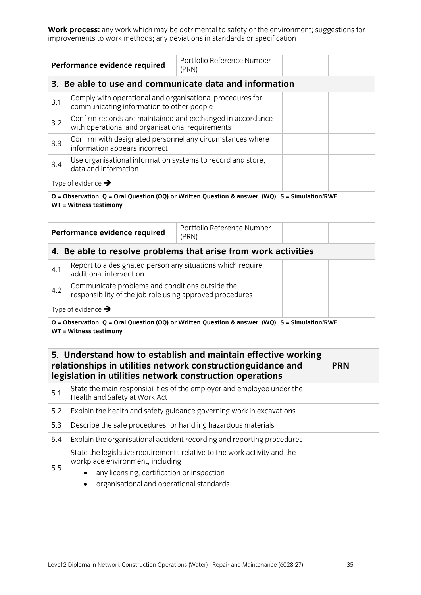**Work process:** any work which may be detrimental to safety or the environment; suggestions for improvements to work methods; any deviations in standards or specification

|                                | Performance evidence required                                                                                  | Portfolio Reference Number<br>(PRN) |  |  |  |  |  |  |
|--------------------------------|----------------------------------------------------------------------------------------------------------------|-------------------------------------|--|--|--|--|--|--|
|                                | 3. Be able to use and communicate data and information                                                         |                                     |  |  |  |  |  |  |
| 3.1                            | Comply with operational and organisational procedures for<br>communicating information to other people         |                                     |  |  |  |  |  |  |
| 3.2                            | Confirm records are maintained and exchanged in accordance<br>with operational and organisational requirements |                                     |  |  |  |  |  |  |
| 3.3                            | Confirm with designated personnel any circumstances where<br>information appears incorrect                     |                                     |  |  |  |  |  |  |
| 3.4                            | Use organisational information systems to record and store,<br>data and information                            |                                     |  |  |  |  |  |  |
| Type of evidence $\rightarrow$ |                                                                                                                |                                     |  |  |  |  |  |  |

#### **O = Observation Q = Oral Question (OQ) or Written Question & answer (WQ) S = Simulation/RWE WT = Witness testimony**

| Performance evidence required  |                                                                                                             | Portfolio Reference Number<br>(PRN) |  |  |  |  |  |  |
|--------------------------------|-------------------------------------------------------------------------------------------------------------|-------------------------------------|--|--|--|--|--|--|
|                                | 4. Be able to resolve problems that arise from work activities                                              |                                     |  |  |  |  |  |  |
| 4.1                            | Report to a designated person any situations which require<br>additional intervention                       |                                     |  |  |  |  |  |  |
| 4.2                            | Communicate problems and conditions outside the<br>responsibility of the job role using approved procedures |                                     |  |  |  |  |  |  |
| Type of evidence $\rightarrow$ |                                                                                                             |                                     |  |  |  |  |  |  |

**O = Observation Q = Oral Question (OQ) or Written Question & answer (WQ) S = Simulation/RWE WT = Witness testimony**

| 5. Understand how to establish and maintain effective working<br>relationships in utilities network constructionguidance and<br>legislation in utilities network construction operations | <b>PRN</b>                                                                                                   |  |
|------------------------------------------------------------------------------------------------------------------------------------------------------------------------------------------|--------------------------------------------------------------------------------------------------------------|--|
| 5.1                                                                                                                                                                                      | State the main responsibilities of the employer and employee under the<br>Health and Safety at Work Act      |  |
| 5.2                                                                                                                                                                                      | Explain the health and safety guidance governing work in excavations                                         |  |
| 5.3                                                                                                                                                                                      | Describe the safe procedures for handling hazardous materials                                                |  |
| 5.4                                                                                                                                                                                      | Explain the organisational accident recording and reporting procedures                                       |  |
| 5.5                                                                                                                                                                                      | State the legislative requirements relative to the work activity and the<br>workplace environment, including |  |
|                                                                                                                                                                                          | any licensing, certification or inspection<br>$\bullet$                                                      |  |
|                                                                                                                                                                                          | organisational and operational standards<br>$\bullet$                                                        |  |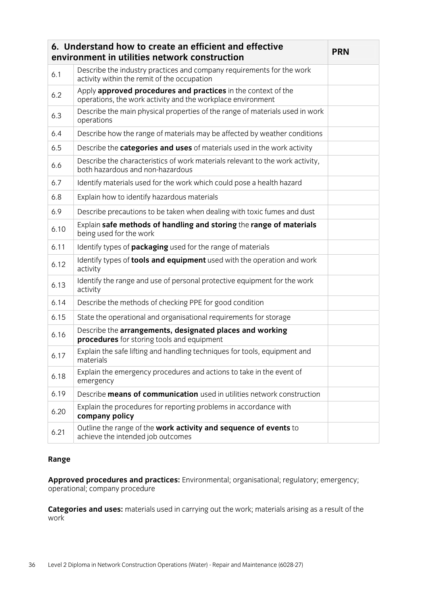| 6. Understand how to create an efficient and effective<br>environment in utilities network construction | <b>PRN</b>                                                                                                                   |  |
|---------------------------------------------------------------------------------------------------------|------------------------------------------------------------------------------------------------------------------------------|--|
| 6.1                                                                                                     | Describe the industry practices and company requirements for the work<br>activity within the remit of the occupation         |  |
| 6.2                                                                                                     | Apply approved procedures and practices in the context of the<br>operations, the work activity and the workplace environment |  |
| 6.3                                                                                                     | Describe the main physical properties of the range of materials used in work<br>operations                                   |  |
| 6.4                                                                                                     | Describe how the range of materials may be affected by weather conditions                                                    |  |
| 6.5                                                                                                     | Describe the categories and uses of materials used in the work activity                                                      |  |
| 6.6                                                                                                     | Describe the characteristics of work materials relevant to the work activity,<br>both hazardous and non-hazardous            |  |
| 6.7                                                                                                     | Identify materials used for the work which could pose a health hazard                                                        |  |
| 6.8                                                                                                     | Explain how to identify hazardous materials                                                                                  |  |
| 6.9                                                                                                     | Describe precautions to be taken when dealing with toxic fumes and dust                                                      |  |
| 6.10                                                                                                    | Explain safe methods of handling and storing the range of materials<br>being used for the work                               |  |
| 6.11                                                                                                    | Identify types of <b>packaging</b> used for the range of materials                                                           |  |
| 6.12                                                                                                    | Identify types of <b>tools and equipment</b> used with the operation and work<br>activity                                    |  |
| 6.13                                                                                                    | Identify the range and use of personal protective equipment for the work<br>activity                                         |  |
| 6.14                                                                                                    | Describe the methods of checking PPE for good condition                                                                      |  |
| 6.15                                                                                                    | State the operational and organisational requirements for storage                                                            |  |
| 6.16                                                                                                    | Describe the arrangements, designated places and working<br>procedures for storing tools and equipment                       |  |
| 6.17                                                                                                    | Explain the safe lifting and handling techniques for tools, equipment and<br>materials                                       |  |
| 6.18                                                                                                    | Explain the emergency procedures and actions to take in the event of<br>emergency                                            |  |
| 6.19                                                                                                    | Describe means of communication used in utilities network construction                                                       |  |
| 6.20                                                                                                    | Explain the procedures for reporting problems in accordance with<br>company policy                                           |  |
| 6.21                                                                                                    | Outline the range of the work activity and sequence of events to<br>achieve the intended job outcomes                        |  |

#### **Range**

**Approved procedures and practices:** Environmental; organisational; regulatory; emergency; operational; company procedure

**Categories and uses:** materials used in carrying out the work; materials arising as a result of the work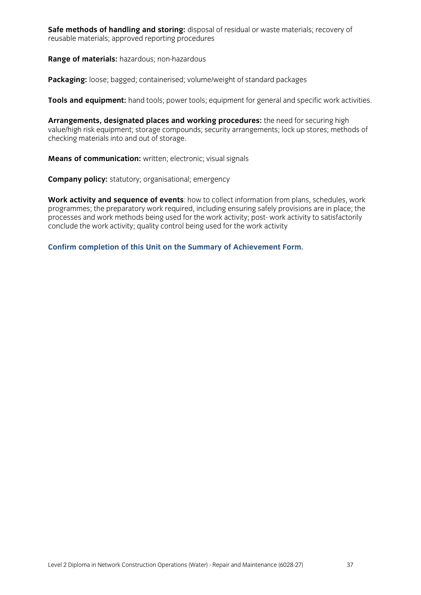**Safe methods of handling and storing:** disposal of residual or waste materials; recovery of reusable materials; approved reporting procedures

**Range of materials:** hazardous; non-hazardous

**Packaging:** loose; bagged; containerised; volume/weight of standard packages

**Tools and equipment:** hand tools; power tools; equipment for general and specific work activities.

**Arrangements, designated places and working procedures:** the need for securing high value/high risk equipment; storage compounds; security arrangements; lock up stores; methods of checking materials into and out of storage.

**Means of communication:** written; electronic; visual signals

**Company policy:** statutory; organisational; emergency

**Work activity and sequence of events**: how to collect information from plans, schedules, work programmes; the preparatory work required, including ensuring safely provisions are in place; the processes and work methods being used for the work activity; post- work activity to satisfactorily conclude the work activity; quality control being used for the work activity

**Confirm completion of this Unit on the Summary of Achievement Form.**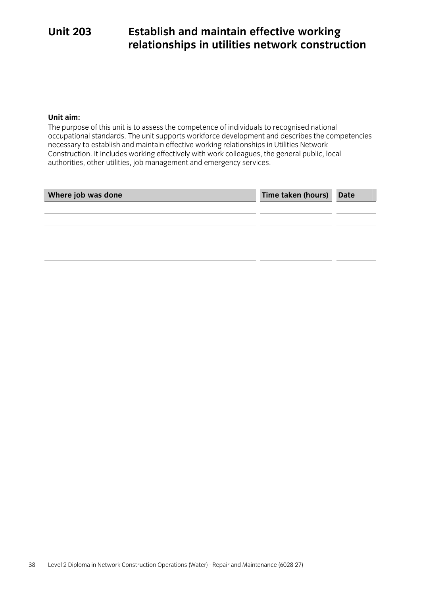# **Unit 203 Establish and maintain effective working relationships in utilities network construction**

#### **Unit aim:**

The purpose of this unit is to assess the competence of individuals to recognised national occupational standards. The unit supports workforce development and describes the competencies necessary to establish and maintain effective working relationships in Utilities Network Construction. It includes working effectively with work colleagues, the general public, local authorities, other utilities, job management and emergency services.

| Time taken (hours) Date |
|-------------------------|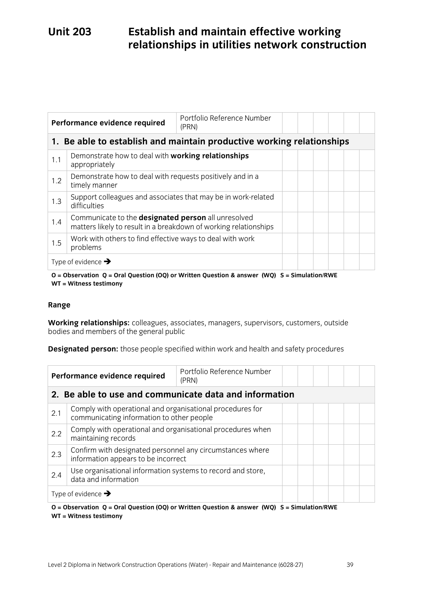# **Unit 203 Establish and maintain effective working relationships in utilities network construction**

|                                                                       | Performance evidence required                                                                                           | Portfolio Reference Number<br>(PRN) |  |  |  |  |
|-----------------------------------------------------------------------|-------------------------------------------------------------------------------------------------------------------------|-------------------------------------|--|--|--|--|
| 1. Be able to establish and maintain productive working relationships |                                                                                                                         |                                     |  |  |  |  |
| 1.1                                                                   | Demonstrate how to deal with working relationships<br>appropriately                                                     |                                     |  |  |  |  |
| 1.2                                                                   | Demonstrate how to deal with requests positively and in a<br>timely manner                                              |                                     |  |  |  |  |
| 1.3                                                                   | Support colleagues and associates that may be in work-related<br>difficulties                                           |                                     |  |  |  |  |
| 1.4                                                                   | Communicate to the designated person all unresolved<br>matters likely to result in a breakdown of working relationships |                                     |  |  |  |  |
| 1.5                                                                   | Work with others to find effective ways to deal with work<br>problems                                                   |                                     |  |  |  |  |
|                                                                       | Type of evidence $\rightarrow$                                                                                          |                                     |  |  |  |  |

**O = Observation Q = Oral Question (OQ) or Written Question & answer (WQ) S = Simulation/RWE WT = Witness testimony**

#### **Range**

**Working relationships:** colleagues, associates, managers, supervisors, customers, outside bodies and members of the general public

**Designated person:** those people specified within work and health and safety procedures

|     | Performance evidence required                                                                          | Portfolio Reference Number<br>(PRN) |  |  |  |  |  |
|-----|--------------------------------------------------------------------------------------------------------|-------------------------------------|--|--|--|--|--|
|     | 2. Be able to use and communicate data and information                                                 |                                     |  |  |  |  |  |
| 2.1 | Comply with operational and organisational procedures for<br>communicating information to other people |                                     |  |  |  |  |  |
| 2.2 | Comply with operational and organisational procedures when<br>maintaining records                      |                                     |  |  |  |  |  |
| 2.3 | Confirm with designated personnel any circumstances where<br>information appears to be incorrect       |                                     |  |  |  |  |  |
| 2.4 | Use organisational information systems to record and store,<br>data and information                    |                                     |  |  |  |  |  |
|     | Type of evidence $\rightarrow$                                                                         |                                     |  |  |  |  |  |

**O = Observation Q = Oral Question (OQ) or Written Question & answer (WQ) S = Simulation/RWE WT = Witness testimony**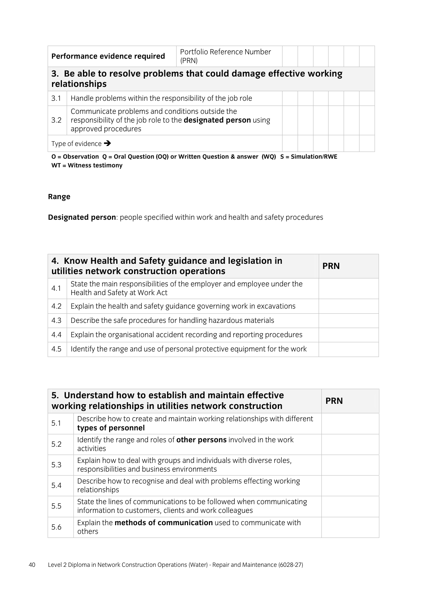|     | Performance evidence required                                                                                                           | Portfolio Reference Number<br>(PRN) |  |  |  |  |  |  |
|-----|-----------------------------------------------------------------------------------------------------------------------------------------|-------------------------------------|--|--|--|--|--|--|
|     | 3. Be able to resolve problems that could damage effective working<br>relationships                                                     |                                     |  |  |  |  |  |  |
| 3.1 | Handle problems within the responsibility of the job role                                                                               |                                     |  |  |  |  |  |  |
| 3.2 | Communicate problems and conditions outside the<br>responsibility of the job role to the designated person using<br>approved procedures |                                     |  |  |  |  |  |  |
|     | Type of evidence $\rightarrow$                                                                                                          |                                     |  |  |  |  |  |  |

**O = Observation Q = Oral Question (OQ) or Written Question & answer (WQ) S = Simulation/RWE WT = Witness testimony**

#### **Range**

**Designated person**: people specified within work and health and safety procedures

|     | 4. Know Health and Safety guidance and legislation in<br>utilities network construction operations      | <b>PRN</b> |
|-----|---------------------------------------------------------------------------------------------------------|------------|
| 4.1 | State the main responsibilities of the employer and employee under the<br>Health and Safety at Work Act |            |
| 4.2 | Explain the health and safety guidance governing work in excavations                                    |            |
| 4.3 | Describe the safe procedures for handling hazardous materials                                           |            |
| 4.4 | Explain the organisational accident recording and reporting procedures                                  |            |
| 4.5 | Identify the range and use of personal protective equipment for the work                                |            |

|     | 5. Understand how to establish and maintain effective<br>working relationships in utilities network construction             | <b>PRN</b> |  |  |
|-----|------------------------------------------------------------------------------------------------------------------------------|------------|--|--|
| 5.1 | Describe how to create and maintain working relationships with different<br>types of personnel                               |            |  |  |
| 5.2 | Identify the range and roles of other persons involved in the work<br>activities                                             |            |  |  |
| 5.3 | Explain how to deal with groups and individuals with diverse roles,<br>responsibilities and business environments            |            |  |  |
| 5.4 | Describe how to recognise and deal with problems effecting working<br>relationships                                          |            |  |  |
| 5.5 | State the lines of communications to be followed when communicating<br>information to customers, clients and work colleagues |            |  |  |
| 5.6 | Explain the methods of communication used to communicate with<br>others                                                      |            |  |  |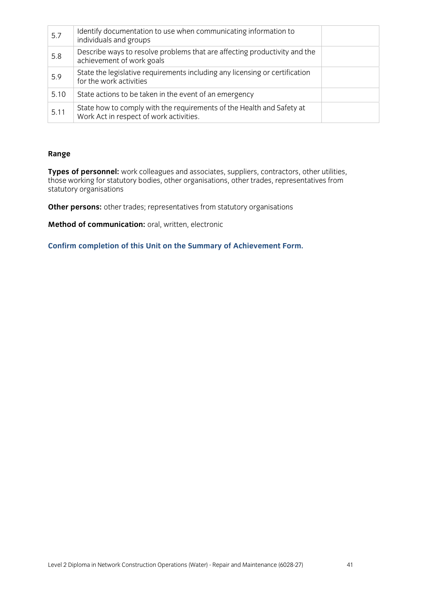| 5.7  | Identify documentation to use when communicating information to<br>individuals and groups                        |  |
|------|------------------------------------------------------------------------------------------------------------------|--|
| 5.8  | Describe ways to resolve problems that are affecting productivity and the<br>achievement of work goals           |  |
| 5.9  | State the legislative requirements including any licensing or certification<br>for the work activities           |  |
| 5.10 | State actions to be taken in the event of an emergency                                                           |  |
| 5.11 | State how to comply with the requirements of the Health and Safety at<br>Work Act in respect of work activities. |  |

**Types of personnel:** work colleagues and associates, suppliers, contractors, other utilities, those working for statutory bodies, other organisations, other trades, representatives from statutory organisations

**Other persons:** other trades; representatives from statutory organisations

**Method of communication:** oral, written, electronic

**Confirm completion of this Unit on the Summary of Achievement Form.**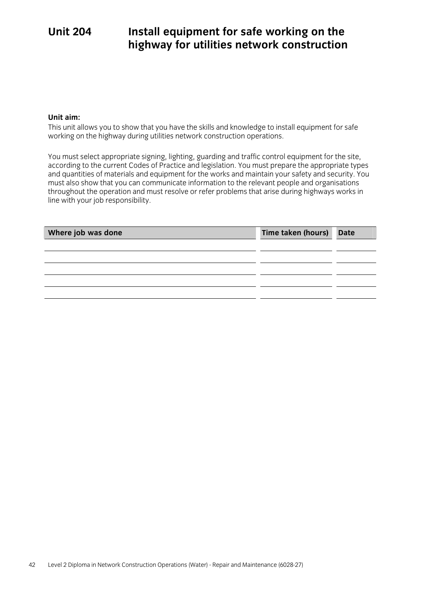## **Unit 204 Install equipment for safe working on the highway for utilities network construction**

#### **Unit aim:**

This unit allows you to show that you have the skills and knowledge to install equipment for safe working on the highway during utilities network construction operations.

You must select appropriate signing, lighting, guarding and traffic control equipment for the site, according to the current Codes of Practice and legislation. You must prepare the appropriate types and quantities of materials and equipment for the works and maintain your safety and security. You must also show that you can communicate information to the relevant people and organisations throughout the operation and must resolve or refer problems that arise during highways works in line with your job responsibility.

| Where job was done | Time taken (hours) Date |  |
|--------------------|-------------------------|--|
|                    |                         |  |
|                    |                         |  |
|                    |                         |  |
|                    |                         |  |
|                    |                         |  |
|                    |                         |  |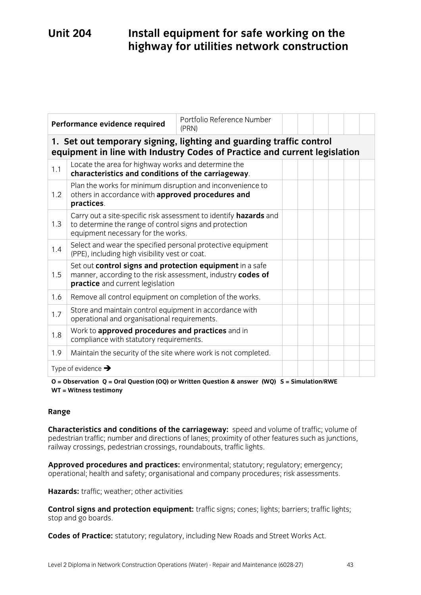# **Unit 204 Install equipment for safe working on the highway for utilities network construction**

|     | Performance evidence required                                                                                                                                     | Portfolio Reference Number<br>(PRN) |  |  |  |  |
|-----|-------------------------------------------------------------------------------------------------------------------------------------------------------------------|-------------------------------------|--|--|--|--|
|     | 1. Set out temporary signing, lighting and guarding traffic control<br>equipment in line with Industry Codes of Practice and current legislation                  |                                     |  |  |  |  |
| 1.1 | Locate the area for highway works and determine the<br>characteristics and conditions of the carriageway.                                                         |                                     |  |  |  |  |
| 1.2 | Plan the works for minimum disruption and inconvenience to<br>others in accordance with approved procedures and<br>practices.                                     |                                     |  |  |  |  |
| 1.3 | Carry out a site-specific risk assessment to identify hazards and<br>to determine the range of control signs and protection<br>equipment necessary for the works. |                                     |  |  |  |  |
| 1.4 | Select and wear the specified personal protective equipment<br>(PPE), including high visibility vest or coat.                                                     |                                     |  |  |  |  |
| 1.5 | Set out control signs and protection equipment in a safe<br>manner, according to the risk assessment, industry codes of<br>practice and current legislation       |                                     |  |  |  |  |
| 1.6 | Remove all control equipment on completion of the works.                                                                                                          |                                     |  |  |  |  |
| 1.7 | Store and maintain control equipment in accordance with<br>operational and organisational requirements.                                                           |                                     |  |  |  |  |
| 1.8 | Work to approved procedures and practices and in<br>compliance with statutory requirements.                                                                       |                                     |  |  |  |  |
| 1.9 | Maintain the security of the site where work is not completed.                                                                                                    |                                     |  |  |  |  |
|     | Type of evidence $\rightarrow$                                                                                                                                    |                                     |  |  |  |  |

**O = Observation Q = Oral Question (OQ) or Written Question & answer (WQ) S = Simulation/RWE WT = Witness testimony**

### **Range**

**Characteristics and conditions of the carriageway:** speed and volume of traffic; volume of pedestrian traffic; number and directions of lanes; proximity of other features such as junctions, railway crossings, pedestrian crossings, roundabouts, traffic lights.

**Approved procedures and practices:** environmental; statutory; regulatory; emergency; operational; health and safety; organisational and company procedures; risk assessments.

**Hazards:** traffic; weather; other activities

**Control signs and protection equipment:** traffic signs; cones; lights; barriers; traffic lights; stop and go boards.

**Codes of Practice:** statutory; regulatory, including New Roads and Street Works Act.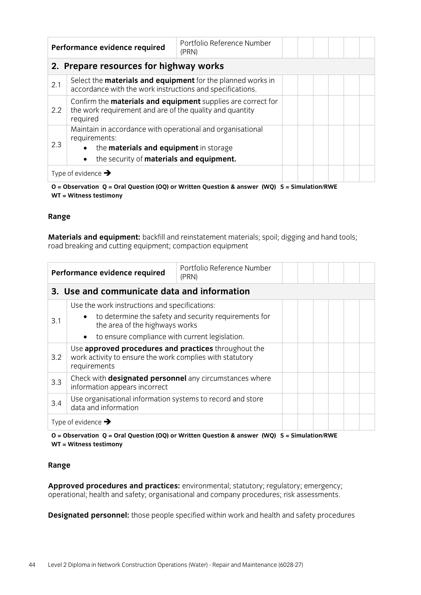|                                                                                                                                 | Portfolio Reference Number<br>Performance evidence required<br>(PRN)                                                                                                                        |  |  |  |  |  |
|---------------------------------------------------------------------------------------------------------------------------------|---------------------------------------------------------------------------------------------------------------------------------------------------------------------------------------------|--|--|--|--|--|
| 2. Prepare resources for highway works                                                                                          |                                                                                                                                                                                             |  |  |  |  |  |
| Select the materials and equipment for the planned works in<br>2.1<br>accordance with the work instructions and specifications. |                                                                                                                                                                                             |  |  |  |  |  |
| 2.2                                                                                                                             | Confirm the materials and equipment supplies are correct for<br>the work requirement and are of the quality and quantity<br>required                                                        |  |  |  |  |  |
| 2.3                                                                                                                             | Maintain in accordance with operational and organisational<br>requirements:<br>the materials and equipment in storage<br>$\bullet$<br>the security of materials and equipment.<br>$\bullet$ |  |  |  |  |  |
|                                                                                                                                 | Type of evidence $\rightarrow$                                                                                                                                                              |  |  |  |  |  |

**O = Observation Q = Oral Question (OQ) or Written Question & answer (WQ) S = Simulation/RWE WT = Witness testimony**

#### **Range**

**Materials and equipment:** backfill and reinstatement materials; spoil; digging and hand tools; road breaking and cutting equipment; compaction equipment

|                                                                                                                                                                                                     | Performance evidence required                                                                                                    | Portfolio Reference Number<br>(PRN) |  |  |  |  |
|-----------------------------------------------------------------------------------------------------------------------------------------------------------------------------------------------------|----------------------------------------------------------------------------------------------------------------------------------|-------------------------------------|--|--|--|--|
|                                                                                                                                                                                                     | 3. Use and communicate data and information                                                                                      |                                     |  |  |  |  |
| Use the work instructions and specifications:<br>to determine the safety and security requirements for<br>3.1<br>the area of the highways works<br>• to ensure compliance with current legislation. |                                                                                                                                  |                                     |  |  |  |  |
| 3.2                                                                                                                                                                                                 | Use approved procedures and practices throughout the<br>work activity to ensure the work complies with statutory<br>requirements |                                     |  |  |  |  |
| 3.3                                                                                                                                                                                                 | Check with designated personnel any circumstances where<br>information appears incorrect                                         |                                     |  |  |  |  |
| 3.4                                                                                                                                                                                                 | Use organisational information systems to record and store<br>data and information                                               |                                     |  |  |  |  |
|                                                                                                                                                                                                     | Type of evidence $\rightarrow$                                                                                                   |                                     |  |  |  |  |

**O = Observation Q = Oral Question (OQ) or Written Question & answer (WQ) S = Simulation/RWE WT = Witness testimony**

### **Range**

**Approved procedures and practices:** environmental; statutory; regulatory; emergency; operational; health and safety; organisational and company procedures; risk assessments.

**Designated personnel:** those people specified within work and health and safety procedures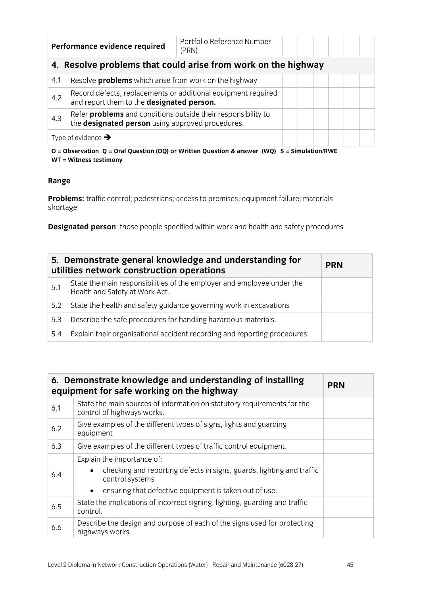|                                                               | Performance evidence required                                                                              | Portfolio Reference Number<br>(PRN)                                                                               |  |  |  |  |
|---------------------------------------------------------------|------------------------------------------------------------------------------------------------------------|-------------------------------------------------------------------------------------------------------------------|--|--|--|--|
| 4. Resolve problems that could arise from work on the highway |                                                                                                            |                                                                                                                   |  |  |  |  |
| 4.1                                                           | Resolve <b>problems</b> which arise from work on the highway                                               |                                                                                                                   |  |  |  |  |
| 4.2                                                           | Record defects, replacements or additional equipment required<br>and report them to the designated person. |                                                                                                                   |  |  |  |  |
| 4.3                                                           |                                                                                                            | Refer problems and conditions outside their responsibility to<br>the designated person using approved procedures. |  |  |  |  |
| Type of evidence $\rightarrow$                                |                                                                                                            |                                                                                                                   |  |  |  |  |

**O = Observation Q = Oral Question (OQ) or Written Question & answer (WQ) S = Simulation/RWE WT = Witness testimony**

#### **Range**

**Problems:** traffic control; pedestrians; access to premises; equipment failure; materials shortage

**Designated person**: those people specified within work and health and safety procedures

| 5. Demonstrate general knowledge and understanding for<br>utilities network construction operations | <b>PRN</b>                                                                                               |  |
|-----------------------------------------------------------------------------------------------------|----------------------------------------------------------------------------------------------------------|--|
| 5.1                                                                                                 | State the main responsibilities of the employer and employee under the<br>Health and Safety at Work Act. |  |
| 5.2                                                                                                 | State the health and safety guidance governing work in excavations                                       |  |
| 5.3                                                                                                 | Describe the safe procedures for handling hazardous materials.                                           |  |
| 5.4                                                                                                 | Explain their organisational accident recording and reporting procedures                                 |  |

|     | 6. Demonstrate knowledge and understanding of installing<br>equipment for safe working on the highway                                                                                         |  |  |  |
|-----|-----------------------------------------------------------------------------------------------------------------------------------------------------------------------------------------------|--|--|--|
| 6.1 | State the main sources of information on statutory requirements for the<br>control of highways works.                                                                                         |  |  |  |
| 6.2 | Give examples of the different types of signs, lights and guarding<br>equipment                                                                                                               |  |  |  |
| 6.3 | Give examples of the different types of traffic control equipment.                                                                                                                            |  |  |  |
| 6.4 | Explain the importance of:<br>checking and reporting defects in signs, guards, lighting and traffic<br>control systems<br>ensuring that defective equipment is taken out of use.<br>$\bullet$ |  |  |  |
| 6.5 | State the implications of incorrect signing, lighting, guarding and traffic<br>control.                                                                                                       |  |  |  |
| 6.6 | Describe the design and purpose of each of the signs used for protecting<br>highways works.                                                                                                   |  |  |  |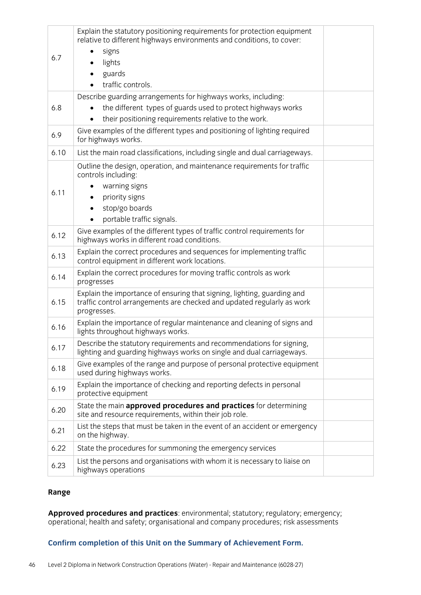|      | Explain the statutory positioning requirements for protection equipment<br>relative to different highways environments and conditions, to cover:                 |  |
|------|------------------------------------------------------------------------------------------------------------------------------------------------------------------|--|
|      | signs                                                                                                                                                            |  |
| 6.7  | lights                                                                                                                                                           |  |
|      | guards                                                                                                                                                           |  |
|      | traffic controls.                                                                                                                                                |  |
|      | Describe guarding arrangements for highways works, including:                                                                                                    |  |
| 6.8  | the different types of guards used to protect highways works<br>$\bullet$                                                                                        |  |
|      | their positioning requirements relative to the work.                                                                                                             |  |
| 6.9  | Give examples of the different types and positioning of lighting required<br>for highways works.                                                                 |  |
| 6.10 | List the main road classifications, including single and dual carriageways.                                                                                      |  |
|      | Outline the design, operation, and maintenance requirements for traffic<br>controls including:                                                                   |  |
|      | warning signs                                                                                                                                                    |  |
| 6.11 | priority signs                                                                                                                                                   |  |
|      | stop/go boards                                                                                                                                                   |  |
|      | portable traffic signals.                                                                                                                                        |  |
| 6.12 | Give examples of the different types of traffic control requirements for<br>highways works in different road conditions.                                         |  |
| 6.13 | Explain the correct procedures and sequences for implementing traffic<br>control equipment in different work locations.                                          |  |
| 6.14 | Explain the correct procedures for moving traffic controls as work<br>progresses                                                                                 |  |
| 6.15 | Explain the importance of ensuring that signing, lighting, guarding and<br>traffic control arrangements are checked and updated regularly as work<br>progresses. |  |
| 6.16 | Explain the importance of regular maintenance and cleaning of signs and<br>lights throughout highways works.                                                     |  |
| 6.17 | Describe the statutory requirements and recommendations for signing,<br>lighting and guarding highways works on single and dual carriageways.                    |  |
| 6.18 | Give examples of the range and purpose of personal protective equipment<br>used during highways works.                                                           |  |
| 6.19 | Explain the importance of checking and reporting defects in personal<br>protective equipment                                                                     |  |
| 6.20 | State the main approved procedures and practices for determining<br>site and resource requirements, within their job role.                                       |  |
| 6.21 | List the steps that must be taken in the event of an accident or emergency<br>on the highway.                                                                    |  |
| 6.22 | State the procedures for summoning the emergency services                                                                                                        |  |
| 6.23 | List the persons and organisations with whom it is necessary to liaise on<br>highways operations                                                                 |  |

**Approved procedures and practices**: environmental; statutory; regulatory; emergency; operational; health and safety; organisational and company procedures; risk assessments

### **Confirm completion of this Unit on the Summary of Achievement Form.**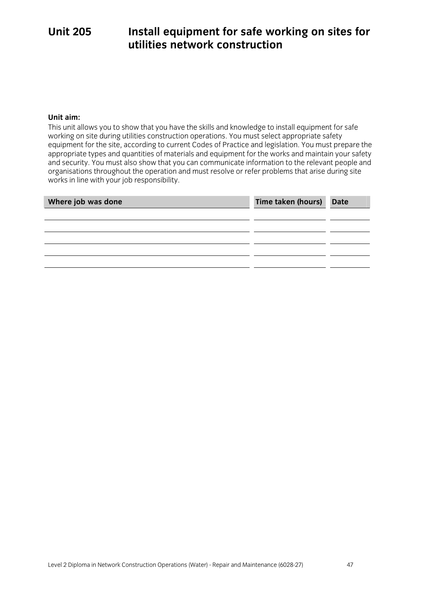# **Unit 205 Install equipment for safe working on sites for utilities network construction**

#### **Unit aim:**

This unit allows you to show that you have the skills and knowledge to install equipment for safe working on site during utilities construction operations. You must select appropriate safety equipment for the site, according to current Codes of Practice and legislation. You must prepare the appropriate types and quantities of materials and equipment for the works and maintain your safety and security. You must also show that you can communicate information to the relevant people and organisations throughout the operation and must resolve or refer problems that arise during site works in line with your job responsibility.

| Where job was done | Time taken (hours) Date |  |
|--------------------|-------------------------|--|
|                    |                         |  |
|                    |                         |  |
|                    |                         |  |
|                    |                         |  |
|                    |                         |  |
|                    |                         |  |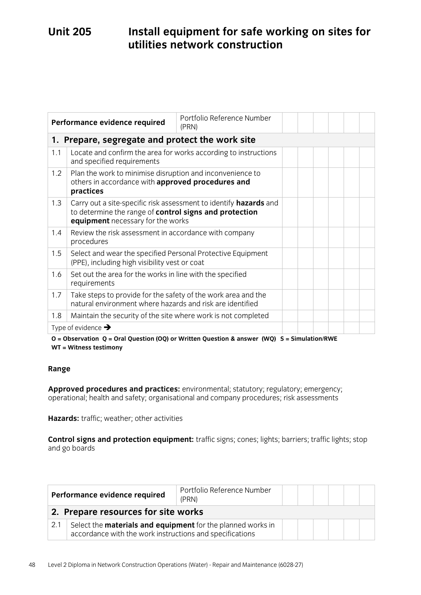# **Unit 205 Install equipment for safe working on sites for utilities network construction**

|     | Performance evidence required                                                                                                                                    | Portfolio Reference Number<br>(PRN) |  |  |  |  |  |
|-----|------------------------------------------------------------------------------------------------------------------------------------------------------------------|-------------------------------------|--|--|--|--|--|
|     | 1. Prepare, segregate and protect the work site                                                                                                                  |                                     |  |  |  |  |  |
| 1.1 | Locate and confirm the area for works according to instructions<br>and specified requirements                                                                    |                                     |  |  |  |  |  |
| 1.2 | Plan the work to minimise disruption and inconvenience to<br>others in accordance with approved procedures and<br>practices                                      |                                     |  |  |  |  |  |
| 1.3 | Carry out a site-specific risk assessment to identify hazards and<br>to determine the range of control signs and protection<br>equipment necessary for the works |                                     |  |  |  |  |  |
| 1.4 | Review the risk assessment in accordance with company<br>procedures                                                                                              |                                     |  |  |  |  |  |
| 1.5 | Select and wear the specified Personal Protective Equipment<br>(PPE), including high visibility vest or coat                                                     |                                     |  |  |  |  |  |
| 1.6 | Set out the area for the works in line with the specified<br>requirements                                                                                        |                                     |  |  |  |  |  |
| 1.7 | Take steps to provide for the safety of the work area and the<br>natural environment where hazards and risk are identified                                       |                                     |  |  |  |  |  |
| 1.8 | Maintain the security of the site where work is not completed                                                                                                    |                                     |  |  |  |  |  |
|     | Type of evidence $\rightarrow$                                                                                                                                   |                                     |  |  |  |  |  |

**O = Observation Q = Oral Question (OQ) or Written Question & answer (WQ) S = Simulation/RWE WT = Witness testimony**

### **Range**

**Approved procedures and practices:** environmental; statutory; regulatory; emergency; operational; health and safety; organisational and company procedures; risk assessments

**Hazards:** traffic; weather; other activities

**Control signs and protection equipment:** traffic signs; cones; lights; barriers; traffic lights; stop and go boards

|                                     | Performance evidence required                                                                                           | Portfolio Reference Number<br>(PRN) |  |  |  |  |  |  |
|-------------------------------------|-------------------------------------------------------------------------------------------------------------------------|-------------------------------------|--|--|--|--|--|--|
| 2. Prepare resources for site works |                                                                                                                         |                                     |  |  |  |  |  |  |
| 2.1                                 | Select the materials and equipment for the planned works in<br>accordance with the work instructions and specifications |                                     |  |  |  |  |  |  |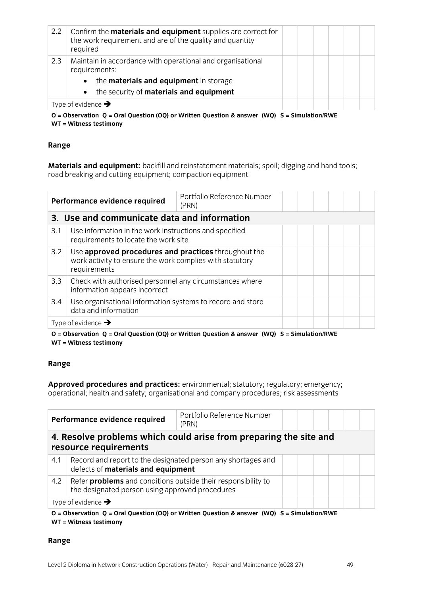| 2.2 | Confirm the <b>materials and equipment</b> supplies are correct for<br>the work requirement and are of the quality and quantity<br>required |  |  |  |
|-----|---------------------------------------------------------------------------------------------------------------------------------------------|--|--|--|
| 2.3 | Maintain in accordance with operational and organisational<br>requirements:                                                                 |  |  |  |
|     | the <b>materials and equipment</b> in storage<br>$\bullet$                                                                                  |  |  |  |
|     | the security of materials and equipment<br>$\bullet$                                                                                        |  |  |  |
|     | Type of evidence $\rightarrow$                                                                                                              |  |  |  |

**O = Observation Q = Oral Question (OQ) or Written Question & answer (WQ) S = Simulation/RWE WT = Witness testimony**

#### **Range**

**Materials and equipment:** backfill and reinstatement materials; spoil; digging and hand tools; road breaking and cutting equipment; compaction equipment

|     | Performance evidence required                                                                                                    | Portfolio Reference Number<br>(PRN) |  |  |  |  |  |  |
|-----|----------------------------------------------------------------------------------------------------------------------------------|-------------------------------------|--|--|--|--|--|--|
|     | 3. Use and communicate data and information                                                                                      |                                     |  |  |  |  |  |  |
| 3.1 | Use information in the work instructions and specified<br>requirements to locate the work site                                   |                                     |  |  |  |  |  |  |
| 3.2 | Use approved procedures and practices throughout the<br>work activity to ensure the work complies with statutory<br>requirements |                                     |  |  |  |  |  |  |
| 3.3 | Check with authorised personnel any circumstances where<br>information appears incorrect                                         |                                     |  |  |  |  |  |  |
| 3.4 | Use organisational information systems to record and store<br>data and information                                               |                                     |  |  |  |  |  |  |
|     | Type of evidence $\rightarrow$                                                                                                   |                                     |  |  |  |  |  |  |

**O = Observation Q = Oral Question (OQ) or Written Question & answer (WQ) S = Simulation/RWE WT = Witness testimony**

### **Range**

**Approved procedures and practices:** environmental; statutory; regulatory; emergency; operational; health and safety; organisational and company procedures; risk assessments

|                                | Performance evidence required                                                                                    | Portfolio Reference Number<br>(PRN) |  |  |  |  |  |  |
|--------------------------------|------------------------------------------------------------------------------------------------------------------|-------------------------------------|--|--|--|--|--|--|
|                                | 4. Resolve problems which could arise from preparing the site and<br>resource requirements                       |                                     |  |  |  |  |  |  |
| 4.1                            | Record and report to the designated person any shortages and<br>defects of materials and equipment               |                                     |  |  |  |  |  |  |
| 4.2                            | Refer problems and conditions outside their responsibility to<br>the designated person using approved procedures |                                     |  |  |  |  |  |  |
| Type of evidence $\rightarrow$ |                                                                                                                  |                                     |  |  |  |  |  |  |

**O = Observation Q = Oral Question (OQ) or Written Question & answer (WQ) S = Simulation/RWE WT = Witness testimony**

#### **Range**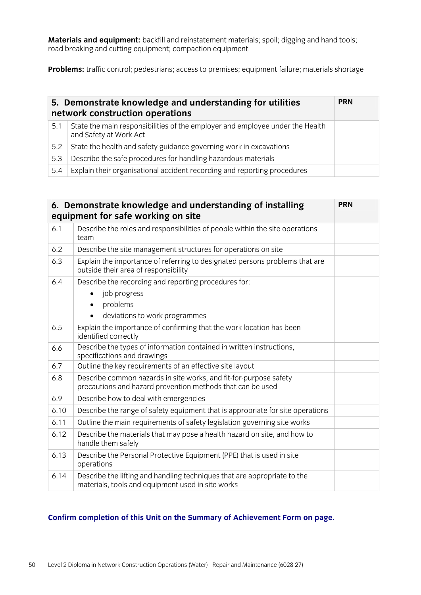**Materials and equipment:** backfill and reinstatement materials; spoil; digging and hand tools; road breaking and cutting equipment; compaction equipment

**Problems:** traffic control; pedestrians; access to premises; equipment failure; materials shortage

| 5. Demonstrate knowledge and understanding for utilities<br>network construction operations |                                                                                                         |  |
|---------------------------------------------------------------------------------------------|---------------------------------------------------------------------------------------------------------|--|
| 5.1                                                                                         | State the main responsibilities of the employer and employee under the Health<br>and Safety at Work Act |  |
| 5.2                                                                                         | State the health and safety guidance governing work in excavations                                      |  |
| 5.3                                                                                         | Describe the safe procedures for handling hazardous materials                                           |  |
| 5.4                                                                                         | Explain their organisational accident recording and reporting procedures                                |  |

|      | 6. Demonstrate knowledge and understanding of installing<br>equipment for safe working on site                                  | <b>PRN</b> |
|------|---------------------------------------------------------------------------------------------------------------------------------|------------|
| 6.1  | Describe the roles and responsibilities of people within the site operations<br>team                                            |            |
| 6.2  | Describe the site management structures for operations on site                                                                  |            |
| 6.3  | Explain the importance of referring to designated persons problems that are<br>outside their area of responsibility             |            |
| 6.4  | Describe the recording and reporting procedures for:<br>job progress                                                            |            |
|      | problems<br>$\bullet$<br>deviations to work programmes                                                                          |            |
| 6.5  | Explain the importance of confirming that the work location has been<br>identified correctly                                    |            |
| 6.6  | Describe the types of information contained in written instructions,<br>specifications and drawings                             |            |
| 6.7  | Outline the key requirements of an effective site layout                                                                        |            |
| 6.8  | Describe common hazards in site works, and fit-for-purpose safety<br>precautions and hazard prevention methods that can be used |            |
| 6.9  | Describe how to deal with emergencies                                                                                           |            |
| 6.10 | Describe the range of safety equipment that is appropriate for site operations                                                  |            |
| 6.11 | Outline the main requirements of safety legislation governing site works                                                        |            |
| 6.12 | Describe the materials that may pose a health hazard on site, and how to<br>handle them safely                                  |            |
| 6.13 | Describe the Personal Protective Equipment (PPE) that is used in site<br>operations                                             |            |
| 6.14 | Describe the lifting and handling techniques that are appropriate to the<br>materials, tools and equipment used in site works   |            |

### **Confirm completion of this Unit on the Summary of Achievement Form on page.**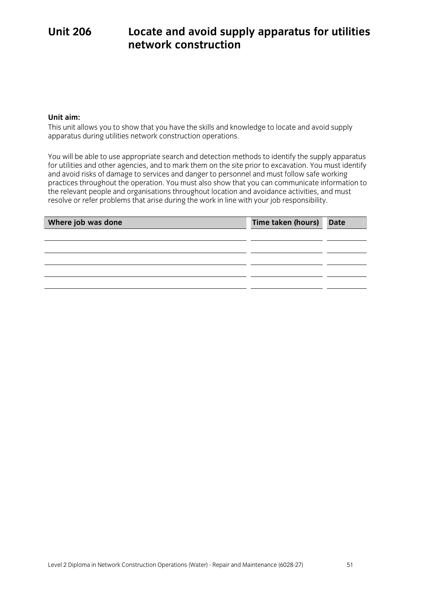## **Unit 206 Locate and avoid supply apparatus for utilities network construction**

#### **Unit aim:**

This unit allows you to show that you have the skills and knowledge to locate and avoid supply apparatus during utilities network construction operations.

You will be able to use appropriate search and detection methods to identify the supply apparatus for utilities and other agencies, and to mark them on the site prior to excavation. You must identify and avoid risks of damage to services and danger to personnel and must follow safe working practices throughout the operation. You must also show that you can communicate information to the relevant people and organisations throughout location and avoidance activities, and must resolve or refer problems that arise during the work in line with your job responsibility.

| Where job was done | Time taken (hours) Date |  |
|--------------------|-------------------------|--|
|                    |                         |  |
|                    |                         |  |
|                    |                         |  |
|                    |                         |  |
|                    |                         |  |
|                    |                         |  |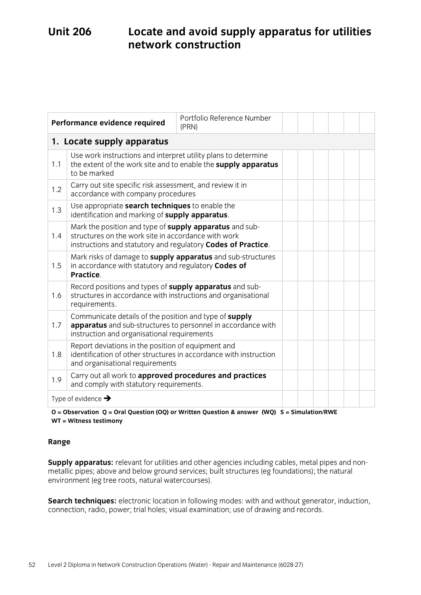# **Unit 206 Locate and avoid supply apparatus for utilities network construction**

| Performance evidence required |                                                                                                                                                                                | Portfolio Reference Number<br>(PRN) |  |  |  |
|-------------------------------|--------------------------------------------------------------------------------------------------------------------------------------------------------------------------------|-------------------------------------|--|--|--|
|                               | 1. Locate supply apparatus                                                                                                                                                     |                                     |  |  |  |
| 1.1                           | Use work instructions and interpret utility plans to determine<br>the extent of the work site and to enable the supply apparatus<br>to be marked                               |                                     |  |  |  |
| 1.2                           | Carry out site specific risk assessment, and review it in<br>accordance with company procedures                                                                                |                                     |  |  |  |
| 1.3                           | Use appropriate search techniques to enable the<br>identification and marking of supply apparatus.                                                                             |                                     |  |  |  |
| 1.4                           | Mark the position and type of supply apparatus and sub-<br>structures on the work site in accordance with work<br>instructions and statutory and regulatory Codes of Practice. |                                     |  |  |  |
| 1.5                           | Mark risks of damage to supply apparatus and sub-structures<br>in accordance with statutory and regulatory Codes of<br>Practice.                                               |                                     |  |  |  |
| 1.6                           | Record positions and types of supply apparatus and sub-<br>structures in accordance with instructions and organisational<br>requirements.                                      |                                     |  |  |  |
| 1.7                           | Communicate details of the position and type of supply<br>apparatus and sub-structures to personnel in accordance with<br>instruction and organisational requirements          |                                     |  |  |  |
| 1.8                           | Report deviations in the position of equipment and<br>identification of other structures in accordance with instruction<br>and organisational requirements                     |                                     |  |  |  |
| 1.9                           | Carry out all work to approved procedures and practices<br>and comply with statutory requirements.                                                                             |                                     |  |  |  |
|                               | Type of evidence $\rightarrow$                                                                                                                                                 |                                     |  |  |  |

**O = Observation Q = Oral Question (OQ) or Written Question & answer (WQ) S = Simulation/RWE WT = Witness testimony**

### **Range**

**Supply apparatus:** relevant for utilities and other agencies including cables, metal pipes and nonmetallic pipes; above and below ground services; built structures (eg foundations); the natural environment (eg tree roots, natural watercourses).

**Search techniques:** electronic location in following modes: with and without generator, induction, connection, radio, power; trial holes; visual examination; use of drawing and records.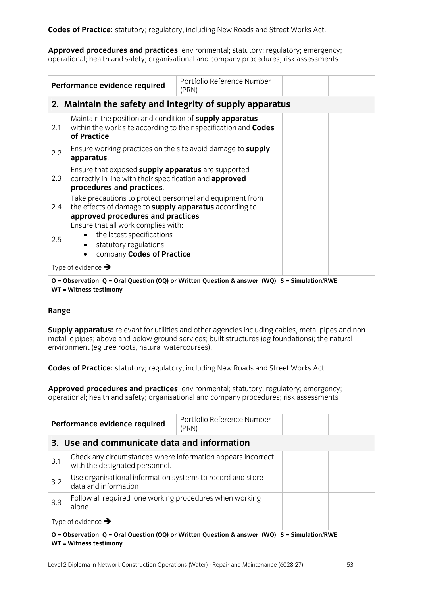**Codes of Practice:** statutory; regulatory, including New Roads and Street Works Act.

**Approved procedures and practices**: environmental; statutory; regulatory; emergency; operational; health and safety; organisational and company procedures; risk assessments

| Performance evidence required                                                                                                 |                                                                                                                                                         | Portfolio Reference Number<br>(PRN) |  |  |  |  |  |
|-------------------------------------------------------------------------------------------------------------------------------|---------------------------------------------------------------------------------------------------------------------------------------------------------|-------------------------------------|--|--|--|--|--|
|                                                                                                                               | 2. Maintain the safety and integrity of supply apparatus                                                                                                |                                     |  |  |  |  |  |
| 2.1                                                                                                                           | Maintain the position and condition of supply apparatus<br>within the work site according to their specification and Codes<br>of Practice               |                                     |  |  |  |  |  |
| 2.2                                                                                                                           | Ensure working practices on the site avoid damage to supply<br>apparatus.                                                                               |                                     |  |  |  |  |  |
| 2.3                                                                                                                           | Ensure that exposed supply apparatus are supported<br>correctly in line with their specification and approved<br>procedures and practices.              |                                     |  |  |  |  |  |
| $2.4\,$                                                                                                                       | Take precautions to protect personnel and equipment from<br>the effects of damage to supply apparatus according to<br>approved procedures and practices |                                     |  |  |  |  |  |
| Ensure that all work complies with:<br>the latest specifications<br>2.5<br>statutory regulations<br>company Codes of Practice |                                                                                                                                                         |                                     |  |  |  |  |  |
|                                                                                                                               | Type of evidence $\rightarrow$                                                                                                                          |                                     |  |  |  |  |  |

**O = Observation Q = Oral Question (OQ) or Written Question & answer (WQ) S = Simulation/RWE WT = Witness testimony**

### **Range**

**Supply apparatus:** relevant for utilities and other agencies including cables, metal pipes and nonmetallic pipes; above and below ground services; built structures (eg foundations); the natural environment (eg tree roots, natural watercourses).

**Codes of Practice:** statutory; regulatory, including New Roads and Street Works Act.

**Approved procedures and practices**: environmental; statutory; regulatory; emergency; operational; health and safety; organisational and company procedures; risk assessments

|                                                                          | Performance evidence required                                                                 | Portfolio Reference Number<br>(PRN) |  |  |  |  |  |
|--------------------------------------------------------------------------|-----------------------------------------------------------------------------------------------|-------------------------------------|--|--|--|--|--|
|                                                                          | 3. Use and communicate data and information                                                   |                                     |  |  |  |  |  |
| 3.1                                                                      | Check any circumstances where information appears incorrect<br>with the designated personnel. |                                     |  |  |  |  |  |
| 3.2                                                                      | Use organisational information systems to record and store<br>data and information            |                                     |  |  |  |  |  |
| Follow all required lone working procedures when working<br>3.3<br>alone |                                                                                               |                                     |  |  |  |  |  |
|                                                                          | Type of evidence $\rightarrow$                                                                |                                     |  |  |  |  |  |

**O = Observation Q = Oral Question (OQ) or Written Question & answer (WQ) S = Simulation/RWE WT = Witness testimony**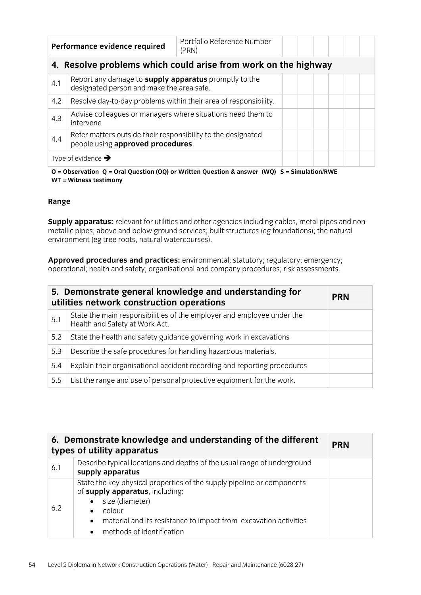|     | Performance evidence required                                                                      | Portfolio Reference Number<br>(PRN) |  |  |  |  |  |
|-----|----------------------------------------------------------------------------------------------------|-------------------------------------|--|--|--|--|--|
|     | 4. Resolve problems which could arise from work on the highway                                     |                                     |  |  |  |  |  |
| 4.1 | Report any damage to supply apparatus promptly to the<br>designated person and make the area safe. |                                     |  |  |  |  |  |
| 4.2 | Resolve day-to-day problems within their area of responsibility.                                   |                                     |  |  |  |  |  |
| 4.3 | Advise colleagues or managers where situations need them to<br>intervene                           |                                     |  |  |  |  |  |
| 4.4 | Refer matters outside their responsibility to the designated<br>people using approved procedures.  |                                     |  |  |  |  |  |
|     | Type of evidence $\rightarrow$                                                                     |                                     |  |  |  |  |  |

**O = Observation Q = Oral Question (OQ) or Written Question & answer (WQ) S = Simulation/RWE WT = Witness testimony**

#### **Range**

**Supply apparatus:** relevant for utilities and other agencies including cables, metal pipes and nonmetallic pipes; above and below ground services; built structures (eg foundations); the natural metallic pipes; above and below ground services; built structures (eg foundations); the natural environment (eg tree roots, natural watercourses).

**Approved procedures and practices:** environmental; statutory; regulatory; emergency; operational; health and safety; organisational and company procedures; risk assessments.

|     | 5. Demonstrate general knowledge and understanding for<br>utilities network construction operations   | <b>PRN</b> |
|-----|-------------------------------------------------------------------------------------------------------|------------|
| 5.1 | State the main responsibilities of the employer and employee under the Health and Safety at Work Act. |            |
| 5.2 | State the health and safety guidance governing work in excavations                                    |            |
| 5.3 | Describe the safe procedures for handling hazardous materials.                                        |            |
| 5.4 | Explain their organisational accident recording and reporting procedures                              |            |
| 5.5 | List the range and use of personal protective equipment for the work.                                 |            |

|     | 6. Demonstrate knowledge and understanding of the different<br>types of utility apparatus                                                                                                                                                                                      | <b>PRN</b> |
|-----|--------------------------------------------------------------------------------------------------------------------------------------------------------------------------------------------------------------------------------------------------------------------------------|------------|
| 6.1 | Describe typical locations and depths of the usual range of underground<br>supply apparatus                                                                                                                                                                                    |            |
| 6.2 | State the key physical properties of the supply pipeline or components<br>of supply apparatus, including:<br>size (diameter)<br>colour<br>$\bullet$<br>material and its resistance to impact from excavation activities<br>$\bullet$<br>methods of identification<br>$\bullet$ |            |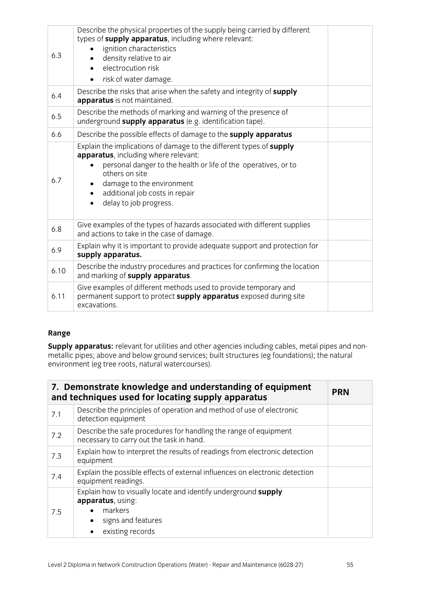| 6.3  | Describe the physical properties of the supply being carried by different<br>types of supply apparatus, including where relevant:<br>ignition characteristics<br>density relative to air<br>electrocution risk<br>$\bullet$<br>risk of water damage.<br>$\bullet$                                                  |  |
|------|--------------------------------------------------------------------------------------------------------------------------------------------------------------------------------------------------------------------------------------------------------------------------------------------------------------------|--|
| 6.4  | Describe the risks that arise when the safety and integrity of supply<br>apparatus is not maintained.                                                                                                                                                                                                              |  |
| 6.5  | Describe the methods of marking and warning of the presence of<br>underground supply apparatus (e.g. identification tape).                                                                                                                                                                                         |  |
| 6.6  | Describe the possible effects of damage to the supply apparatus                                                                                                                                                                                                                                                    |  |
| 6.7  | Explain the implications of damage to the different types of supply<br>apparatus, including where relevant:<br>personal danger to the health or life of the operatives, or to<br>others on site<br>damage to the environment<br>additional job costs in repair<br>$\bullet$<br>delay to job progress.<br>$\bullet$ |  |
| 6.8  | Give examples of the types of hazards associated with different supplies<br>and actions to take in the case of damage.                                                                                                                                                                                             |  |
| 6.9  | Explain why it is important to provide adequate support and protection for<br>supply apparatus.                                                                                                                                                                                                                    |  |
| 6.10 | Describe the industry procedures and practices for confirming the location<br>and marking of supply apparatus.                                                                                                                                                                                                     |  |
| 6.11 | Give examples of different methods used to provide temporary and<br>permanent support to protect supply apparatus exposed during site<br>excavations.                                                                                                                                                              |  |

**Supply apparatus:** relevant for utilities and other agencies including cables, metal pipes and nonmetallic pipes; above and below ground services; built structures (eg foundations); the natural environment (eg tree roots, natural watercourses).

|     | 7. Demonstrate knowledge and understanding of equipment<br>and techniques used for locating supply apparatus                                          | <b>PRN</b> |
|-----|-------------------------------------------------------------------------------------------------------------------------------------------------------|------------|
| 7.1 | Describe the principles of operation and method of use of electronic<br>detection equipment                                                           |            |
| 7.2 | Describe the safe procedures for handling the range of equipment<br>necessary to carry out the task in hand.                                          |            |
| 7.3 | Explain how to interpret the results of readings from electronic detection<br>equipment                                                               |            |
| 7.4 | Explain the possible effects of external influences on electronic detection<br>equipment readings.                                                    |            |
| 7.5 | Explain how to visually locate and identify underground supply<br>apparatus, using:<br>markers<br>signs and features<br>$\bullet$<br>existing records |            |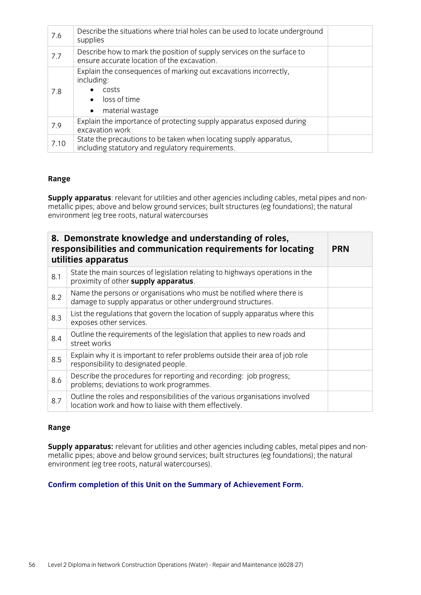| 7.6  | Describe the situations where trial holes can be used to locate underground<br>supplies                                                               |  |
|------|-------------------------------------------------------------------------------------------------------------------------------------------------------|--|
| 7.7  | Describe how to mark the position of supply services on the surface to<br>ensure accurate location of the excavation.                                 |  |
| 7.8  | Explain the consequences of marking out excavations incorrectly,<br>including:<br>costs<br>loss of time<br>$\bullet$<br>material wastage<br>$\bullet$ |  |
| 7.9  | Explain the importance of protecting supply apparatus exposed during<br>excavation work                                                               |  |
| 7.10 | State the precautions to be taken when locating supply apparatus,<br>including statutory and regulatory requirements.                                 |  |

**Supply apparatus**: relevant for utilities and other agencies including cables, metal pipes and nonmetallic pipes; above and below ground services; built structures (eg foundations); the natural environment (eg tree roots, natural watercourses

|     | 8. Demonstrate knowledge and understanding of roles,<br>responsibilities and communication requirements for locating<br>utilities apparatus | <b>PRN</b> |
|-----|---------------------------------------------------------------------------------------------------------------------------------------------|------------|
| 8.1 | State the main sources of legislation relating to highways operations in the<br>proximity of other supply apparatus.                        |            |
| 8.2 | Name the persons or organisations who must be notified where there is<br>damage to supply apparatus or other underground structures.        |            |
| 8.3 | List the regulations that govern the location of supply apparatus where this<br>exposes other services.                                     |            |
| 8.4 | Outline the requirements of the legislation that applies to new roads and<br>street works                                                   |            |
| 8.5 | Explain why it is important to refer problems outside their area of job role<br>responsibility to designated people.                        |            |
| 8.6 | Describe the procedures for reporting and recording: job progress;<br>problems; deviations to work programmes.                              |            |
| 8.7 | Outline the roles and responsibilities of the various organisations involved<br>location work and how to liaise with them effectively.      |            |

### **Range**

**Supply apparatus:** relevant for utilities and other agencies including cables, metal pipes and nonmetallic pipes; above and below ground services; built structures (eg foundations); the natural environment (eg tree roots, natural watercourses).

### **Confirm completion of this Unit on the Summary of Achievement Form.**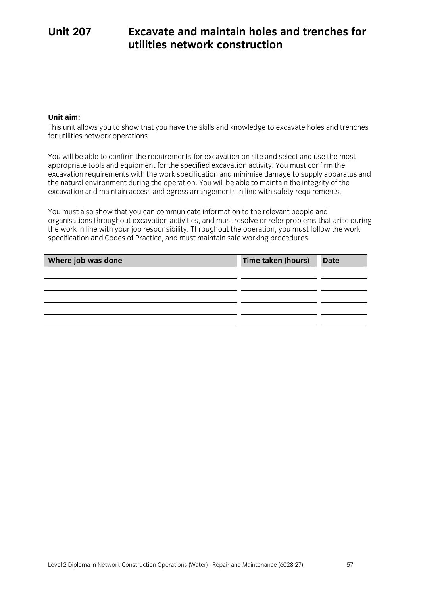### **Unit 207 Excavate and maintain holes and trenches for utilities network construction**

#### **Unit aim:**

This unit allows you to show that you have the skills and knowledge to excavate holes and trenches for utilities network operations.

You will be able to confirm the requirements for excavation on site and select and use the most appropriate tools and equipment for the specified excavation activity. You must confirm the excavation requirements with the work specification and minimise damage to supply apparatus and the natural environment during the operation. You will be able to maintain the integrity of the excavation and maintain access and egress arrangements in line with safety requirements.

You must also show that you can communicate information to the relevant people and organisations throughout excavation activities, and must resolve or refer problems that arise during the work in line with your job responsibility. Throughout the operation, you must follow the work specification and Codes of Practice, and must maintain safe working procedures.

| Where job was done | <b>Time taken (hours)</b> | <b>Date</b> |
|--------------------|---------------------------|-------------|
|                    |                           |             |
|                    |                           |             |
|                    |                           |             |
|                    |                           |             |
|                    |                           |             |
|                    |                           |             |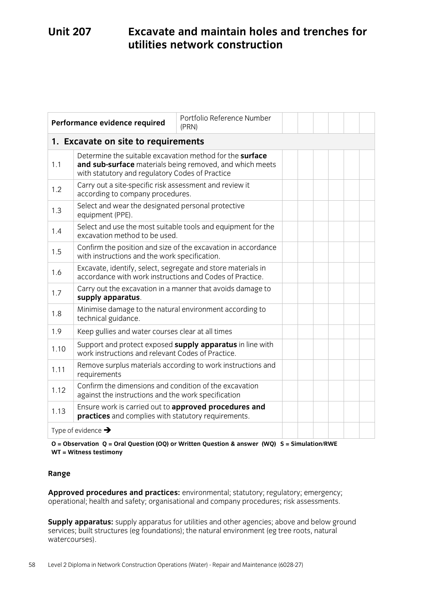# **Unit 207 Excavate and maintain holes and trenches for utilities network construction**

|      | Portfolio Reference Number<br>Performance evidence required<br>(PRN)                                                                                                    |  |  |  |  |
|------|-------------------------------------------------------------------------------------------------------------------------------------------------------------------------|--|--|--|--|
|      | 1. Excavate on site to requirements                                                                                                                                     |  |  |  |  |
| 1.1  | Determine the suitable excavation method for the surface<br>and sub-surface materials being removed, and which meets<br>with statutory and regulatory Codes of Practice |  |  |  |  |
| 1.2  | Carry out a site-specific risk assessment and review it<br>according to company procedures.                                                                             |  |  |  |  |
| 1.3  | Select and wear the designated personal protective<br>equipment (PPE).                                                                                                  |  |  |  |  |
| 1.4  | Select and use the most suitable tools and equipment for the<br>excavation method to be used.                                                                           |  |  |  |  |
| 1.5  | Confirm the position and size of the excavation in accordance<br>with instructions and the work specification.                                                          |  |  |  |  |
| 1.6  | Excavate, identify, select, segregate and store materials in<br>accordance with work instructions and Codes of Practice.                                                |  |  |  |  |
| 1.7  | Carry out the excavation in a manner that avoids damage to<br>supply apparatus.                                                                                         |  |  |  |  |
| 1.8  | Minimise damage to the natural environment according to<br>technical guidance.                                                                                          |  |  |  |  |
| 1.9  | Keep gullies and water courses clear at all times                                                                                                                       |  |  |  |  |
| 1.10 | Support and protect exposed supply apparatus in line with<br>work instructions and relevant Codes of Practice.                                                          |  |  |  |  |
| 1.11 | Remove surplus materials according to work instructions and<br>requirements                                                                                             |  |  |  |  |
| 1.12 | Confirm the dimensions and condition of the excavation<br>against the instructions and the work specification                                                           |  |  |  |  |
| 1.13 | Ensure work is carried out to approved procedures and<br>practices and complies with statutory requirements.                                                            |  |  |  |  |
|      | Type of evidence $\rightarrow$                                                                                                                                          |  |  |  |  |

**O = Observation Q = Oral Question (OQ) or Written Question & answer (WQ) S = Simulation/RWE WT = Witness testimony**

### **Range**

**Approved procedures and practices:** environmental; statutory; regulatory; emergency; operational; health and safety; organisational and company procedures; risk assessments.

**Supply apparatus:** supply apparatus for utilities and other agencies; above and below ground services; built structures (eg foundations); the natural environment (eg tree roots, natural watercourses).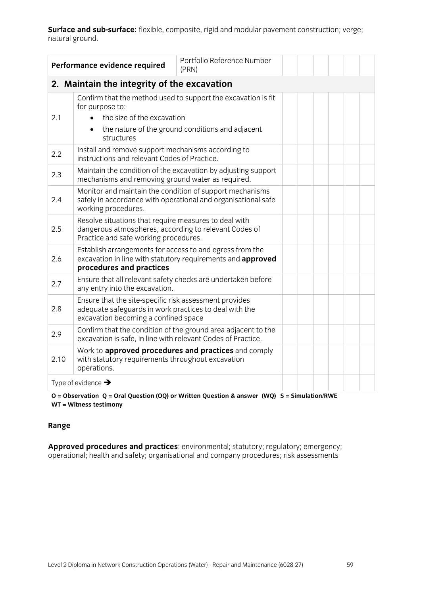**Surface and sub-surface:** flexible, composite, rigid and modular pavement construction; verge; natural ground.

|      | Performance evidence required                                                                                                                            | Portfolio Reference Number<br>(PRN)              |  |  |  |
|------|----------------------------------------------------------------------------------------------------------------------------------------------------------|--------------------------------------------------|--|--|--|
|      | 2. Maintain the integrity of the excavation                                                                                                              |                                                  |  |  |  |
|      | Confirm that the method used to support the excavation is fit<br>for purpose to:                                                                         |                                                  |  |  |  |
| 2.1  | the size of the excavation                                                                                                                               |                                                  |  |  |  |
|      | structures                                                                                                                                               | the nature of the ground conditions and adjacent |  |  |  |
| 2.2  | Install and remove support mechanisms according to<br>instructions and relevant Codes of Practice.                                                       |                                                  |  |  |  |
| 2.3  | Maintain the condition of the excavation by adjusting support<br>mechanisms and removing ground water as required.                                       |                                                  |  |  |  |
| 2.4  | Monitor and maintain the condition of support mechanisms<br>safely in accordance with operational and organisational safe<br>working procedures.         |                                                  |  |  |  |
| 2.5  | Resolve situations that require measures to deal with<br>dangerous atmospheres, according to relevant Codes of<br>Practice and safe working procedures.  |                                                  |  |  |  |
| 2.6  | Establish arrangements for access to and egress from the<br>excavation in line with statutory requirements and approved<br>procedures and practices      |                                                  |  |  |  |
| 2.7  | Ensure that all relevant safety checks are undertaken before<br>any entry into the excavation.                                                           |                                                  |  |  |  |
| 2.8  | Ensure that the site-specific risk assessment provides<br>adequate safeguards in work practices to deal with the<br>excavation becoming a confined space |                                                  |  |  |  |
| 2.9  | Confirm that the condition of the ground area adjacent to the<br>excavation is safe, in line with relevant Codes of Practice.                            |                                                  |  |  |  |
| 2.10 | Work to approved procedures and practices and comply<br>with statutory requirements throughout excavation<br>operations.                                 |                                                  |  |  |  |
|      | Type of evidence $\rightarrow$                                                                                                                           |                                                  |  |  |  |

**O = Observation Q = Oral Question (OQ) or Written Question & answer (WQ) S = Simulation/RWE WT = Witness testimony**

#### **Range**

**Approved procedures and practices**: environmental; statutory; regulatory; emergency; operational; health and safety; organisational and company procedures; risk assessments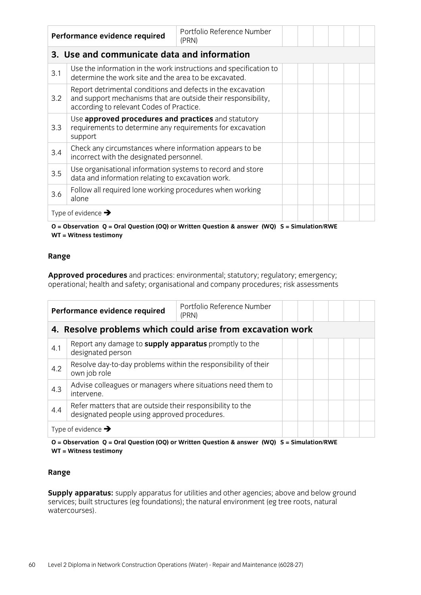| Performance evidence required |                                                                                                                                                                          | Portfolio Reference Number<br>(PRN) |  |  |  |  |  |
|-------------------------------|--------------------------------------------------------------------------------------------------------------------------------------------------------------------------|-------------------------------------|--|--|--|--|--|
|                               | 3. Use and communicate data and information                                                                                                                              |                                     |  |  |  |  |  |
| 3.1                           | Use the information in the work instructions and specification to<br>determine the work site and the area to be excavated.                                               |                                     |  |  |  |  |  |
| 3.2                           | Report detrimental conditions and defects in the excavation<br>and support mechanisms that are outside their responsibility,<br>according to relevant Codes of Practice. |                                     |  |  |  |  |  |
| 3.3                           | Use approved procedures and practices and statutory<br>requirements to determine any requirements for excavation<br>support                                              |                                     |  |  |  |  |  |
| 3.4                           | Check any circumstances where information appears to be<br>incorrect with the designated personnel.                                                                      |                                     |  |  |  |  |  |
| 3.5                           | Use organisational information systems to record and store<br>data and information relating to excavation work.                                                          |                                     |  |  |  |  |  |
| 3.6                           | Follow all required lone working procedures when working<br>alone                                                                                                        |                                     |  |  |  |  |  |
|                               | Type of evidence $\rightarrow$                                                                                                                                           |                                     |  |  |  |  |  |

**O = Observation Q = Oral Question (OQ) or Written Question & answer (WQ) S = Simulation/RWE WT = Witness testimony**

#### **Range**

**Approved procedures** and practices: environmental; statutory; regulatory; emergency; operational; health and safety; organisational and company procedures; risk assessments

|     | Performance evidence required                                                                              | Portfolio Reference Number<br>(PRN) |  |  |  |  |  |
|-----|------------------------------------------------------------------------------------------------------------|-------------------------------------|--|--|--|--|--|
|     | 4. Resolve problems which could arise from excavation work                                                 |                                     |  |  |  |  |  |
| 4.1 | Report any damage to supply apparatus promptly to the<br>designated person                                 |                                     |  |  |  |  |  |
| 4.2 | Resolve day-to-day problems within the responsibility of their<br>own job role                             |                                     |  |  |  |  |  |
| 4.3 | Advise colleagues or managers where situations need them to<br>intervene.                                  |                                     |  |  |  |  |  |
| 4.4 | Refer matters that are outside their responsibility to the<br>designated people using approved procedures. |                                     |  |  |  |  |  |
|     | Type of evidence $\rightarrow$                                                                             |                                     |  |  |  |  |  |

**O = Observation Q = Oral Question (OQ) or Written Question & answer (WQ) S = Simulation/RWE WT = Witness testimony**

#### **Range**

**Supply apparatus:** supply apparatus for utilities and other agencies; above and below ground services; built structures (eg foundations); the natural environment (eg tree roots, natural watercourses).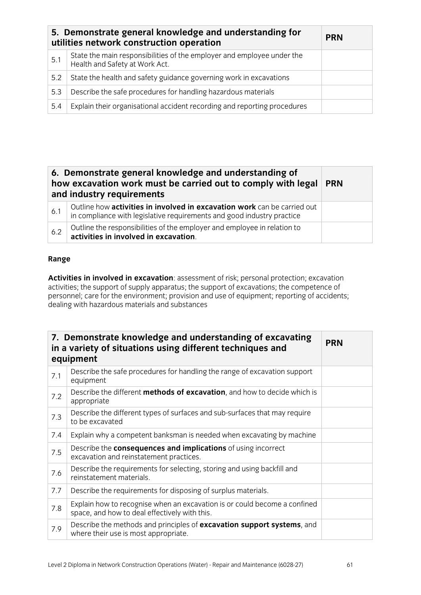|     | 5. Demonstrate general knowledge and understanding for<br>utilities network construction operation       |  |  |
|-----|----------------------------------------------------------------------------------------------------------|--|--|
| 5.1 | State the main responsibilities of the employer and employee under the<br>Health and Safety at Work Act. |  |  |
| 5.2 | State the health and safety guidance governing work in excavations                                       |  |  |
| 5.3 | Describe the safe procedures for handling hazardous materials                                            |  |  |
| 5.4 | Explain their organisational accident recording and reporting procedures                                 |  |  |

### **6. Demonstrate general knowledge and understanding of how excavation work must be carried out to comply with legal and industry requirements PRN**  6.1 Outline how **activities in involved in excavation work** can be carried out in compliance with legislative requirements and good industry practice  $\overline{6.2}$  Outline the responsibilities of the employer and employee in relation to **activities in involved in excavation**.

### **Range**

**Activities in involved in excavation**: assessment of risk; personal protection; excavation activities; the support of supply apparatus; the support of excavations; the competence of personnel; care for the environment; provision and use of equipment; reporting of accidents; dealing with hazardous materials and substances

| 7. Demonstrate knowledge and understanding of excavating<br>in a variety of situations using different techniques and<br>equipment | <b>PRN</b>                                                                                                                 |  |
|------------------------------------------------------------------------------------------------------------------------------------|----------------------------------------------------------------------------------------------------------------------------|--|
| 7.1                                                                                                                                | Describe the safe procedures for handling the range of excavation support<br>equipment                                     |  |
| 7.2                                                                                                                                | Describe the different methods of excavation, and how to decide which is<br>appropriate                                    |  |
| 7.3                                                                                                                                | Describe the different types of surfaces and sub-surfaces that may require<br>to be excavated                              |  |
| 7.4                                                                                                                                | Explain why a competent banksman is needed when excavating by machine                                                      |  |
| 7.5                                                                                                                                | Describe the <b>consequences and implications</b> of using incorrect<br>excavation and reinstatement practices.            |  |
| 7.6                                                                                                                                | Describe the requirements for selecting, storing and using backfill and<br>reinstatement materials.                        |  |
| 7.7                                                                                                                                | Describe the requirements for disposing of surplus materials.                                                              |  |
| 7.8                                                                                                                                | Explain how to recognise when an excavation is or could become a confined<br>space, and how to deal effectively with this. |  |
| 7.9                                                                                                                                | Describe the methods and principles of excavation support systems, and<br>where their use is most appropriate.             |  |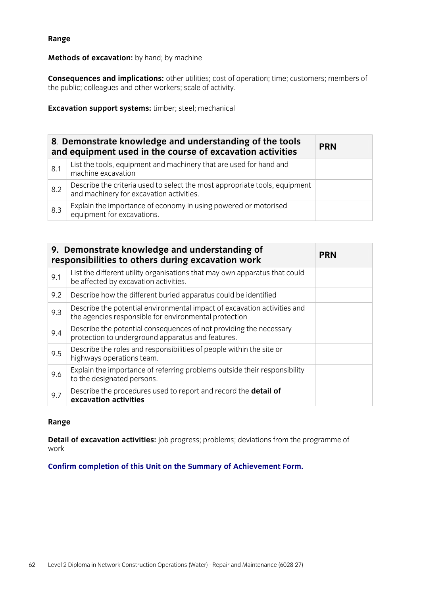#### **Methods of excavation:** by hand; by machine

**Consequences and implications:** other utilities; cost of operation; time; customers; members of the public; colleagues and other workers; scale of activity.

#### **Excavation support systems:** timber; steel; mechanical

|     | 8. Demonstrate knowledge and understanding of the tools<br>and equipment used in the course of excavation activities   |  |  |
|-----|------------------------------------------------------------------------------------------------------------------------|--|--|
| 8.1 | List the tools, equipment and machinery that are used for hand and<br>machine excavation                               |  |  |
| 8.2 | Describe the criteria used to select the most appropriate tools, equipment<br>and machinery for excavation activities. |  |  |
| 8.3 | Explain the importance of economy in using powered or motorised<br>equipment for excavations.                          |  |  |

|     | 9. Demonstrate knowledge and understanding of<br>responsibilities to others during excavation work                                |  |  |
|-----|-----------------------------------------------------------------------------------------------------------------------------------|--|--|
| 9.1 | List the different utility organisations that may own apparatus that could<br>be affected by excavation activities.               |  |  |
| 9.2 | Describe how the different buried apparatus could be identified                                                                   |  |  |
| 9.3 | Describe the potential environmental impact of excavation activities and<br>the agencies responsible for environmental protection |  |  |
| 9.4 | Describe the potential consequences of not providing the necessary<br>protection to underground apparatus and features.           |  |  |
| 9.5 | Describe the roles and responsibilities of people within the site or<br>highways operations team.                                 |  |  |
| 9.6 | Explain the importance of referring problems outside their responsibility<br>to the designated persons.                           |  |  |
| 9.7 | Describe the procedures used to report and record the detail of<br>excavation activities                                          |  |  |

#### **Range**

**Detail of excavation activities:** job progress; problems; deviations from the programme of work

**Confirm completion of this Unit on the Summary of Achievement Form.**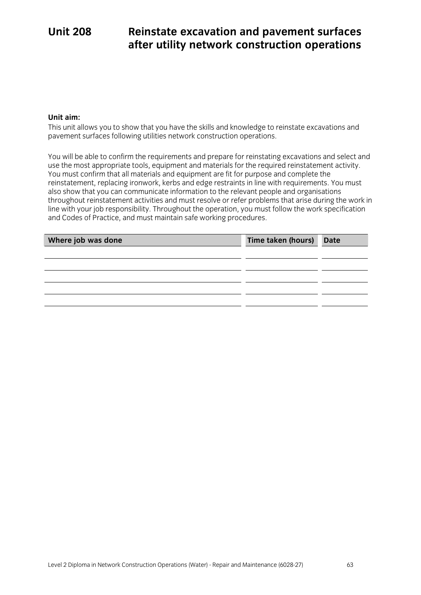# **Unit 208 Reinstate excavation and pavement surfaces after utility network construction operations**

#### **Unit aim:**

This unit allows you to show that you have the skills and knowledge to reinstate excavations and pavement surfaces following utilities network construction operations.

You will be able to confirm the requirements and prepare for reinstating excavations and select and use the most appropriate tools, equipment and materials for the required reinstatement activity. You must confirm that all materials and equipment are fit for purpose and complete the reinstatement, replacing ironwork, kerbs and edge restraints in line with requirements. You must also show that you can communicate information to the relevant people and organisations throughout reinstatement activities and must resolve or refer problems that arise during the work in line with your job responsibility. Throughout the operation, you must follow the work specification and Codes of Practice, and must maintain safe working procedures.

| Where job was done | Time taken (hours) Date |  |
|--------------------|-------------------------|--|
|                    |                         |  |
|                    |                         |  |
|                    |                         |  |
|                    |                         |  |
|                    |                         |  |
|                    |                         |  |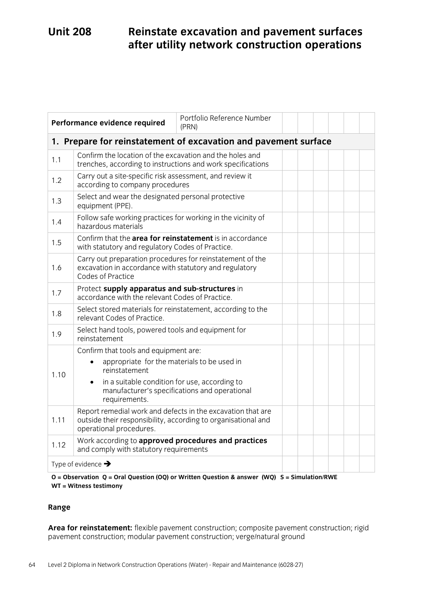# **Unit 208 Reinstate excavation and pavement surfaces after utility network construction operations**

|      | Performance evidence required                                                                                                                           | Portfolio Reference Number<br>(PRN)           |  |  |  |  |
|------|---------------------------------------------------------------------------------------------------------------------------------------------------------|-----------------------------------------------|--|--|--|--|
|      | 1. Prepare for reinstatement of excavation and pavement surface                                                                                         |                                               |  |  |  |  |
| 1.1  | Confirm the location of the excavation and the holes and<br>trenches, according to instructions and work specifications                                 |                                               |  |  |  |  |
| 1.2  | Carry out a site-specific risk assessment, and review it<br>according to company procedures                                                             |                                               |  |  |  |  |
| 1.3  | Select and wear the designated personal protective<br>equipment (PPE).                                                                                  |                                               |  |  |  |  |
| 1.4  | Follow safe working practices for working in the vicinity of<br>hazardous materials                                                                     |                                               |  |  |  |  |
| 1.5  | Confirm that the area for reinstatement is in accordance<br>with statutory and regulatory Codes of Practice.                                            |                                               |  |  |  |  |
| 1.6  | Carry out preparation procedures for reinstatement of the<br>excavation in accordance with statutory and regulatory<br>Codes of Practice                |                                               |  |  |  |  |
| 1.7  | Protect supply apparatus and sub-structures in<br>accordance with the relevant Codes of Practice.                                                       |                                               |  |  |  |  |
| 1.8  | Select stored materials for reinstatement, according to the<br>relevant Codes of Practice.                                                              |                                               |  |  |  |  |
| 1.9  | Select hand tools, powered tools and equipment for<br>reinstatement                                                                                     |                                               |  |  |  |  |
|      | Confirm that tools and equipment are:                                                                                                                   |                                               |  |  |  |  |
| 1.10 | appropriate for the materials to be used in<br>$\bullet$<br>reinstatement                                                                               |                                               |  |  |  |  |
|      | in a suitable condition for use, according to<br>$\bullet$<br>requirements.                                                                             | manufacturer's specifications and operational |  |  |  |  |
| 1.11 | Report remedial work and defects in the excavation that are<br>outside their responsibility, according to organisational and<br>operational procedures. |                                               |  |  |  |  |
| 1.12 | Work according to approved procedures and practices<br>and comply with statutory requirements                                                           |                                               |  |  |  |  |
|      | Type of evidence $\rightarrow$                                                                                                                          |                                               |  |  |  |  |

**O = Observation Q = Oral Question (OQ) or Written Question & answer (WQ) S = Simulation/RWE WT = Witness testimony**

### **Range**

**Area for reinstatement:** flexible pavement construction; composite pavement construction; rigid pavement construction; modular pavement construction; verge/natural ground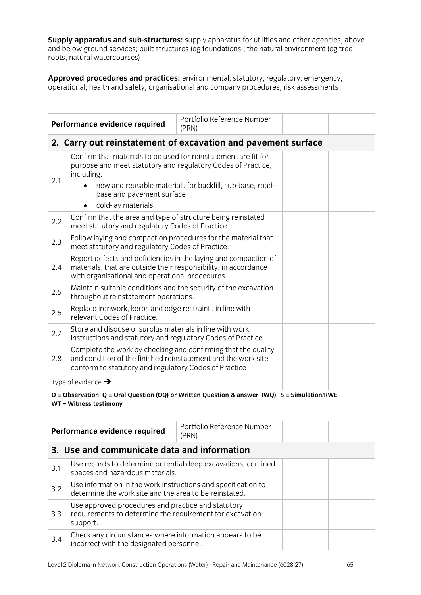**Supply apparatus and sub-structures:** supply apparatus for utilities and other agencies; above and below ground services; built structures (eg foundations); the natural environment (eg tree roots, natural watercourses)

**Approved procedures and practices:** environmental; statutory; regulatory; emergency; operational; health and safety; organisational and company procedures; risk assessments

|     | Performance evidence required                                                                                                                                                                     | Portfolio Reference Number<br>(PRN)                      |  |  |  |  |  |
|-----|---------------------------------------------------------------------------------------------------------------------------------------------------------------------------------------------------|----------------------------------------------------------|--|--|--|--|--|
|     | 2. Carry out reinstatement of excavation and pavement surface                                                                                                                                     |                                                          |  |  |  |  |  |
| 2.1 | Confirm that materials to be used for reinstatement are fit for<br>purpose and meet statutory and regulatory Codes of Practice,<br>including:<br>base and pavement surface<br>cold-lay materials. | new and reusable materials for backfill, sub-base, road- |  |  |  |  |  |
| 2.2 | Confirm that the area and type of structure being reinstated<br>meet statutory and regulatory Codes of Practice.                                                                                  |                                                          |  |  |  |  |  |
| 2.3 | Follow laying and compaction procedures for the material that<br>meet statutory and regulatory Codes of Practice.                                                                                 |                                                          |  |  |  |  |  |
| 2.4 | Report defects and deficiencies in the laying and compaction of<br>materials, that are outside their responsibility, in accordance<br>with organisational and operational procedures.             |                                                          |  |  |  |  |  |
| 2.5 | Maintain suitable conditions and the security of the excavation<br>throughout reinstatement operations.                                                                                           |                                                          |  |  |  |  |  |
| 2.6 | Replace ironwork, kerbs and edge restraints in line with<br>relevant Codes of Practice.                                                                                                           |                                                          |  |  |  |  |  |
| 2.7 | Store and dispose of surplus materials in line with work<br>instructions and statutory and regulatory Codes of Practice.                                                                          |                                                          |  |  |  |  |  |
| 2.8 | Complete the work by checking and confirming that the quality<br>and condition of the finished reinstatement and the work site<br>conform to statutory and regulatory Codes of Practice           |                                                          |  |  |  |  |  |
|     | Type of evidence $\rightarrow$                                                                                                                                                                    |                                                          |  |  |  |  |  |

**O = Observation Q = Oral Question (OQ) or Written Question & answer (WQ) S = Simulation/RWE WT = Witness testimony**

|     | Performance evidence required                                                                                              | Portfolio Reference Number<br>(PRN) |  |  |  |  |  |  |  |
|-----|----------------------------------------------------------------------------------------------------------------------------|-------------------------------------|--|--|--|--|--|--|--|
|     | 3. Use and communicate data and information                                                                                |                                     |  |  |  |  |  |  |  |
| 3.1 | Use records to determine potential deep excavations, confined<br>spaces and hazardous materials.                           |                                     |  |  |  |  |  |  |  |
| 3.2 | Use information in the work instructions and specification to<br>determine the work site and the area to be reinstated.    |                                     |  |  |  |  |  |  |  |
| 3.3 | Use approved procedures and practice and statutory<br>requirements to determine the requirement for excavation<br>support. |                                     |  |  |  |  |  |  |  |
| 3.4 | Check any circumstances where information appears to be<br>incorrect with the designated personnel.                        |                                     |  |  |  |  |  |  |  |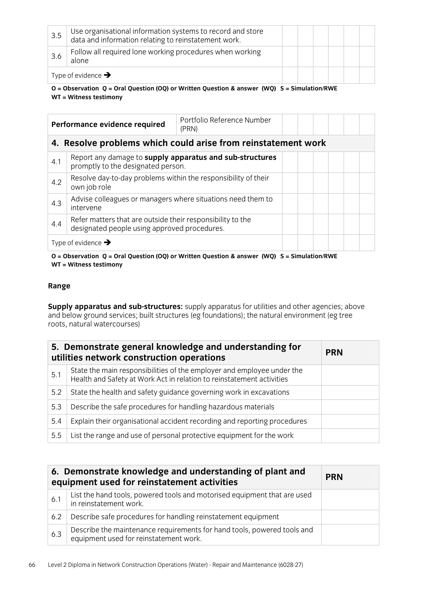| 3.5 | Use organisational information systems to record and store<br>data and information relating to reinstatement work. |  |  |  |  |
|-----|--------------------------------------------------------------------------------------------------------------------|--|--|--|--|
| 3.6 | Follow all required lone working procedures when working<br>alone                                                  |  |  |  |  |
|     | Type of evidence $\rightarrow$                                                                                     |  |  |  |  |

**O = Observation Q = Oral Question (OQ) or Written Question & answer (WQ) S = Simulation/RWE WT = Witness testimony**

|     | Performance evidence required                                                                              | Portfolio Reference Number<br>(PRN) |  |  |  |  |
|-----|------------------------------------------------------------------------------------------------------------|-------------------------------------|--|--|--|--|
|     | 4. Resolve problems which could arise from reinstatement work                                              |                                     |  |  |  |  |
| 4.1 | Report any damage to supply apparatus and sub-structures<br>promptly to the designated person.             |                                     |  |  |  |  |
| 4.2 | Resolve day-to-day problems within the responsibility of their<br>own job role                             |                                     |  |  |  |  |
| 4.3 | Advise colleagues or managers where situations need them to<br>intervene                                   |                                     |  |  |  |  |
| 4.4 | Refer matters that are outside their responsibility to the<br>designated people using approved procedures. |                                     |  |  |  |  |
|     | Type of evidence $\rightarrow$                                                                             |                                     |  |  |  |  |

#### **O = Observation Q = Oral Question (OQ) or Written Question & answer (WQ) S = Simulation/RWE WT = Witness testimony**

#### **Range**

**Supply apparatus and sub-structures:** supply apparatus for utilities and other agencies; above and below ground services; built structures (eg foundations); the natural environment (eg tree roots, natural watercourses)

|     | 5. Demonstrate general knowledge and understanding for<br>utilities network construction operations                                          | <b>PRN</b> |
|-----|----------------------------------------------------------------------------------------------------------------------------------------------|------------|
| 5.1 | State the main responsibilities of the employer and employee under the Health and Safety at Work Act in relation to reinstatement activities |            |
| 5.2 | State the health and safety guidance governing work in excavations                                                                           |            |
| 5.3 | Describe the safe procedures for handling hazardous materials                                                                                |            |
| 5.4 | Explain their organisational accident recording and reporting procedures                                                                     |            |
| 5.5 | List the range and use of personal protective equipment for the work                                                                         |            |

|     | 6. Demonstrate knowledge and understanding of plant and<br>equipment used for reinstatement activities            | <b>PRN</b> |
|-----|-------------------------------------------------------------------------------------------------------------------|------------|
| 6.1 | List the hand tools, powered tools and motorised equipment that are used<br>in reinstatement work.                |            |
| 6.2 | Describe safe procedures for handling reinstatement equipment                                                     |            |
| 6.3 | Describe the maintenance requirements for hand tools, powered tools and<br>equipment used for reinstatement work. |            |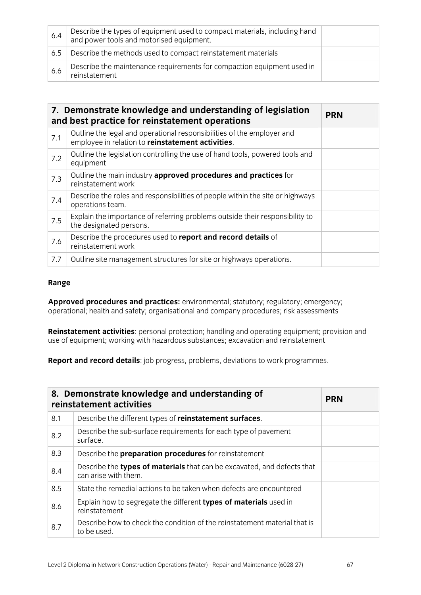| 6.4 | Describe the types of equipment used to compact materials, including hand<br>and power tools and motorised equipment. |  |
|-----|-----------------------------------------------------------------------------------------------------------------------|--|
| 6.5 | Describe the methods used to compact reinstatement materials                                                          |  |
| 6.6 | Describe the maintenance requirements for compaction equipment used in<br>reinstatement                               |  |

|     | 7. Demonstrate knowledge and understanding of legislation<br>and best practice for reinstatement operations                 | <b>PRN</b> |
|-----|-----------------------------------------------------------------------------------------------------------------------------|------------|
| 7.1 | Outline the legal and operational responsibilities of the employer and<br>employee in relation to reinstatement activities. |            |
| 7.2 | Outline the legislation controlling the use of hand tools, powered tools and<br>equipment                                   |            |
| 7.3 | Outline the main industry approved procedures and practices for<br>reinstatement work                                       |            |
| 7.4 | Describe the roles and responsibilities of people within the site or highways<br>operations team.                           |            |
| 7.5 | Explain the importance of referring problems outside their responsibility to<br>the designated persons.                     |            |
| 7.6 | Describe the procedures used to report and record details of<br>reinstatement work                                          |            |
| 7.7 | Outline site management structures for site or highways operations.                                                         |            |

**Approved procedures and practices:** environmental; statutory; regulatory; emergency; operational; health and safety; organisational and company procedures; risk assessments

**Reinstatement activities**: personal protection; handling and operating equipment; provision and use of equipment; working with hazardous substances; excavation and reinstatement

**Report and record details**: job progress, problems, deviations to work programmes.

|     | 8. Demonstrate knowledge and understanding of<br>reinstatement activities                       | <b>PRN</b> |
|-----|-------------------------------------------------------------------------------------------------|------------|
| 8.1 | Describe the different types of reinstatement surfaces.                                         |            |
| 8.2 | Describe the sub-surface requirements for each type of pavement<br>surface.                     |            |
| 8.3 | Describe the <b>preparation procedures</b> for reinstatement                                    |            |
| 8.4 | Describe the types of materials that can be excavated, and defects that<br>can arise with them. |            |
| 8.5 | State the remedial actions to be taken when defects are encountered                             |            |
| 8.6 | Explain how to segregate the different types of materials used in<br>reinstatement              |            |
| 8.7 | Describe how to check the condition of the reinstatement material that is<br>to be used.        |            |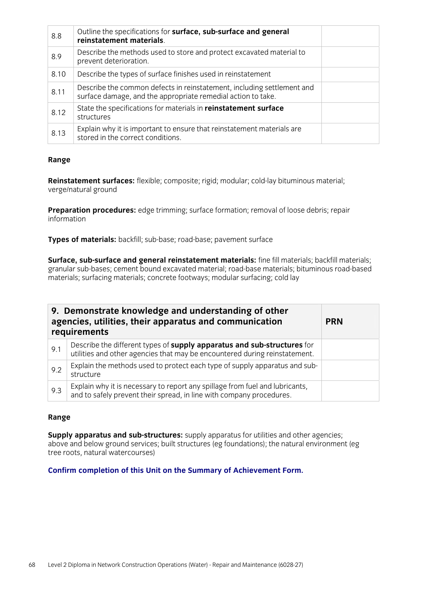| 8.8  | Outline the specifications for surface, sub-surface and general<br>reinstatement materials.                                            |  |
|------|----------------------------------------------------------------------------------------------------------------------------------------|--|
| 8.9  | Describe the methods used to store and protect excavated material to<br>prevent deterioration.                                         |  |
| 8.10 | Describe the types of surface finishes used in reinstatement                                                                           |  |
| 8.11 | Describe the common defects in reinstatement, including settlement and<br>surface damage, and the appropriate remedial action to take. |  |
| 8.12 | State the specifications for materials in reinstatement surface<br>structures                                                          |  |
| 8.13 | Explain why it is important to ensure that reinstatement materials are<br>stored in the correct conditions.                            |  |

**Reinstatement surfaces:** flexible; composite; rigid; modular; cold-lay bituminous material; verge/natural ground

**Preparation procedures:** edge trimming; surface formation; removal of loose debris; repair information

**Types of materials:** backfill; sub-base; road-base; pavement surface

**Surface, sub-surface and general reinstatement materials:** fine fill materials; backfill materials; granular sub-bases; cement bound excavated material; road-base materials; bituminous road-based materials; surfacing materials; concrete footways; modular surfacing; cold lay

| 9. Demonstrate knowledge and understanding of other<br>agencies, utilities, their apparatus and communication<br>requirements |                                                                                                                                                       | <b>PRN</b> |
|-------------------------------------------------------------------------------------------------------------------------------|-------------------------------------------------------------------------------------------------------------------------------------------------------|------------|
| 9.1                                                                                                                           | Describe the different types of supply apparatus and sub-structures for<br>utilities and other agencies that may be encountered during reinstatement. |            |
| 9.2                                                                                                                           | Explain the methods used to protect each type of supply apparatus and sub-<br>structure                                                               |            |
| 9.3                                                                                                                           | Explain why it is necessary to report any spillage from fuel and lubricants, and to safely prevent their spread, in line with company procedures.     |            |

### **Range**

**Supply apparatus and sub-structures:** supply apparatus for utilities and other agencies; above and below ground services; built structures (eg foundations); the natural environment (eg tree roots, natural watercourses)

### **Confirm completion of this Unit on the Summary of Achievement Form.**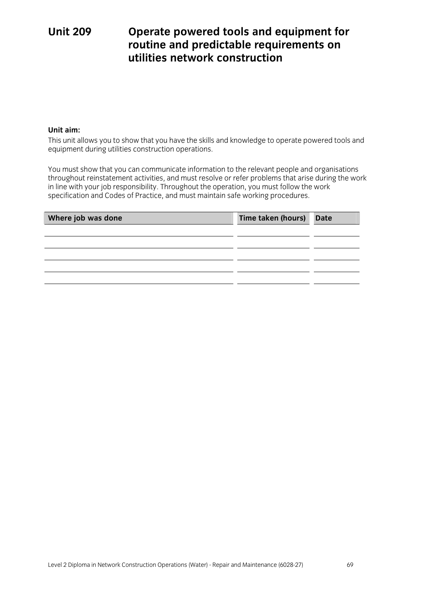## **Unit 209 Operate powered tools and equipment for routine and predictable requirements on utilities network construction**

#### **Unit aim:**

This unit allows you to show that you have the skills and knowledge to operate powered tools and equipment during utilities construction operations.

You must show that you can communicate information to the relevant people and organisations throughout reinstatement activities, and must resolve or refer problems that arise during the work in line with your job responsibility. Throughout the operation, you must follow the work specification and Codes of Practice, and must maintain safe working procedures.

| Where job was done | Time taken (hours) | <b>Date</b> |
|--------------------|--------------------|-------------|
|                    |                    |             |
|                    |                    |             |
|                    |                    |             |
|                    |                    |             |
|                    |                    |             |
|                    |                    |             |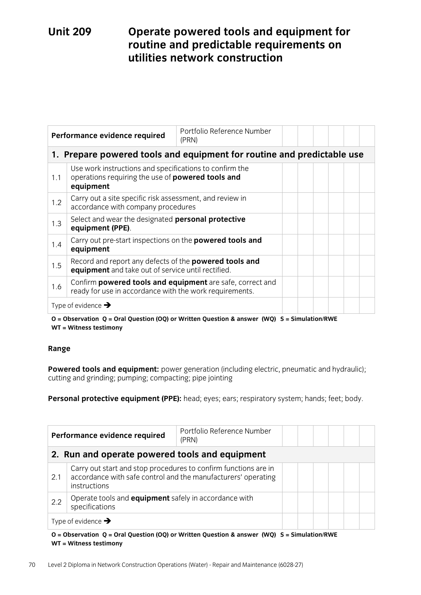# **Unit 209 Operate powered tools and equipment for routine and predictable requirements on utilities network construction**

| Performance evidence required                                                                                               |                                                                                                                           | Portfolio Reference Number<br>(PRN) |  |  |  |  |
|-----------------------------------------------------------------------------------------------------------------------------|---------------------------------------------------------------------------------------------------------------------------|-------------------------------------|--|--|--|--|
| 1. Prepare powered tools and equipment for routine and predictable use                                                      |                                                                                                                           |                                     |  |  |  |  |
| 1.1                                                                                                                         | Use work instructions and specifications to confirm the<br>operations requiring the use of powered tools and<br>equipment |                                     |  |  |  |  |
| 1.2                                                                                                                         | Carry out a site specific risk assessment, and review in<br>accordance with company procedures                            |                                     |  |  |  |  |
| 1.3                                                                                                                         | Select and wear the designated personal protective<br>equipment (PPE).                                                    |                                     |  |  |  |  |
| 1.4                                                                                                                         | Carry out pre-start inspections on the powered tools and<br>equipment                                                     |                                     |  |  |  |  |
| 1.5                                                                                                                         | Record and report any defects of the <b>powered tools and</b><br>equipment and take out of service until rectified.       |                                     |  |  |  |  |
| Confirm powered tools and equipment are safe, correct and<br>1.6<br>ready for use in accordance with the work requirements. |                                                                                                                           |                                     |  |  |  |  |
|                                                                                                                             | Type of evidence $\rightarrow$                                                                                            |                                     |  |  |  |  |

**O = Observation Q = Oral Question (OQ) or Written Question & answer (WQ) S = Simulation/RWE WT = Witness testimony**

### **Range**

**Powered tools and equipment:** power generation (including electric, pneumatic and hydraulic); cutting and grinding; pumping; compacting; pipe jointing

Personal protective equipment (PPE): head; eyes; ears; respiratory system; hands; feet; body.

|                                                                                       | Performance evidence required                                                                                                                    | Portfolio Reference Number<br>(PRN) |  |  |  |
|---------------------------------------------------------------------------------------|--------------------------------------------------------------------------------------------------------------------------------------------------|-------------------------------------|--|--|--|
| 2. Run and operate powered tools and equipment                                        |                                                                                                                                                  |                                     |  |  |  |
| 2.1                                                                                   | Carry out start and stop procedures to confirm functions are in<br>accordance with safe control and the manufacturers' operating<br>instructions |                                     |  |  |  |
| Operate tools and <b>equipment</b> safely in accordance with<br>2.2<br>specifications |                                                                                                                                                  |                                     |  |  |  |
|                                                                                       | Type of evidence $\rightarrow$                                                                                                                   |                                     |  |  |  |

**O = Observation Q = Oral Question (OQ) or Written Question & answer (WQ) S = Simulation/RWE WT = Witness testimony**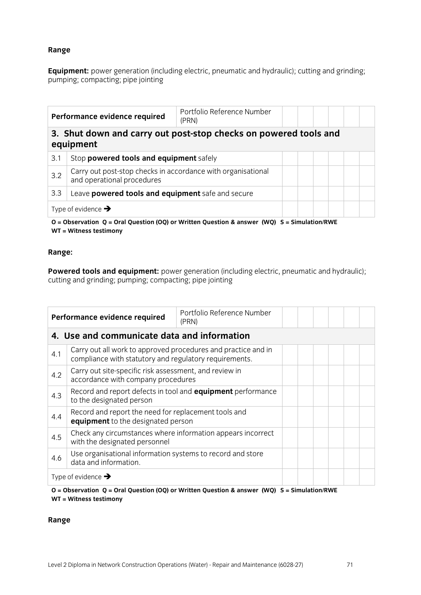**Equipment:** power generation (including electric, pneumatic and hydraulic); cutting and grinding; pumping; compacting; pipe jointing

|                                                                               | Performance evidence required                                                              | Portfolio Reference Number<br>(PRN) |  |  |  |  |
|-------------------------------------------------------------------------------|--------------------------------------------------------------------------------------------|-------------------------------------|--|--|--|--|
| 3. Shut down and carry out post-stop checks on powered tools and<br>equipment |                                                                                            |                                     |  |  |  |  |
| 3.1                                                                           | Stop powered tools and equipment safely                                                    |                                     |  |  |  |  |
| 3.2                                                                           | Carry out post-stop checks in accordance with organisational<br>and operational procedures |                                     |  |  |  |  |
| 3.3                                                                           | Leave powered tools and equipment safe and secure                                          |                                     |  |  |  |  |
|                                                                               | Type of evidence $\rightarrow$                                                             |                                     |  |  |  |  |

**O = Observation Q = Oral Question (OQ) or Written Question & answer (WQ) S = Simulation/RWE WT = Witness testimony**

#### **Range:**

**Powered tools and equipment:** power generation (including electric, pneumatic and hydraulic); cutting and grinding; pumping; compacting; pipe jointing

| Performance evidence required               |                                                                                                                         | Portfolio Reference Number<br>(PRN) |  |  |  |  |  |  |
|---------------------------------------------|-------------------------------------------------------------------------------------------------------------------------|-------------------------------------|--|--|--|--|--|--|
| 4. Use and communicate data and information |                                                                                                                         |                                     |  |  |  |  |  |  |
| 4.1                                         | Carry out all work to approved procedures and practice and in<br>compliance with statutory and regulatory requirements. |                                     |  |  |  |  |  |  |
| 4.2                                         | Carry out site-specific risk assessment, and review in<br>accordance with company procedures                            |                                     |  |  |  |  |  |  |
| 4.3                                         | Record and report defects in tool and equipment performance<br>to the designated person                                 |                                     |  |  |  |  |  |  |
| 4.4                                         | Record and report the need for replacement tools and<br>equipment to the designated person                              |                                     |  |  |  |  |  |  |
| 4.5                                         | Check any circumstances where information appears incorrect<br>with the designated personnel                            |                                     |  |  |  |  |  |  |
| 4.6                                         | Use organisational information systems to record and store<br>data and information.                                     |                                     |  |  |  |  |  |  |
| Type of evidence $\rightarrow$              |                                                                                                                         |                                     |  |  |  |  |  |  |

**O = Observation Q = Oral Question (OQ) or Written Question & answer (WQ) S = Simulation/RWE WT = Witness testimony**

#### **Range**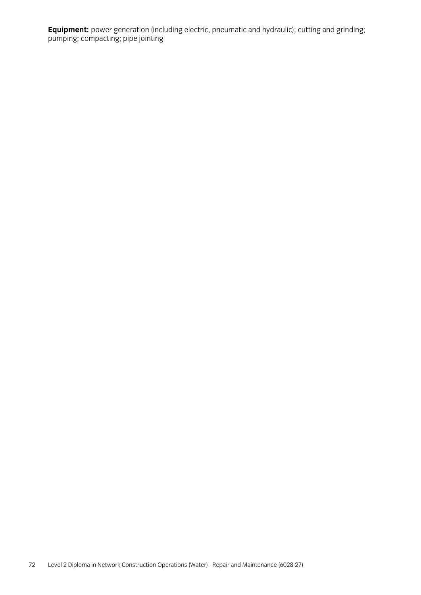**Equipment:** power generation (including electric, pneumatic and hydraulic); cutting and grinding; pumping; compacting; pipe jointing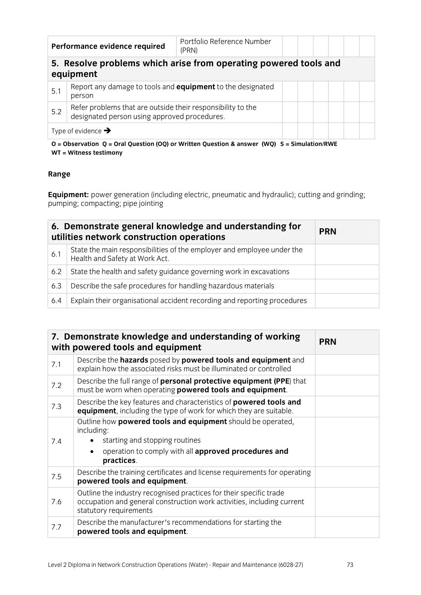|     | Performance evidence required                                                                            | Portfolio Reference Number<br>(PRN) |  |  |  |  |  |
|-----|----------------------------------------------------------------------------------------------------------|-------------------------------------|--|--|--|--|--|
|     | 5. Resolve problems which arise from operating powered tools and<br>equipment                            |                                     |  |  |  |  |  |
| 5.1 | Report any damage to tools and <b>equipment</b> to the designated<br>person                              |                                     |  |  |  |  |  |
| 5.2 | Refer problems that are outside their responsibility to the designated person using approved procedures. |                                     |  |  |  |  |  |
|     | Type of evidence $\rightarrow$                                                                           |                                     |  |  |  |  |  |

## **Range**

**Equipment:** power generation (including electric, pneumatic and hydraulic); cutting and grinding; pumping; compacting; pipe jointing

|     | 6. Demonstrate general knowledge and understanding for<br>utilities network construction operations      | <b>PRN</b> |
|-----|----------------------------------------------------------------------------------------------------------|------------|
| 6.1 | State the main responsibilities of the employer and employee under the<br>Health and Safety at Work Act. |            |
| 6.2 | State the health and safety guidance governing work in excavations                                       |            |
| 6.3 | Describe the safe procedures for handling hazardous materials                                            |            |
| 6.4 | Explain their organisational accident recording and reporting procedures                                 |            |

|     | 7. Demonstrate knowledge and understanding of working<br>with powered tools and equipment                                                                                         |  |  |
|-----|-----------------------------------------------------------------------------------------------------------------------------------------------------------------------------------|--|--|
| 7.1 | Describe the hazards posed by powered tools and equipment and<br>explain how the associated risks must be illuminated or controlled                                               |  |  |
| 7.2 | Describe the full range of personal protective equipment (PPE) that<br>must be worn when operating powered tools and equipment.                                                   |  |  |
| 7.3 | Describe the key features and characteristics of powered tools and<br>equipment, including the type of work for which they are suitable.                                          |  |  |
| 7.4 | Outline how powered tools and equipment should be operated,<br>including:<br>starting and stopping routines<br>operation to comply with all approved procedures and<br>practices. |  |  |
| 7.5 | Describe the training certificates and license requirements for operating<br>powered tools and equipment.                                                                         |  |  |
| 7.6 | Outline the industry recognised practices for their specific trade<br>occupation and general construction work activities, including current<br>statutory requirements            |  |  |
| 7.7 | Describe the manufacturer's recommendations for starting the<br>powered tools and equipment.                                                                                      |  |  |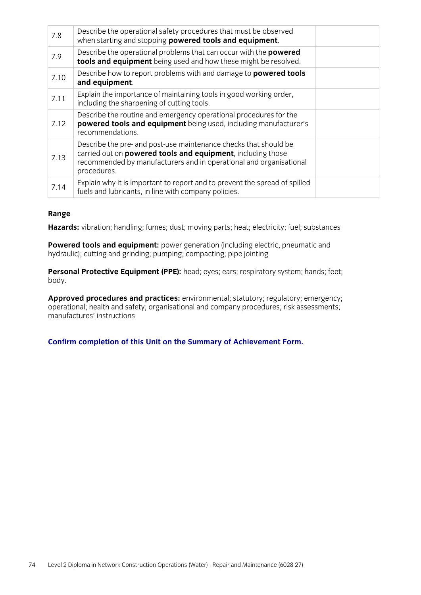| 7.8  | Describe the operational safety procedures that must be observed<br>when starting and stopping powered tools and equipment.                                                                                          |  |
|------|----------------------------------------------------------------------------------------------------------------------------------------------------------------------------------------------------------------------|--|
| 7.9  | Describe the operational problems that can occur with the <b>powered</b><br>tools and equipment being used and how these might be resolved.                                                                          |  |
| 7.10 | Describe how to report problems with and damage to <b>powered tools</b><br>and equipment.                                                                                                                            |  |
| 7.11 | Explain the importance of maintaining tools in good working order,<br>including the sharpening of cutting tools.                                                                                                     |  |
| 7.12 | Describe the routine and emergency operational procedures for the<br>powered tools and equipment being used, including manufacturer's<br>recommendations.                                                            |  |
| 7.13 | Describe the pre- and post-use maintenance checks that should be<br>carried out on powered tools and equipment, including those<br>recommended by manufacturers and in operational and organisational<br>procedures. |  |
| 7.14 | Explain why it is important to report and to prevent the spread of spilled<br>fuels and lubricants, in line with company policies.                                                                                   |  |

## **Range**

Hazards: vibration; handling; fumes; dust; moving parts; heat; electricity; fuel; substances

**Powered tools and equipment:** power generation (including electric, pneumatic and hydraulic); cutting and grinding; pumping; compacting; pipe jointing

Personal Protective Equipment (PPE): head; eyes; ears; respiratory system; hands; feet; body.

**Approved procedures and practices:** environmental; statutory; regulatory; emergency; operational; health and safety; organisational and company procedures; risk assessments; manufactures' instructions

**Confirm completion of this Unit on the Summary of Achievement Form.**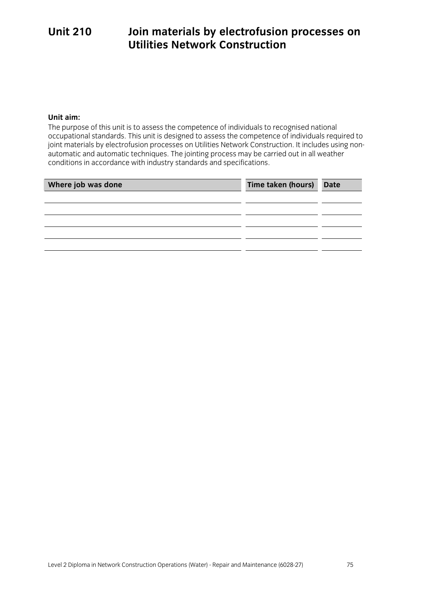### **Unit aim:**

The purpose of this unit is to assess the competence of individuals to recognised national occupational standards. This unit is designed to assess the competence of individuals required to joint materials by electrofusion processes on Utilities Network Construction. It includes using nonautomatic and automatic techniques. The jointing process may be carried out in all weather conditions in accordance with industry standards and specifications.

| Where job was done | Time taken (hours) Date |  |
|--------------------|-------------------------|--|
|                    |                         |  |
|                    |                         |  |
|                    |                         |  |
|                    |                         |  |
|                    |                         |  |
|                    |                         |  |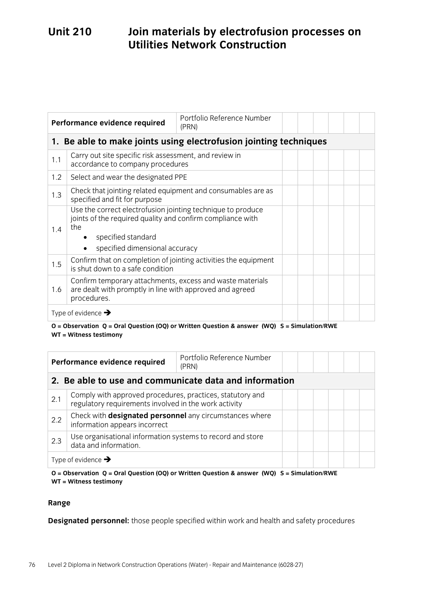# **Unit 210 Join materials by electrofusion processes on Utilities Network Construction**

|                                                                                                                                             | Performance evidence required                                                                                                                                                            | Portfolio Reference Number<br>(PRN) |  |  |  |  |  |  |
|---------------------------------------------------------------------------------------------------------------------------------------------|------------------------------------------------------------------------------------------------------------------------------------------------------------------------------------------|-------------------------------------|--|--|--|--|--|--|
|                                                                                                                                             | 1. Be able to make joints using electrofusion jointing techniques                                                                                                                        |                                     |  |  |  |  |  |  |
| 1.1                                                                                                                                         | Carry out site specific risk assessment, and review in<br>accordance to company procedures                                                                                               |                                     |  |  |  |  |  |  |
| 1.2                                                                                                                                         | Select and wear the designated PPE                                                                                                                                                       |                                     |  |  |  |  |  |  |
| 1.3                                                                                                                                         | Check that jointing related equipment and consumables are as<br>specified and fit for purpose                                                                                            |                                     |  |  |  |  |  |  |
| 1.4                                                                                                                                         | Use the correct electrofusion jointing technique to produce<br>joints of the required quality and confirm compliance with<br>the<br>specified standard<br>specified dimensional accuracy |                                     |  |  |  |  |  |  |
| 1.5                                                                                                                                         | Confirm that on completion of jointing activities the equipment<br>is shut down to a safe condition                                                                                      |                                     |  |  |  |  |  |  |
| Confirm temporary attachments, excess and waste materials<br>are dealt with promptly in line with approved and agreed<br>1.6<br>procedures. |                                                                                                                                                                                          |                                     |  |  |  |  |  |  |
| Type of evidence $\rightarrow$                                                                                                              |                                                                                                                                                                                          |                                     |  |  |  |  |  |  |

#### **O = Observation Q = Oral Question (OQ) or Written Question & answer (WQ) S = Simulation/RWE WT = Witness testimony**

|     | Performance evidence required                                                                                      | Portfolio Reference Number<br>(PRN) |  |  |  |  |  |
|-----|--------------------------------------------------------------------------------------------------------------------|-------------------------------------|--|--|--|--|--|
|     | 2. Be able to use and communicate data and information                                                             |                                     |  |  |  |  |  |
| 2.1 | Comply with approved procedures, practices, statutory and<br>regulatory requirements involved in the work activity |                                     |  |  |  |  |  |
| 2.2 | Check with <b>designated personnel</b> any circumstances where<br>information appears incorrect                    |                                     |  |  |  |  |  |
| 2.3 | Use organisational information systems to record and store<br>data and information.                                |                                     |  |  |  |  |  |
|     | Type of evidence $\rightarrow$                                                                                     |                                     |  |  |  |  |  |

**O = Observation Q = Oral Question (OQ) or Written Question & answer (WQ) S = Simulation/RWE WT = Witness testimony**

## **Range**

**Designated personnel:** those people specified within work and health and safety procedures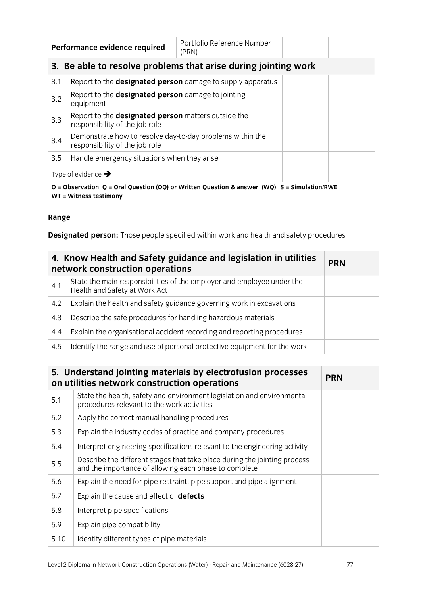| Performance evidence required  |                                                                                              | Portfolio Reference Number<br>(PRN) |  |  |  |  |  |
|--------------------------------|----------------------------------------------------------------------------------------------|-------------------------------------|--|--|--|--|--|
|                                | 3. Be able to resolve problems that arise during jointing work                               |                                     |  |  |  |  |  |
| 3.1                            | Report to the <b>designated person</b> damage to supply apparatus                            |                                     |  |  |  |  |  |
| 3.2                            | Report to the <b>designated person</b> damage to jointing<br>equipment                       |                                     |  |  |  |  |  |
| 3.3                            | Report to the <b>designated person</b> matters outside the<br>responsibility of the job role |                                     |  |  |  |  |  |
| 3.4                            | Demonstrate how to resolve day-to-day problems within the<br>responsibility of the job role  |                                     |  |  |  |  |  |
| 3.5                            | Handle emergency situations when they arise                                                  |                                     |  |  |  |  |  |
| Type of evidence $\rightarrow$ |                                                                                              |                                     |  |  |  |  |  |

## **Range**

**Designated person:** Those people specified within work and health and safety procedures

|     | 4. Know Health and Safety guidance and legislation in utilities<br>network construction operations      | <b>PRN</b> |
|-----|---------------------------------------------------------------------------------------------------------|------------|
| 4.1 | State the main responsibilities of the employer and employee under the<br>Health and Safety at Work Act |            |
| 4.2 | Explain the health and safety guidance governing work in excavations                                    |            |
| 4.3 | Describe the safe procedures for handling hazardous materials                                           |            |
| 4.4 | Explain the organisational accident recording and reporting procedures                                  |            |
| 4.5 | Identify the range and use of personal protective equipment for the work                                |            |

|      | 5. Understand jointing materials by electrofusion processes<br>on utilities network construction operations                        |  |  |
|------|------------------------------------------------------------------------------------------------------------------------------------|--|--|
| 5.1  | State the health, safety and environment legislation and environmental<br>procedures relevant to the work activities               |  |  |
| 5.2  | Apply the correct manual handling procedures                                                                                       |  |  |
| 5.3  | Explain the industry codes of practice and company procedures                                                                      |  |  |
| 5.4  | Interpret engineering specifications relevant to the engineering activity                                                          |  |  |
| 5.5  | Describe the different stages that take place during the jointing process<br>and the importance of allowing each phase to complete |  |  |
| 5.6  | Explain the need for pipe restraint, pipe support and pipe alignment                                                               |  |  |
| 5.7  | Explain the cause and effect of defects                                                                                            |  |  |
| 5.8  | Interpret pipe specifications                                                                                                      |  |  |
| 5.9  | Explain pipe compatibility                                                                                                         |  |  |
| 5.10 | Identify different types of pipe materials                                                                                         |  |  |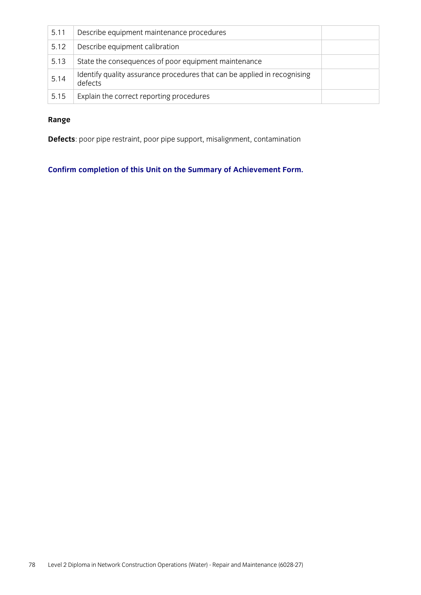| 5.11 | Describe equipment maintenance procedures                                           |  |
|------|-------------------------------------------------------------------------------------|--|
| 5.12 | Describe equipment calibration                                                      |  |
| 5.13 | State the consequences of poor equipment maintenance                                |  |
| 5.14 | Identify quality assurance procedures that can be applied in recognising<br>defects |  |
| 5.15 | Explain the correct reporting procedures                                            |  |

## **Range**

**Defects**: poor pipe restraint, poor pipe support, misalignment, contamination

**Confirm completion of this Unit on the Summary of Achievement Form.**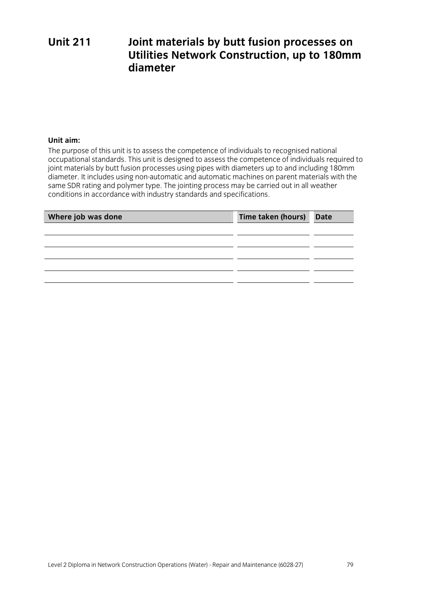# **Unit 211 Joint materials by butt fusion processes on Utilities Network Construction, up to 180mm diameter**

#### **Unit aim:**

The purpose of this unit is to assess the competence of individuals to recognised national occupational standards. This unit is designed to assess the competence of individuals required to joint materials by butt fusion processes using pipes with diameters up to and including 180mm diameter. It includes using non-automatic and automatic machines on parent materials with the same SDR rating and polymer type. The jointing process may be carried out in all weather conditions in accordance with industry standards and specifications.

| Where job was done | Time taken (hours) | <b>Date</b> |
|--------------------|--------------------|-------------|
|                    |                    |             |
|                    |                    |             |
|                    |                    |             |
|                    |                    |             |
|                    |                    |             |
|                    |                    |             |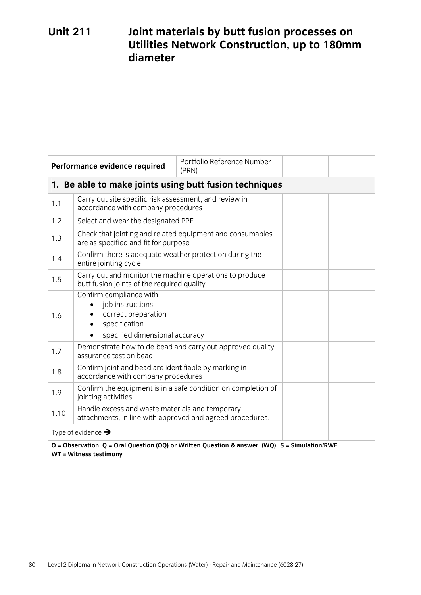# **Unit 211 Joint materials by butt fusion processes on Utilities Network Construction, up to 180mm diameter**

|      | Performance evidence required                                                                                         | Portfolio Reference Number<br>(PRN)                           |  |  |  |
|------|-----------------------------------------------------------------------------------------------------------------------|---------------------------------------------------------------|--|--|--|
|      |                                                                                                                       | 1. Be able to make joints using butt fusion techniques        |  |  |  |
| 1.1  | Carry out site specific risk assessment, and review in<br>accordance with company procedures                          |                                                               |  |  |  |
| 1.2  | Select and wear the designated PPE                                                                                    |                                                               |  |  |  |
| 1.3  | are as specified and fit for purpose                                                                                  | Check that jointing and related equipment and consumables     |  |  |  |
| 1.4  | Confirm there is adequate weather protection during the<br>entire jointing cycle                                      |                                                               |  |  |  |
| 1.5  | Carry out and monitor the machine operations to produce<br>butt fusion joints of the required quality                 |                                                               |  |  |  |
| 1.6  | Confirm compliance with<br>job instructions<br>correct preparation<br>specification<br>specified dimensional accuracy |                                                               |  |  |  |
| 1.7  | assurance test on bead                                                                                                | Demonstrate how to de-bead and carry out approved quality     |  |  |  |
| 1.8  | Confirm joint and bead are identifiable by marking in<br>accordance with company procedures                           |                                                               |  |  |  |
| 1.9  | jointing activities                                                                                                   | Confirm the equipment is in a safe condition on completion of |  |  |  |
| 1.10 | Handle excess and waste materials and temporary<br>attachments, in line with approved and agreed procedures.          |                                                               |  |  |  |
|      | Type of evidence $\rightarrow$                                                                                        |                                                               |  |  |  |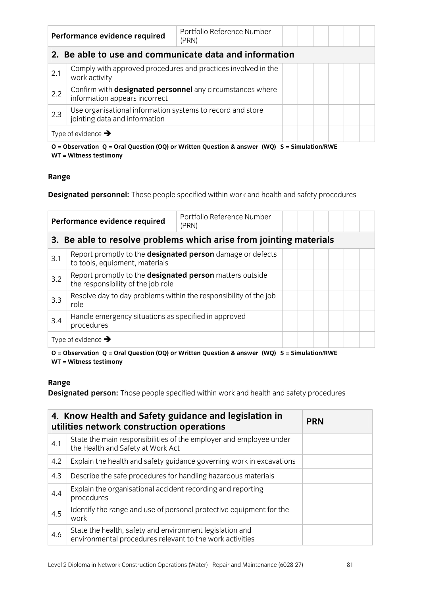|     | Performance evidence required                                                               | Portfolio Reference Number<br>(PRN) |  |  |  |  |  |
|-----|---------------------------------------------------------------------------------------------|-------------------------------------|--|--|--|--|--|
|     | 2. Be able to use and communicate data and information                                      |                                     |  |  |  |  |  |
| 2.1 | Comply with approved procedures and practices involved in the<br>work activity              |                                     |  |  |  |  |  |
| 2.2 | Confirm with designated personnel any circumstances where<br>information appears incorrect  |                                     |  |  |  |  |  |
| 2.3 | Use organisational information systems to record and store<br>jointing data and information |                                     |  |  |  |  |  |
|     | Type of evidence $\rightarrow$                                                              |                                     |  |  |  |  |  |

## **Range**

**Designated personnel:** Those people specified within work and health and safety procedures

|     | Performance evidence required                                                                       | Portfolio Reference Number<br>(PRN) |  |  |  |  |  |
|-----|-----------------------------------------------------------------------------------------------------|-------------------------------------|--|--|--|--|--|
|     | 3. Be able to resolve problems which arise from jointing materials                                  |                                     |  |  |  |  |  |
| 3.1 | Report promptly to the <b>designated person</b> damage or defects<br>to tools, equipment, materials |                                     |  |  |  |  |  |
| 3.2 | Report promptly to the designated person matters outside<br>the responsibility of the job role      |                                     |  |  |  |  |  |
| 3.3 | Resolve day to day problems within the responsibility of the job<br>role                            |                                     |  |  |  |  |  |
| 3.4 | Handle emergency situations as specified in approved<br>procedures                                  |                                     |  |  |  |  |  |
|     | Type of evidence $\rightarrow$                                                                      |                                     |  |  |  |  |  |

**O = Observation Q = Oral Question (OQ) or Written Question & answer (WQ) S = Simulation/RWE WT = Witness testimony**

## **Range**

**Designated person:** Those people specified within work and health and safety procedures

|     | 4. Know Health and Safety guidance and legislation in<br>utilities network construction operations                   | <b>PRN</b> |
|-----|----------------------------------------------------------------------------------------------------------------------|------------|
| 4.1 | State the main responsibilities of the employer and employee under<br>the Health and Safety at Work Act              |            |
| 4.2 | Explain the health and safety guidance governing work in excavations                                                 |            |
| 4.3 | Describe the safe procedures for handling hazardous materials                                                        |            |
| 4.4 | Explain the organisational accident recording and reporting<br>procedures                                            |            |
| 4.5 | Identify the range and use of personal protective equipment for the<br>work                                          |            |
| 4.6 | State the health, safety and environment legislation and<br>environmental procedures relevant to the work activities |            |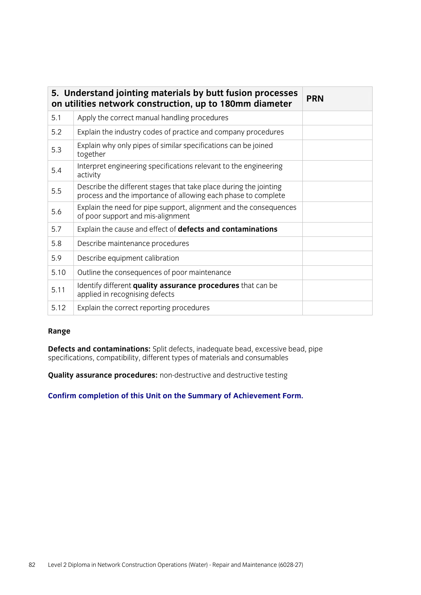|      | 5. Understand jointing materials by butt fusion processes<br>on utilities network construction, up to 180mm diameter               | <b>PRN</b> |
|------|------------------------------------------------------------------------------------------------------------------------------------|------------|
| 5.1  | Apply the correct manual handling procedures                                                                                       |            |
| 5.2  | Explain the industry codes of practice and company procedures                                                                      |            |
| 5.3  | Explain why only pipes of similar specifications can be joined<br>together                                                         |            |
| 5.4  | Interpret engineering specifications relevant to the engineering<br>activity                                                       |            |
| 5.5  | Describe the different stages that take place during the jointing<br>process and the importance of allowing each phase to complete |            |
| 5.6  | Explain the need for pipe support, alignment and the consequences<br>of poor support and mis-alignment                             |            |
| 5.7  | Explain the cause and effect of defects and contaminations                                                                         |            |
| 5.8  | Describe maintenance procedures                                                                                                    |            |
| 5.9  | Describe equipment calibration                                                                                                     |            |
| 5.10 | Outline the consequences of poor maintenance                                                                                       |            |
| 5.11 | Identify different quality assurance procedures that can be<br>applied in recognising defects                                      |            |
| 5.12 | Explain the correct reporting procedures                                                                                           |            |

## **Range**

**Defects and contaminations:** Split defects, inadequate bead, excessive bead, pipe specifications, compatibility, different types of materials and consumables

**Quality assurance procedures:** non-destructive and destructive testing

**Confirm completion of this Unit on the Summary of Achievement Form.**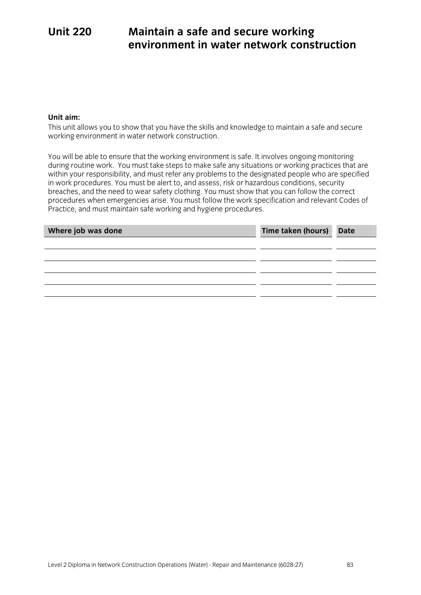# **Unit 220 Maintain a safe and secure working environment in water network construction**

#### **Unit aim:**

This unit allows you to show that you have the skills and knowledge to maintain a safe and secure working environment in water network construction.

You will be able to ensure that the working environment is safe. It involves ongoing monitoring during routine work. You must take steps to make safe any situations or working practices that are within your responsibility, and must refer any problems to the designated people who are specified in work procedures. You must be alert to, and assess, risk or hazardous conditions, security breaches, and the need to wear safety clothing. You must show that you can follow the correct procedures when emergencies arise. You must follow the work specification and relevant Codes of Practice, and must maintain safe working and hygiene procedures.

| Where job was done | Time taken (hours) Date |  |
|--------------------|-------------------------|--|
|                    |                         |  |
|                    |                         |  |
|                    |                         |  |
|                    |                         |  |
|                    |                         |  |
|                    |                         |  |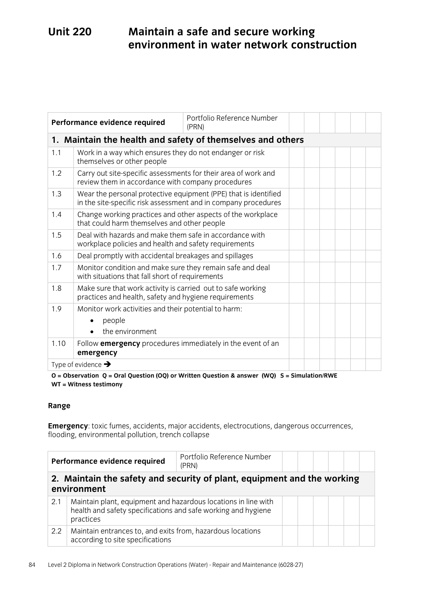# **Unit 220 Maintain a safe and secure working environment in water network construction**

|      | Performance evidence required                                                                                                     | Portfolio Reference Number<br>(PRN) |  |  |  |  |
|------|-----------------------------------------------------------------------------------------------------------------------------------|-------------------------------------|--|--|--|--|
|      | 1. Maintain the health and safety of themselves and others                                                                        |                                     |  |  |  |  |
| 1.1  | Work in a way which ensures they do not endanger or risk<br>themselves or other people                                            |                                     |  |  |  |  |
| 1.2  | Carry out site-specific assessments for their area of work and<br>review them in accordance with company procedures               |                                     |  |  |  |  |
| 1.3  | Wear the personal protective equipment (PPE) that is identified<br>in the site-specific risk assessment and in company procedures |                                     |  |  |  |  |
| 1.4  | Change working practices and other aspects of the workplace<br>that could harm themselves and other people                        |                                     |  |  |  |  |
| 1.5  | Deal with hazards and make them safe in accordance with<br>workplace policies and health and safety requirements                  |                                     |  |  |  |  |
| 1.6  | Deal promptly with accidental breakages and spillages                                                                             |                                     |  |  |  |  |
| 1.7  | Monitor condition and make sure they remain safe and deal<br>with situations that fall short of requirements                      |                                     |  |  |  |  |
| 1.8  | Make sure that work activity is carried out to safe working<br>practices and health, safety and hygiene requirements              |                                     |  |  |  |  |
| 1.9  | Monitor work activities and their potential to harm:                                                                              |                                     |  |  |  |  |
|      | people                                                                                                                            |                                     |  |  |  |  |
|      | the environment                                                                                                                   |                                     |  |  |  |  |
| 1.10 | Follow <b>emergency</b> procedures immediately in the event of an<br>emergency                                                    |                                     |  |  |  |  |
|      | Type of evidence $\rightarrow$                                                                                                    |                                     |  |  |  |  |

**O = Observation Q = Oral Question (OQ) or Written Question & answer (WQ) S = Simulation/RWE WT = Witness testimony**

## **Range**

**Emergency**: toxic fumes, accidents, major accidents, electrocutions, dangerous occurrences, flooding, environmental pollution, trench collapse

|                                                                                        | Performance evidence required                                                                                                                | Portfolio Reference Number<br>(PRN) |  |  |  |  |  |  |
|----------------------------------------------------------------------------------------|----------------------------------------------------------------------------------------------------------------------------------------------|-------------------------------------|--|--|--|--|--|--|
| 2. Maintain the safety and security of plant, equipment and the working<br>environment |                                                                                                                                              |                                     |  |  |  |  |  |  |
| 2.1                                                                                    | Maintain plant, equipment and hazardous locations in line with<br>health and safety specifications and safe working and hygiene<br>practices |                                     |  |  |  |  |  |  |
| 2.2                                                                                    | Maintain entrances to, and exits from, hazardous locations<br>according to site specifications                                               |                                     |  |  |  |  |  |  |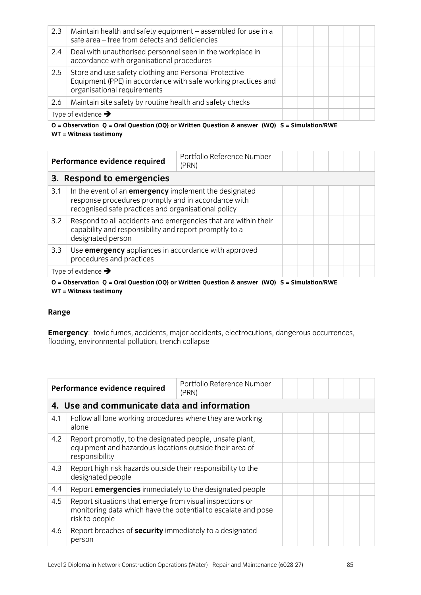| 2.3 | Maintain health and safety equipment - assembled for use in a<br>safe area - free from defects and deficiencies                                       |  |  |  |  |  |
|-----|-------------------------------------------------------------------------------------------------------------------------------------------------------|--|--|--|--|--|
| 2.4 | Deal with unauthorised personnel seen in the workplace in<br>accordance with organisational procedures                                                |  |  |  |  |  |
| 2.5 | Store and use safety clothing and Personal Protective<br>Equipment (PPE) in accordance with safe working practices and<br>organisational requirements |  |  |  |  |  |
| 2.6 | Maintain site safety by routine health and safety checks                                                                                              |  |  |  |  |  |
|     | Type of evidence $\rightarrow$                                                                                                                        |  |  |  |  |  |

|     | Performance evidence required                                                                                                                                                                                                                                                                                                                                                     | Portfolio Reference Number<br>(PRN)                                                                                                                                                                                                                      |  |  |  |  |  |  |
|-----|-----------------------------------------------------------------------------------------------------------------------------------------------------------------------------------------------------------------------------------------------------------------------------------------------------------------------------------------------------------------------------------|----------------------------------------------------------------------------------------------------------------------------------------------------------------------------------------------------------------------------------------------------------|--|--|--|--|--|--|
|     | 3. Respond to emergencies                                                                                                                                                                                                                                                                                                                                                         |                                                                                                                                                                                                                                                          |  |  |  |  |  |  |
| 3.1 | In the event of an <b>emergency</b> implement the designated<br>response procedures promptly and in accordance with<br>recognised safe practices and organisational policy                                                                                                                                                                                                        |                                                                                                                                                                                                                                                          |  |  |  |  |  |  |
| 3.2 | Respond to all accidents and emergencies that are within their<br>capability and responsibility and report promptly to a<br>designated person                                                                                                                                                                                                                                     |                                                                                                                                                                                                                                                          |  |  |  |  |  |  |
| 3.3 | Use <b>emergency</b> appliances in accordance with approved<br>procedures and practices                                                                                                                                                                                                                                                                                           |                                                                                                                                                                                                                                                          |  |  |  |  |  |  |
|     | Type of evidence $\rightarrow$                                                                                                                                                                                                                                                                                                                                                    |                                                                                                                                                                                                                                                          |  |  |  |  |  |  |
|     | $\bigcap$ $\bigcap$ $\bigcap$ $\bigcap$ $\bigcap$ $\bigcap$ $\bigcap$ $\bigcap$ $\bigcap$ $\bigcap$ $\bigcap$ $\bigcap$ $\bigcap$ $\bigcap$ $\bigcap$ $\bigcap$ $\bigcap$ $\bigcap$ $\bigcap$ $\bigcap$ $\bigcap$ $\bigcap$ $\bigcap$ $\bigcap$ $\bigcap$ $\bigcap$ $\bigcap$ $\bigcap$ $\bigcap$ $\bigcap$ $\bigcap$ $\bigcap$ $\bigcap$ $\bigcap$ $\bigcap$ $\bigcap$ $\bigcap$ | $(0.0)$ of $\mu$ is $\mu$ is $\mu$ is $\mu$ is $\mu$ is $\mu$ is $\mu$ is $\mu$ is $\mu$ is $\mu$ is $\mu$ is $\mu$ is $\mu$ is $\mu$ is $\mu$ is $\mu$ is $\mu$ is $\mu$ is $\mu$ is $\mu$ is $\mu$ is $\mu$ is $\mu$ is $\mu$ is $\mu$ is $\mu$ is $\$ |  |  |  |  |  |  |

**O = Observation Q = Oral Question (OQ) or Written Question & answer (WQ) S = Simulation/RWE WT = Witness testimony**

## **Range**

**Emergency**: toxic fumes, accidents, major accidents, electrocutions, dangerous occurrences, flooding, environmental pollution, trench collapse

|     | Performance evidence required                                                                                                               | Portfolio Reference Number<br>(PRN) |  |  |  |
|-----|---------------------------------------------------------------------------------------------------------------------------------------------|-------------------------------------|--|--|--|
|     | 4. Use and communicate data and information                                                                                                 |                                     |  |  |  |
| 4.1 | Follow all lone working procedures where they are working<br>alone                                                                          |                                     |  |  |  |
| 4.2 | Report promptly, to the designated people, unsafe plant,<br>equipment and hazardous locations outside their area of<br>responsibility       |                                     |  |  |  |
| 4.3 | Report high risk hazards outside their responsibility to the<br>designated people                                                           |                                     |  |  |  |
| 4.4 | Report <b>emergencies</b> immediately to the designated people                                                                              |                                     |  |  |  |
| 4.5 | Report situations that emerge from visual inspections or<br>monitoring data which have the potential to escalate and pose<br>risk to people |                                     |  |  |  |
| 4.6 | Report breaches of security immediately to a designated<br>person                                                                           |                                     |  |  |  |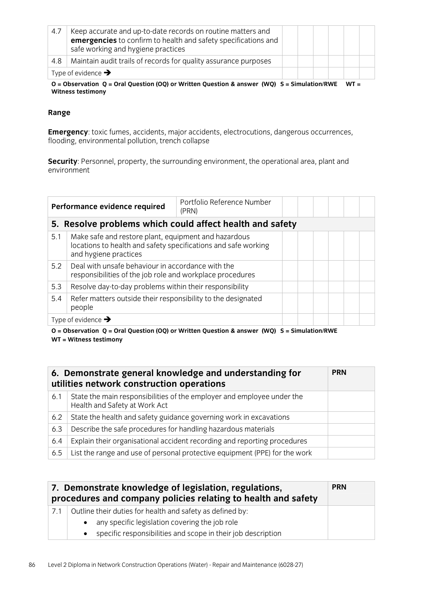|     | Type of evidence $\rightarrow$<br>سيبرز المتحامين المائل المائين المتحافين المالي المالية المالية                                                                   |  |  |  |
|-----|---------------------------------------------------------------------------------------------------------------------------------------------------------------------|--|--|--|
| 4.8 | Maintain audit trails of records for quality assurance purposes                                                                                                     |  |  |  |
| 4.7 | Keep accurate and up-to-date records on routine matters and<br>emergencies to confirm to health and safety specifications and<br>safe working and hygiene practices |  |  |  |

## **Range**

**Emergency**: toxic fumes, accidents, major accidents, electrocutions, dangerous occurrences, flooding, environmental pollution, trench collapse

**Security**: Personnel, property, the surrounding environment, the operational area, plant and environment

| Performance evidence required |                                                                                                                                                 | Portfolio Reference Number<br>(PRN) |  |  |  |
|-------------------------------|-------------------------------------------------------------------------------------------------------------------------------------------------|-------------------------------------|--|--|--|
|                               | 5. Resolve problems which could affect health and safety                                                                                        |                                     |  |  |  |
| 5.1                           | Make safe and restore plant, equipment and hazardous<br>locations to health and safety specifications and safe working<br>and hygiene practices |                                     |  |  |  |
| 5.2                           | Deal with unsafe behaviour in accordance with the<br>responsibilities of the job role and workplace procedures                                  |                                     |  |  |  |
| 5.3                           | Resolve day-to-day problems within their responsibility                                                                                         |                                     |  |  |  |
| 5.4                           | Refer matters outside their responsibility to the designated<br>people                                                                          |                                     |  |  |  |
|                               | Type of evidence $\rightarrow$                                                                                                                  |                                     |  |  |  |

| 6. Demonstrate general knowledge and understanding for<br>utilities network construction operations |                                                                                                         |  |
|-----------------------------------------------------------------------------------------------------|---------------------------------------------------------------------------------------------------------|--|
| 6.1                                                                                                 | State the main responsibilities of the employer and employee under the<br>Health and Safety at Work Act |  |
| 6.2                                                                                                 | State the health and safety guidance governing work in excavations                                      |  |
| 6.3                                                                                                 | Describe the safe procedures for handling hazardous materials                                           |  |
| 6.4                                                                                                 | Explain their organisational accident recording and reporting procedures                                |  |
| 6.5                                                                                                 | List the range and use of personal protective equipment (PPE) for the work                              |  |

| 7. Demonstrate knowledge of legislation, regulations,<br>procedures and company policies relating to health and safety |                                                                | <b>PRN</b> |
|------------------------------------------------------------------------------------------------------------------------|----------------------------------------------------------------|------------|
| 7.1                                                                                                                    | Outline their duties for health and safety as defined by:      |            |
|                                                                                                                        | • any specific legislation covering the job role               |            |
|                                                                                                                        | • specific responsibilities and scope in their job description |            |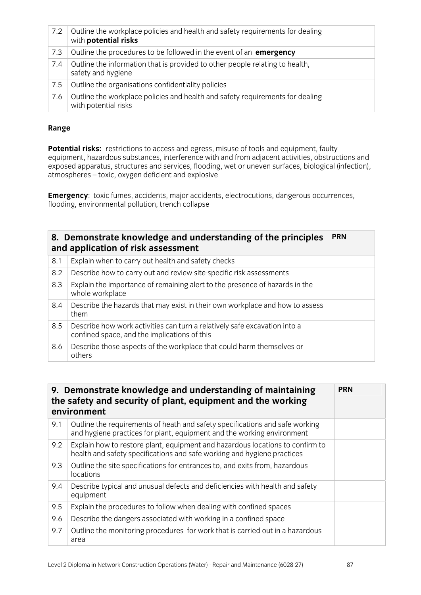| 7.2 | Outline the workplace policies and health and safety requirements for dealing<br>with potential risks |  |
|-----|-------------------------------------------------------------------------------------------------------|--|
| 7.3 | Outline the procedures to be followed in the event of an <b>emergency</b>                             |  |
| 7.4 | Outline the information that is provided to other people relating to health,<br>safety and hygiene    |  |
| 7.5 | Outline the organisations confidentiality policies                                                    |  |
| 7.6 | Outline the workplace policies and health and safety requirements for dealing<br>with potential risks |  |

## **Range**

**Potential risks:** restrictions to access and egress, misuse of tools and equipment, faulty equipment, hazardous substances, interference with and from adjacent activities, obstructions and exposed apparatus, structures and services, flooding, wet or uneven surfaces, biological (infection), atmospheres – toxic, oxygen deficient and explosive

**Emergency**: toxic fumes, accidents, major accidents, electrocutions, dangerous occurrences, flooding, environmental pollution, trench collapse

|     | 8. Demonstrate knowledge and understanding of the principles<br>and application of risk assessment                        | <b>PRN</b> |
|-----|---------------------------------------------------------------------------------------------------------------------------|------------|
| 8.1 | Explain when to carry out health and safety checks                                                                        |            |
| 8.2 | Describe how to carry out and review site-specific risk assessments                                                       |            |
| 8.3 | Explain the importance of remaining alert to the presence of hazards in the<br>whole workplace                            |            |
| 8.4 | Describe the hazards that may exist in their own workplace and how to assess<br>them                                      |            |
| 8.5 | Describe how work activities can turn a relatively safe excavation into a<br>confined space, and the implications of this |            |
| 8.6 | Describe those aspects of the workplace that could harm themselves or<br>others                                           |            |

|     | 9. Demonstrate knowledge and understanding of maintaining<br>the safety and security of plant, equipment and the working<br>environment                  |  |
|-----|----------------------------------------------------------------------------------------------------------------------------------------------------------|--|
| 9.1 | Outline the requirements of heath and safety specifications and safe working<br>and hygiene practices for plant, equipment and the working environment   |  |
| 9.2 | Explain how to restore plant, equipment and hazardous locations to confirm to<br>health and safety specifications and safe working and hygiene practices |  |
| 9.3 | Outline the site specifications for entrances to, and exits from, hazardous<br>locations                                                                 |  |
| 9.4 | Describe typical and unusual defects and deficiencies with health and safety<br>equipment                                                                |  |
| 9.5 | Explain the procedures to follow when dealing with confined spaces                                                                                       |  |
| 9.6 | Describe the dangers associated with working in a confined space                                                                                         |  |
| 9.7 | Outline the monitoring procedures for work that is carried out in a hazardous<br>area                                                                    |  |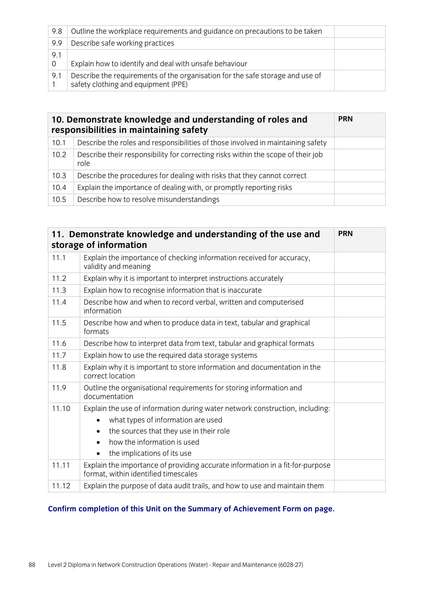| 9.8      | Outline the workplace requirements and guidance on precautions to be taken                                           |  |
|----------|----------------------------------------------------------------------------------------------------------------------|--|
| 9.9      | Describe safe working practices                                                                                      |  |
| 9.1<br>0 | Explain how to identify and deal with unsafe behaviour                                                               |  |
| 9.1      | Describe the requirements of the organisation for the safe storage and use of<br>safety clothing and equipment (PPE) |  |

| 10. Demonstrate knowledge and understanding of roles and<br>responsibilities in maintaining safety |                                                                                          | <b>PRN</b> |
|----------------------------------------------------------------------------------------------------|------------------------------------------------------------------------------------------|------------|
| 10.1                                                                                               | Describe the roles and responsibilities of those involved in maintaining safety          |            |
| 10.2                                                                                               | Describe their responsibility for correcting risks within the scope of their job<br>role |            |
| 10.3                                                                                               | Describe the procedures for dealing with risks that they cannot correct                  |            |
| 10.4                                                                                               | Explain the importance of dealing with, or promptly reporting risks                      |            |
| 10.5                                                                                               | Describe how to resolve misunderstandings                                                |            |

|       | 11. Demonstrate knowledge and understanding of the use and<br>storage of information                                  | <b>PRN</b> |
|-------|-----------------------------------------------------------------------------------------------------------------------|------------|
| 11.1  | Explain the importance of checking information received for accuracy,<br>validity and meaning                         |            |
| 11.2  | Explain why it is important to interpret instructions accurately                                                      |            |
| 11.3  | Explain how to recognise information that is inaccurate                                                               |            |
| 11.4  | Describe how and when to record verbal, written and computerised<br>information                                       |            |
| 11.5  | Describe how and when to produce data in text, tabular and graphical<br>formats                                       |            |
| 11.6  | Describe how to interpret data from text, tabular and graphical formats                                               |            |
| 11.7  | Explain how to use the required data storage systems                                                                  |            |
| 11.8  | Explain why it is important to store information and documentation in the<br>correct location                         |            |
| 11.9  | Outline the organisational requirements for storing information and<br>documentation                                  |            |
| 11.10 | Explain the use of information during water network construction, including:                                          |            |
|       | what types of information are used                                                                                    |            |
|       | the sources that they use in their role<br>$\bullet$                                                                  |            |
|       | how the information is used                                                                                           |            |
|       | the implications of its use<br>$\bullet$                                                                              |            |
| 11.11 | Explain the importance of providing accurate information in a fit-for-purpose<br>format, within identified timescales |            |
| 11.12 | Explain the purpose of data audit trails, and how to use and maintain them                                            |            |

## **Confirm completion of this Unit on the Summary of Achievement Form on page.**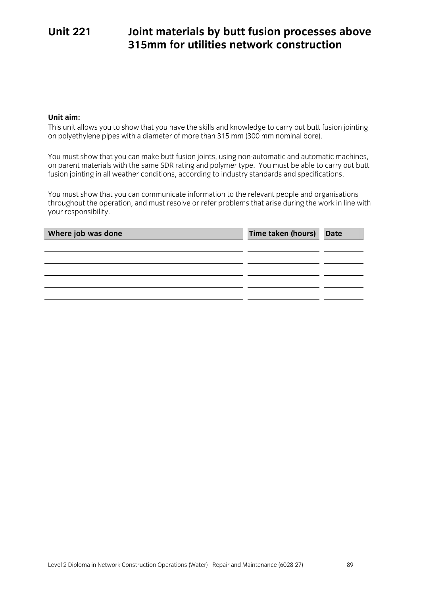## **Unit 221 Joint materials by butt fusion processes above 315mm for utilities network construction**

## **Unit aim:**

This unit allows you to show that you have the skills and knowledge to carry out butt fusion jointing on polyethylene pipes with a diameter of more than  $315$  mm  $(300)$  mm nominal bore).

You must show that you can make butt fusion joints, using non-automatic and automatic machines, on parent materials with the same SDR rating and polymer type. You must be able to carry out butt fusion jointing in all weather conditions, according to industry standards and specifications.

You must show that you can communicate information to the relevant people and organisations throughout the operation, and must resolve or refer problems that arise during the work in line with your responsibility.

| Where job was done | Time taken (hours) Date |  |
|--------------------|-------------------------|--|
|                    |                         |  |
|                    |                         |  |
|                    |                         |  |
|                    |                         |  |
|                    |                         |  |
|                    |                         |  |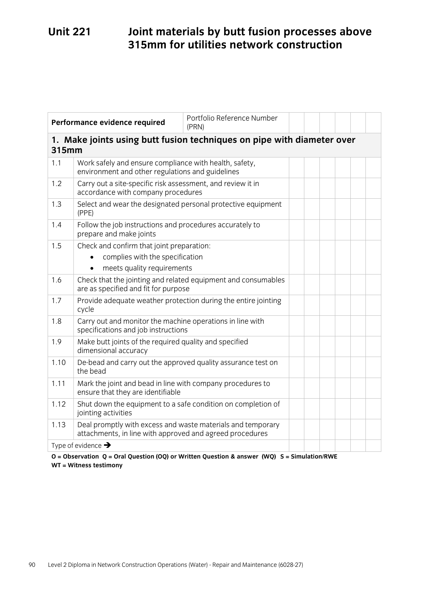|                                                                                 | Performance evidence required                                                                                                        | Portfolio Reference Number<br>(PRN) |  |  |  |
|---------------------------------------------------------------------------------|--------------------------------------------------------------------------------------------------------------------------------------|-------------------------------------|--|--|--|
| 1. Make joints using butt fusion techniques on pipe with diameter over<br>315mm |                                                                                                                                      |                                     |  |  |  |
| 1.1                                                                             | Work safely and ensure compliance with health, safety,<br>environment and other regulations and guidelines                           |                                     |  |  |  |
| 1.2                                                                             | Carry out a site-specific risk assessment, and review it in<br>accordance with company procedures                                    |                                     |  |  |  |
| 1.3                                                                             | Select and wear the designated personal protective equipment<br>(PPE)                                                                |                                     |  |  |  |
| 1.4                                                                             | Follow the job instructions and procedures accurately to<br>prepare and make joints                                                  |                                     |  |  |  |
| 1.5                                                                             | Check and confirm that joint preparation:<br>complies with the specification<br>$\bullet$<br>meets quality requirements<br>$\bullet$ |                                     |  |  |  |
| 1.6                                                                             | Check that the jointing and related equipment and consumables<br>are as specified and fit for purpose                                |                                     |  |  |  |
| 1.7                                                                             | Provide adequate weather protection during the entire jointing<br>cycle                                                              |                                     |  |  |  |
| 1.8                                                                             | Carry out and monitor the machine operations in line with<br>specifications and job instructions                                     |                                     |  |  |  |
| 1.9                                                                             | Make butt joints of the required quality and specified<br>dimensional accuracy                                                       |                                     |  |  |  |
| 1.10                                                                            | De-bead and carry out the approved quality assurance test on<br>the bead                                                             |                                     |  |  |  |
| 1.11                                                                            | Mark the joint and bead in line with company procedures to<br>ensure that they are identifiable                                      |                                     |  |  |  |
| 1.12                                                                            | Shut down the equipment to a safe condition on completion of<br>jointing activities                                                  |                                     |  |  |  |
| 1.13                                                                            | Deal promptly with excess and waste materials and temporary<br>attachments, in line with approved and agreed procedures              |                                     |  |  |  |
|                                                                                 | Type of evidence $\rightarrow$                                                                                                       |                                     |  |  |  |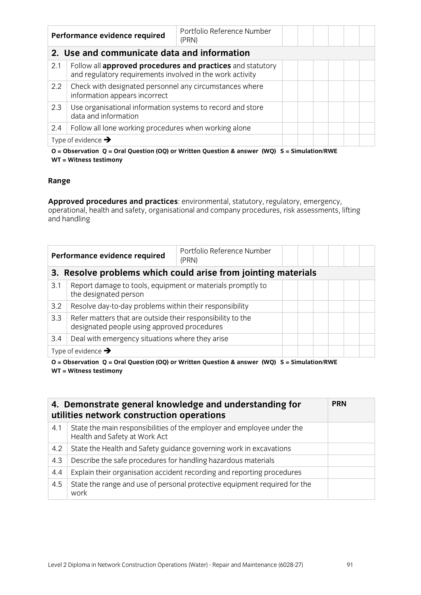| Performance evidence required               |                                                                                                                         | Portfolio Reference Number<br>(PRN) |  |  |  |  |
|---------------------------------------------|-------------------------------------------------------------------------------------------------------------------------|-------------------------------------|--|--|--|--|
| 2. Use and communicate data and information |                                                                                                                         |                                     |  |  |  |  |
| 2.1                                         | Follow all approved procedures and practices and statutory<br>and regulatory requirements involved in the work activity |                                     |  |  |  |  |
| 2.2                                         | Check with designated personnel any circumstances where<br>information appears incorrect                                |                                     |  |  |  |  |
| 2.3                                         | Use organisational information systems to record and store<br>data and information                                      |                                     |  |  |  |  |
| 2.4                                         | Follow all lone working procedures when working alone                                                                   |                                     |  |  |  |  |
|                                             | Type of evidence $\rightarrow$                                                                                          |                                     |  |  |  |  |

#### **Range**

**Approved procedures and practices**: environmental, statutory, regulatory, emergency, operational, health and safety, organisational and company procedures, risk assessments, lifting and handling

| Performance evidence required                                 |                                                                                                           | Portfolio Reference Number<br>(PRN)             |  |  |  |  |  |  |  |
|---------------------------------------------------------------|-----------------------------------------------------------------------------------------------------------|-------------------------------------------------|--|--|--|--|--|--|--|
| 3. Resolve problems which could arise from jointing materials |                                                                                                           |                                                 |  |  |  |  |  |  |  |
| 3.1                                                           | Report damage to tools, equipment or materials promptly to<br>the designated person                       |                                                 |  |  |  |  |  |  |  |
| 3.2                                                           | Resolve day-to-day problems within their responsibility                                                   |                                                 |  |  |  |  |  |  |  |
| 3.3                                                           | Refer matters that are outside their responsibility to the<br>designated people using approved procedures |                                                 |  |  |  |  |  |  |  |
| 3.4                                                           |                                                                                                           | Deal with emergency situations where they arise |  |  |  |  |  |  |  |
| Type of evidence $\rightarrow$                                |                                                                                                           |                                                 |  |  |  |  |  |  |  |

|     | 4. Demonstrate general knowledge and understanding for<br>utilities network construction operations     |  |  |
|-----|---------------------------------------------------------------------------------------------------------|--|--|
| 4.1 | State the main responsibilities of the employer and employee under the<br>Health and Safety at Work Act |  |  |
| 4.2 | State the Health and Safety guidance governing work in excavations                                      |  |  |
| 4.3 | Describe the safe procedures for handling hazardous materials                                           |  |  |
| 4.4 | Explain their organisation accident recording and reporting procedures                                  |  |  |
| 4.5 | State the range and use of personal protective equipment required for the<br>work                       |  |  |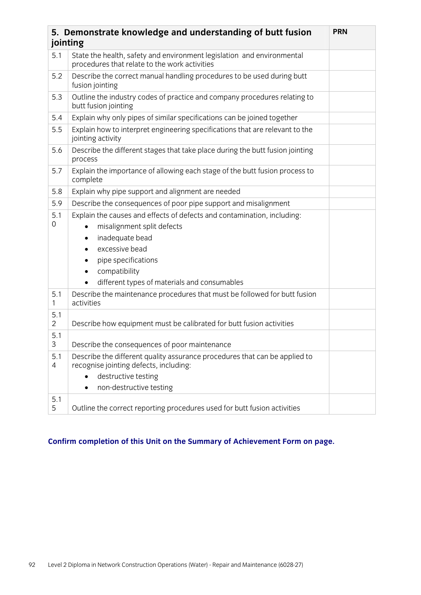|                       | 5. Demonstrate knowledge and understanding of butt fusion<br>jointing                                                   | <b>PRN</b> |
|-----------------------|-------------------------------------------------------------------------------------------------------------------------|------------|
| 5.1                   | State the health, safety and environment legislation and environmental<br>procedures that relate to the work activities |            |
| 5.2                   | Describe the correct manual handling procedures to be used during butt<br>fusion jointing                               |            |
| 5.3                   | Outline the industry codes of practice and company procedures relating to<br>butt fusion jointing                       |            |
| 5.4                   | Explain why only pipes of similar specifications can be joined together                                                 |            |
| 5.5                   | Explain how to interpret engineering specifications that are relevant to the<br>jointing activity                       |            |
| 5.6                   | Describe the different stages that take place during the butt fusion jointing<br>process                                |            |
| 5.7                   | Explain the importance of allowing each stage of the butt fusion process to<br>complete                                 |            |
| 5.8                   | Explain why pipe support and alignment are needed                                                                       |            |
| 5.9                   | Describe the consequences of poor pipe support and misalignment                                                         |            |
| 5.1<br>$\overline{0}$ | Explain the causes and effects of defects and contamination, including:<br>misalignment split defects<br>$\bullet$      |            |
|                       | inadequate bead<br>٠                                                                                                    |            |
|                       | excessive bead<br>٠                                                                                                     |            |
|                       | pipe specifications<br>$\bullet$                                                                                        |            |
|                       | compatibility                                                                                                           |            |
|                       | different types of materials and consumables                                                                            |            |
| 5.1<br>$\mathbf{1}$   | Describe the maintenance procedures that must be followed for butt fusion<br>activities                                 |            |
| 5.1<br>$\overline{2}$ | Describe how equipment must be calibrated for butt fusion activities                                                    |            |
| 5.1<br>3              | Describe the consequences of poor maintenance                                                                           |            |
| 5.1<br>$\overline{4}$ | Describe the different quality assurance procedures that can be applied to<br>recognise jointing defects, including:    |            |
|                       | destructive testing                                                                                                     |            |
|                       | non-destructive testing                                                                                                 |            |
| 5.1<br>5              | Outline the correct reporting procedures used for butt fusion activities                                                |            |

## **Confirm completion of this Unit on the Summary of Achievement Form on page.**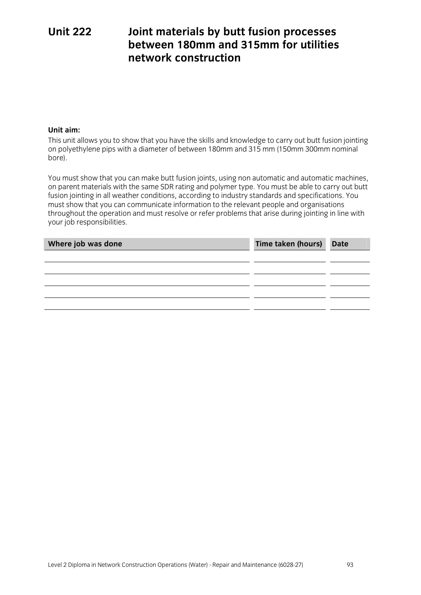# **Unit 222 Joint materials by butt fusion processes between 180mm and 315mm for utilities network construction**

### **Unit aim:**

This unit allows you to show that you have the skills and knowledge to carry out butt fusion jointing on polyethylene pips with a diameter of between 180mm and 315 mm (150mm 300mm nominal bore).

You must show that you can make butt fusion joints, using non automatic and automatic machines, on parent materials with the same SDR rating and polymer type. You must be able to carry out butt fusion jointing in all weather conditions, according to industry standards and specifications. You must show that you can communicate information to the relevant people and organisations throughout the operation and must resolve or refer problems that arise during jointing in line with your job responsibilities.

| Where job was done | Time taken (hours) Date |  |
|--------------------|-------------------------|--|
|                    |                         |  |
|                    |                         |  |
|                    |                         |  |
|                    |                         |  |
|                    |                         |  |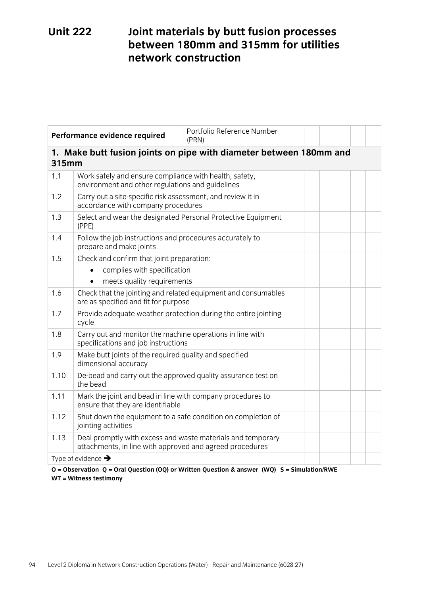# **Unit 222 Joint materials by butt fusion processes between 180mm and 315mm for utilities network construction**

| Performance evidence required                                               |                                                                                                                         | Portfolio Reference Number<br>(PRN) |  |  |  |  |  |
|-----------------------------------------------------------------------------|-------------------------------------------------------------------------------------------------------------------------|-------------------------------------|--|--|--|--|--|
| 1. Make butt fusion joints on pipe with diameter between 180mm and<br>315mm |                                                                                                                         |                                     |  |  |  |  |  |
| 1.1                                                                         | Work safely and ensure compliance with health, safety,<br>environment and other regulations and guidelines              |                                     |  |  |  |  |  |
| 1.2                                                                         | Carry out a site-specific risk assessment, and review it in<br>accordance with company procedures                       |                                     |  |  |  |  |  |
| 1.3                                                                         | Select and wear the designated Personal Protective Equipment<br>(PPE)                                                   |                                     |  |  |  |  |  |
| 1.4                                                                         | Follow the job instructions and procedures accurately to<br>prepare and make joints                                     |                                     |  |  |  |  |  |
| 1.5                                                                         | Check and confirm that joint preparation:<br>complies with specification<br>meets quality requirements<br>$\bullet$     |                                     |  |  |  |  |  |
| 1.6                                                                         | Check that the jointing and related equipment and consumables<br>are as specified and fit for purpose                   |                                     |  |  |  |  |  |
| 1.7                                                                         | Provide adequate weather protection during the entire jointing<br>cycle                                                 |                                     |  |  |  |  |  |
| 1.8                                                                         | Carry out and monitor the machine operations in line with<br>specifications and job instructions                        |                                     |  |  |  |  |  |
| 1.9                                                                         | Make butt joints of the required quality and specified<br>dimensional accuracy                                          |                                     |  |  |  |  |  |
| 1.10                                                                        | De-bead and carry out the approved quality assurance test on<br>the bead                                                |                                     |  |  |  |  |  |
| 1.11                                                                        | Mark the joint and bead in line with company procedures to<br>ensure that they are identifiable                         |                                     |  |  |  |  |  |
| 1.12                                                                        | Shut down the equipment to a safe condition on completion of<br>jointing activities                                     |                                     |  |  |  |  |  |
| 1.13                                                                        | Deal promptly with excess and waste materials and temporary<br>attachments, in line with approved and agreed procedures |                                     |  |  |  |  |  |
| Type of evidence $\rightarrow$                                              |                                                                                                                         |                                     |  |  |  |  |  |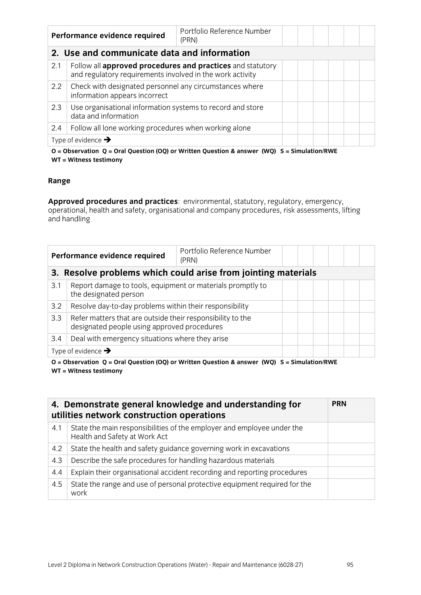| Performance evidence required  |                                                                                                                         | Portfolio Reference Number<br>(PRN) |  |  |  |  |  |  |
|--------------------------------|-------------------------------------------------------------------------------------------------------------------------|-------------------------------------|--|--|--|--|--|--|
|                                | 2. Use and communicate data and information                                                                             |                                     |  |  |  |  |  |  |
| 2.1                            | Follow all approved procedures and practices and statutory<br>and regulatory requirements involved in the work activity |                                     |  |  |  |  |  |  |
| 2.2                            | Check with designated personnel any circumstances where<br>information appears incorrect                                |                                     |  |  |  |  |  |  |
| 2.3                            | Use organisational information systems to record and store<br>data and information                                      |                                     |  |  |  |  |  |  |
| 2.4                            | Follow all lone working procedures when working alone                                                                   |                                     |  |  |  |  |  |  |
| Type of evidence $\rightarrow$ |                                                                                                                         |                                     |  |  |  |  |  |  |

#### **Range**

**Approved procedures and practices**: environmental, statutory, regulatory, emergency, operational, health and safety, organisational and company procedures, risk assessments, lifting and handling

| Performance evidence required                                 |                                                                                                           | Portfolio Reference Number<br>(PRN)             |  |  |  |  |  |  |
|---------------------------------------------------------------|-----------------------------------------------------------------------------------------------------------|-------------------------------------------------|--|--|--|--|--|--|
| 3. Resolve problems which could arise from jointing materials |                                                                                                           |                                                 |  |  |  |  |  |  |
| 3.1                                                           | Report damage to tools, equipment or materials promptly to<br>the designated person                       |                                                 |  |  |  |  |  |  |
| 3.2                                                           | Resolve day-to-day problems within their responsibility                                                   |                                                 |  |  |  |  |  |  |
| 3.3                                                           | Refer matters that are outside their responsibility to the<br>designated people using approved procedures |                                                 |  |  |  |  |  |  |
| 3.4                                                           |                                                                                                           | Deal with emergency situations where they arise |  |  |  |  |  |  |
| Type of evidence $\rightarrow$                                |                                                                                                           |                                                 |  |  |  |  |  |  |

|     | 4. Demonstrate general knowledge and understanding for<br>utilities network construction operations     | <b>PRN</b> |
|-----|---------------------------------------------------------------------------------------------------------|------------|
| 4.1 | State the main responsibilities of the employer and employee under the<br>Health and Safety at Work Act |            |
| 4.2 | State the health and safety guidance governing work in excavations                                      |            |
| 4.3 | Describe the safe procedures for handling hazardous materials                                           |            |
| 4.4 | Explain their organisational accident recording and reporting procedures                                |            |
| 4.5 | State the range and use of personal protective equipment required for the<br>work                       |            |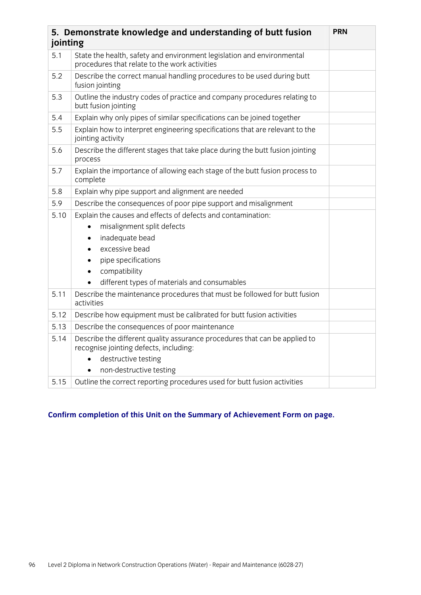| 5. Demonstrate knowledge and understanding of butt fusion<br>jointing |                                                                                                                         |  |  |  |
|-----------------------------------------------------------------------|-------------------------------------------------------------------------------------------------------------------------|--|--|--|
| 5.1                                                                   | State the health, safety and environment legislation and environmental<br>procedures that relate to the work activities |  |  |  |
| 5.2                                                                   | Describe the correct manual handling procedures to be used during butt<br>fusion jointing                               |  |  |  |
| 5.3                                                                   | Outline the industry codes of practice and company procedures relating to<br>butt fusion jointing                       |  |  |  |
| 5.4                                                                   | Explain why only pipes of similar specifications can be joined together                                                 |  |  |  |
| 5.5                                                                   | Explain how to interpret engineering specifications that are relevant to the<br>jointing activity                       |  |  |  |
| 5.6                                                                   | Describe the different stages that take place during the butt fusion jointing<br>process                                |  |  |  |
| 5.7                                                                   | Explain the importance of allowing each stage of the butt fusion process to<br>complete                                 |  |  |  |
| 5.8                                                                   | Explain why pipe support and alignment are needed                                                                       |  |  |  |
| 5.9                                                                   | Describe the consequences of poor pipe support and misalignment                                                         |  |  |  |
| 5.10                                                                  | Explain the causes and effects of defects and contamination:                                                            |  |  |  |
|                                                                       | misalignment split defects<br>$\bullet$                                                                                 |  |  |  |
|                                                                       | inadequate bead<br>$\bullet$                                                                                            |  |  |  |
|                                                                       | excessive bead<br>$\bullet$                                                                                             |  |  |  |
|                                                                       | pipe specifications<br>$\bullet$                                                                                        |  |  |  |
|                                                                       | compatibility                                                                                                           |  |  |  |
|                                                                       | different types of materials and consumables                                                                            |  |  |  |
| 5.11                                                                  | Describe the maintenance procedures that must be followed for butt fusion<br>activities                                 |  |  |  |
| 5.12                                                                  | Describe how equipment must be calibrated for butt fusion activities                                                    |  |  |  |
| 5.13                                                                  | Describe the consequences of poor maintenance                                                                           |  |  |  |
| 5.14                                                                  | Describe the different quality assurance procedures that can be applied to<br>recognise jointing defects, including:    |  |  |  |
|                                                                       | destructive testing<br>$\bullet$                                                                                        |  |  |  |
|                                                                       | non-destructive testing                                                                                                 |  |  |  |
| 5.15                                                                  | Outline the correct reporting procedures used for butt fusion activities                                                |  |  |  |

## **Confirm completion of this Unit on the Summary of Achievement Form on page.**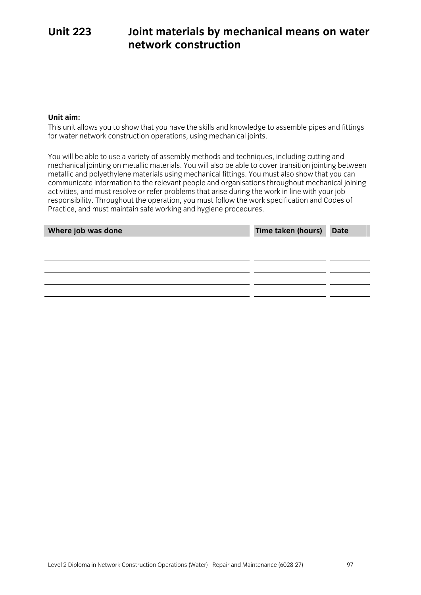## **Unit 223 Joint materials by mechanical means on water network construction**

### **Unit aim:**

This unit allows you to show that you have the skills and knowledge to assemble pipes and fittings for water network construction operations, using mechanical joints.

You will be able to use a variety of assembly methods and techniques, including cutting and mechanical jointing on metallic materials. You will also be able to cover transition jointing between metallic and polyethylene materials using mechanical fittings. You must also show that you can communicate information to the relevant people and organisations throughout mechanical joining activities, and must resolve or refer problems that arise during the work in line with your job responsibility. Throughout the operation, you must follow the work specification and Codes of Practice, and must maintain safe working and hygiene procedures.

| Where job was done | Time taken (hours) Date |  |
|--------------------|-------------------------|--|
|                    |                         |  |
|                    |                         |  |
|                    |                         |  |
|                    |                         |  |
|                    |                         |  |
|                    |                         |  |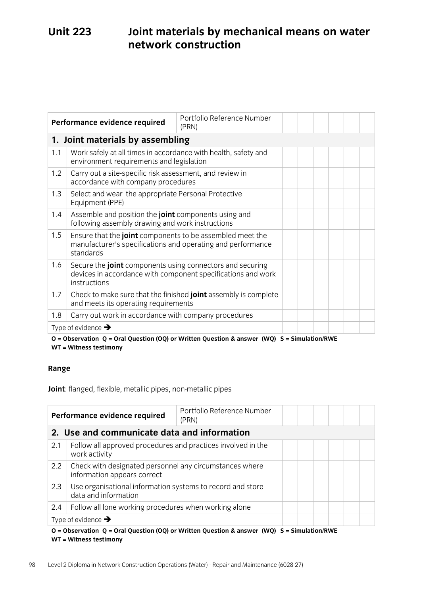## **Unit 223 Joint materials by mechanical means on water network construction**

| Performance evidence required  |                                                                                                                                                  | Portfolio Reference Number<br>(PRN) |  |  |  |  |  |
|--------------------------------|--------------------------------------------------------------------------------------------------------------------------------------------------|-------------------------------------|--|--|--|--|--|
|                                | 1. Joint materials by assembling                                                                                                                 |                                     |  |  |  |  |  |
| 1.1                            | Work safely at all times in accordance with health, safety and<br>environment requirements and legislation                                       |                                     |  |  |  |  |  |
| 1.2                            | Carry out a site-specific risk assessment, and review in<br>accordance with company procedures                                                   |                                     |  |  |  |  |  |
| 1.3                            | Select and wear the appropriate Personal Protective<br>Equipment (PPE)                                                                           |                                     |  |  |  |  |  |
| 1.4                            | Assemble and position the joint components using and<br>following assembly drawing and work instructions                                         |                                     |  |  |  |  |  |
| 1.5                            | Ensure that the joint components to be assembled meet the<br>manufacturer's specifications and operating and performance<br>standards            |                                     |  |  |  |  |  |
| 1.6                            | Secure the <b>joint</b> components using connectors and securing<br>devices in accordance with component specifications and work<br>instructions |                                     |  |  |  |  |  |
| 1.7                            | Check to make sure that the finished joint assembly is complete<br>and meets its operating requirements                                          |                                     |  |  |  |  |  |
| 1.8                            | Carry out work in accordance with company procedures                                                                                             |                                     |  |  |  |  |  |
| Type of evidence $\rightarrow$ |                                                                                                                                                  |                                     |  |  |  |  |  |

**O = Observation Q = Oral Question (OQ) or Written Question & answer (WQ) S = Simulation/RWE WT = Witness testimony**

## **Range**

**Joint**: flanged, flexible, metallic pipes, non-metallic pipes

| Performance evidence required |                                                                                        | Portfolio Reference Number<br>(PRN) |  |  |  |  |  |  |  |
|-------------------------------|----------------------------------------------------------------------------------------|-------------------------------------|--|--|--|--|--|--|--|
|                               | 2. Use and communicate data and information                                            |                                     |  |  |  |  |  |  |  |
| 2.1                           | Follow all approved procedures and practices involved in the<br>work activity          |                                     |  |  |  |  |  |  |  |
| $2.2^{\circ}$                 | Check with designated personnel any circumstances where<br>information appears correct |                                     |  |  |  |  |  |  |  |
| 2.3                           | Use organisational information systems to record and store<br>data and information     |                                     |  |  |  |  |  |  |  |
| 2.4                           | Follow all lone working procedures when working alone                                  |                                     |  |  |  |  |  |  |  |
|                               | Type of evidence $\rightarrow$                                                         |                                     |  |  |  |  |  |  |  |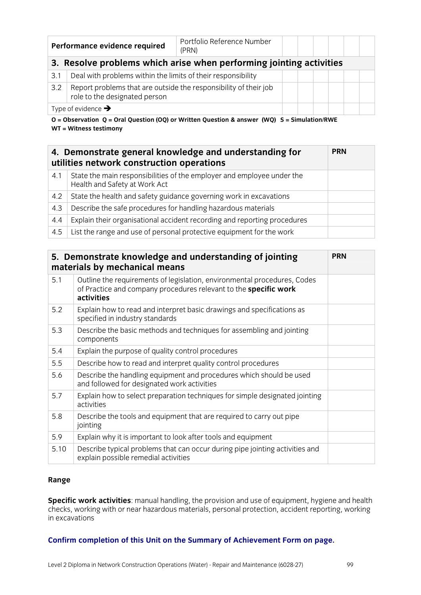| Performance evidence required  |                                                                                                   | Portfolio Reference Number<br>(PRN) |  |  |  |  |  |  |
|--------------------------------|---------------------------------------------------------------------------------------------------|-------------------------------------|--|--|--|--|--|--|
|                                | 3. Resolve problems which arise when performing jointing activities                               |                                     |  |  |  |  |  |  |
| 3.1                            | Deal with problems within the limits of their responsibility                                      |                                     |  |  |  |  |  |  |
| 3.2                            | Report problems that are outside the responsibility of their job<br>role to the designated person |                                     |  |  |  |  |  |  |
| Type of evidence $\rightarrow$ |                                                                                                   |                                     |  |  |  |  |  |  |

| 4. Demonstrate general knowledge and understanding for<br>utilities network construction operations |                                                                                                         |  |  |
|-----------------------------------------------------------------------------------------------------|---------------------------------------------------------------------------------------------------------|--|--|
| 4.1                                                                                                 | State the main responsibilities of the employer and employee under the<br>Health and Safety at Work Act |  |  |
| 4.2                                                                                                 | State the health and safety guidance governing work in excavations                                      |  |  |
| 4.3                                                                                                 | Describe the safe procedures for handling hazardous materials                                           |  |  |
| 4.4                                                                                                 | Explain their organisational accident recording and reporting procedures                                |  |  |
| 4.5                                                                                                 | List the range and use of personal protective equipment for the work                                    |  |  |

| 5. Demonstrate knowledge and understanding of jointing<br>materials by mechanical means |                                                                                                                                                            |  |  |  |  |
|-----------------------------------------------------------------------------------------|------------------------------------------------------------------------------------------------------------------------------------------------------------|--|--|--|--|
| 5.1                                                                                     | Outline the requirements of legislation, environmental procedures, Codes<br>of Practice and company procedures relevant to the specific work<br>activities |  |  |  |  |
| 5.2                                                                                     | Explain how to read and interpret basic drawings and specifications as<br>specified in industry standards                                                  |  |  |  |  |
| 5.3                                                                                     | Describe the basic methods and techniques for assembling and jointing<br>components                                                                        |  |  |  |  |
| 5.4                                                                                     | Explain the purpose of quality control procedures                                                                                                          |  |  |  |  |
| 5.5                                                                                     | Describe how to read and interpret quality control procedures                                                                                              |  |  |  |  |
| 5.6                                                                                     | Describe the handling equipment and procedures which should be used<br>and followed for designated work activities                                         |  |  |  |  |
| 5.7                                                                                     | Explain how to select preparation techniques for simple designated jointing<br>activities                                                                  |  |  |  |  |
| 5.8                                                                                     | Describe the tools and equipment that are required to carry out pipe<br>jointing                                                                           |  |  |  |  |
| 5.9                                                                                     | Explain why it is important to look after tools and equipment                                                                                              |  |  |  |  |
| 5.10                                                                                    | Describe typical problems that can occur during pipe jointing activities and<br>explain possible remedial activities                                       |  |  |  |  |

## **Range**

**Specific work activities**: manual handling, the provision and use of equipment, hygiene and health checks, working with or near hazardous materials, personal protection, accident reporting, working in excavations

## **Confirm completion of this Unit on the Summary of Achievement Form on page.**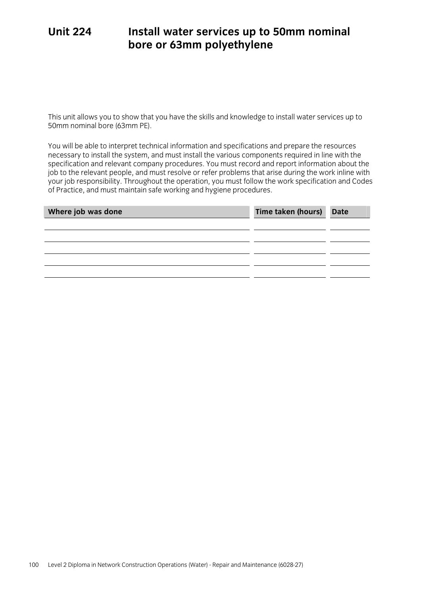## **Unit 224 Install water services up to 50mm nominal bore or 63mm polyethylene**

This unit allows you to show that you have the skills and knowledge to install water services up to 50mm nominal bore (63mm PE).

You will be able to interpret technical information and specifications and prepare the resources necessary to install the system, and must install the various components required in line with the specification and relevant company procedures. You must record and report information about the job to the relevant people, and must resolve or refer problems that arise during the work inline with your job responsibility. Throughout the operation, you must follow the work specification and Codes of Practice, and must maintain safe working and hygiene procedures.

| Where job was done | Time taken (hours) Date |  |
|--------------------|-------------------------|--|
|                    |                         |  |
|                    |                         |  |
|                    |                         |  |
|                    |                         |  |
|                    |                         |  |
|                    |                         |  |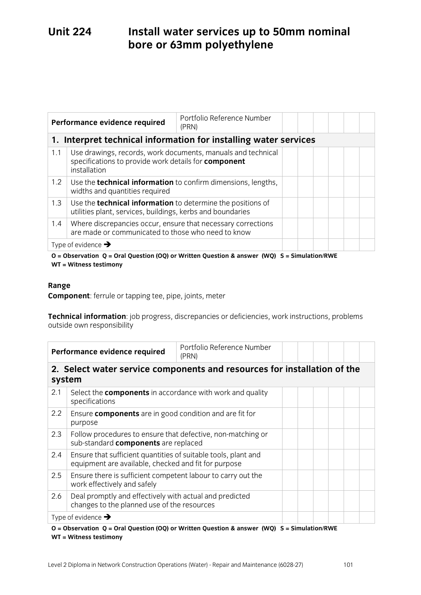# **Unit 224 Install water services up to 50mm nominal bore or 63mm polyethylene**

| Performance evidence required                                                                                                               | Portfolio Reference Number<br>(PRN)                                  |  |  |  |  |  |  |  |
|---------------------------------------------------------------------------------------------------------------------------------------------|----------------------------------------------------------------------|--|--|--|--|--|--|--|
| 1. Interpret technical information for installing water services                                                                            |                                                                      |  |  |  |  |  |  |  |
| Use drawings, records, work documents, manuals and technical<br>1.1<br>specifications to provide work details for component<br>installation |                                                                      |  |  |  |  |  |  |  |
| 1.2<br>widths and quantities required                                                                                                       | Use the <b>technical information</b> to confirm dimensions, lengths, |  |  |  |  |  |  |  |
| Use the <b>technical information</b> to determine the positions of<br>1.3<br>utilities plant, services, buildings, kerbs and boundaries     |                                                                      |  |  |  |  |  |  |  |
| Where discrepancies occur, ensure that necessary corrections<br>1.4<br>are made or communicated to those who need to know                   |                                                                      |  |  |  |  |  |  |  |
| Type of evidence $\rightarrow$                                                                                                              |                                                                      |  |  |  |  |  |  |  |

**O = Observation Q = Oral Question (OQ) or Written Question & answer (WQ) S = Simulation/RWE WT = Witness testimony**

## **Range**

**Component**: ferrule or tapping tee, pipe, joints, meter

**Technical information**: job progress, discrepancies or deficiencies, work instructions, problems outside own responsibility

|                                                                                    | Performance evidence required                                                                                          | Portfolio Reference Number<br>(PRN) |  |  |  |  |  |  |
|------------------------------------------------------------------------------------|------------------------------------------------------------------------------------------------------------------------|-------------------------------------|--|--|--|--|--|--|
| 2. Select water service components and resources for installation of the<br>system |                                                                                                                        |                                     |  |  |  |  |  |  |
| 2.1                                                                                | Select the <b>components</b> in accordance with work and quality<br>specifications                                     |                                     |  |  |  |  |  |  |
| $2.2\phantom{0}$                                                                   | Ensure <b>components</b> are in good condition and are fit for<br>purpose                                              |                                     |  |  |  |  |  |  |
| 2.3                                                                                | Follow procedures to ensure that defective, non-matching or<br>sub-standard components are replaced                    |                                     |  |  |  |  |  |  |
| 2.4                                                                                | Ensure that sufficient quantities of suitable tools, plant and<br>equipment are available, checked and fit for purpose |                                     |  |  |  |  |  |  |
| 2.5                                                                                | Ensure there is sufficient competent labour to carry out the<br>work effectively and safely                            |                                     |  |  |  |  |  |  |
| 2.6                                                                                | Deal promptly and effectively with actual and predicted<br>changes to the planned use of the resources                 |                                     |  |  |  |  |  |  |
| Type of evidence $\rightarrow$                                                     |                                                                                                                        |                                     |  |  |  |  |  |  |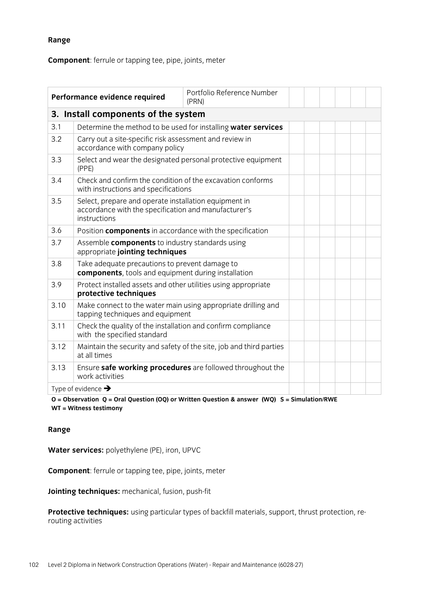#### **Range**

**Component**: ferrule or tapping tee, pipe, joints, meter

| Performance evidence required                                                         |                                                                                                                               | Portfolio Reference Number<br>(PRN) |  |  |  |  |  |
|---------------------------------------------------------------------------------------|-------------------------------------------------------------------------------------------------------------------------------|-------------------------------------|--|--|--|--|--|
| 3. Install components of the system                                                   |                                                                                                                               |                                     |  |  |  |  |  |
| 3.1                                                                                   | Determine the method to be used for installing water services                                                                 |                                     |  |  |  |  |  |
| 3.2                                                                                   | Carry out a site-specific risk assessment and review in<br>accordance with company policy                                     |                                     |  |  |  |  |  |
| 3.3                                                                                   | Select and wear the designated personal protective equipment<br>(PPE)                                                         |                                     |  |  |  |  |  |
| 3.4                                                                                   | Check and confirm the condition of the excavation conforms<br>with instructions and specifications                            |                                     |  |  |  |  |  |
| 3.5                                                                                   | Select, prepare and operate installation equipment in<br>accordance with the specification and manufacturer's<br>instructions |                                     |  |  |  |  |  |
| 3.6                                                                                   | Position components in accordance with the specification                                                                      |                                     |  |  |  |  |  |
| 3.7                                                                                   | Assemble components to industry standards using<br>appropriate jointing techniques                                            |                                     |  |  |  |  |  |
| 3.8                                                                                   | Take adequate precautions to prevent damage to<br>components, tools and equipment during installation                         |                                     |  |  |  |  |  |
| 3.9                                                                                   | Protect installed assets and other utilities using appropriate<br>protective techniques                                       |                                     |  |  |  |  |  |
| 3.10                                                                                  | Make connect to the water main using appropriate drilling and<br>tapping techniques and equipment                             |                                     |  |  |  |  |  |
| 3.11                                                                                  | Check the quality of the installation and confirm compliance<br>with the specified standard                                   |                                     |  |  |  |  |  |
| 3.12                                                                                  | Maintain the security and safety of the site, job and third parties<br>at all times                                           |                                     |  |  |  |  |  |
| 3.13<br>Ensure safe working procedures are followed throughout the<br>work activities |                                                                                                                               |                                     |  |  |  |  |  |
|                                                                                       | Type of evidence $\rightarrow$                                                                                                |                                     |  |  |  |  |  |

**O = Observation Q = Oral Question (OQ) or Written Question & answer (WQ) S = Simulation/RWE WT = Witness testimony**

## **Range**

**Water services:** polyethylene (PE), iron, UPVC

**Component**: ferrule or tapping tee, pipe, joints, meter

**Jointing techniques:** mechanical, fusion, push-fit

**Protective techniques:** using particular types of backfill materials, support, thrust protection, rerouting activities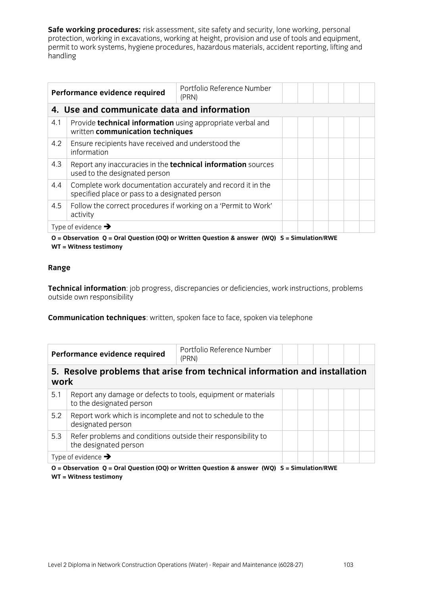**Safe working procedures:** risk assessment, site safety and security, lone working, personal protection, working in excavations, working at height, provision and use of tools and equipment, permit to work systems, hygiene procedures, hazardous materials, accident reporting, lifting and handling

| Performance evidence required |                                                                                                               | Portfolio Reference Number<br>(PRN) |  |  |  |  |
|-------------------------------|---------------------------------------------------------------------------------------------------------------|-------------------------------------|--|--|--|--|
|                               | 4. Use and communicate data and information                                                                   |                                     |  |  |  |  |
| 4.1                           | Provide technical information using appropriate verbal and<br>written communication techniques                |                                     |  |  |  |  |
| 4.2                           | Ensure recipients have received and understood the<br>information                                             |                                     |  |  |  |  |
| 4.3                           | Report any inaccuracies in the <b>technical information</b> sources<br>used to the designated person          |                                     |  |  |  |  |
| 4.4                           | Complete work documentation accurately and record it in the<br>specified place or pass to a designated person |                                     |  |  |  |  |
| 4.5                           | Follow the correct procedures if working on a 'Permit to Work'<br>activity                                    |                                     |  |  |  |  |
|                               | Type of evidence $\rightarrow$                                                                                |                                     |  |  |  |  |

**O = Observation Q = Oral Question (OQ) or Written Question & answer (WQ) S = Simulation/RWE WT = Witness testimony**

#### **Range**

**Technical information**: job progress, discrepancies or deficiencies, work instructions, problems outside own responsibility

**Communication techniques**: written, spoken face to face, spoken via telephone

|                                                                                    | Performance evidence required                                                             | Portfolio Reference Number<br>(PRN) |  |  |  |  |  |  |
|------------------------------------------------------------------------------------|-------------------------------------------------------------------------------------------|-------------------------------------|--|--|--|--|--|--|
| 5. Resolve problems that arise from technical information and installation<br>work |                                                                                           |                                     |  |  |  |  |  |  |
| 5.1                                                                                | Report any damage or defects to tools, equipment or materials<br>to the designated person |                                     |  |  |  |  |  |  |
| 5.2                                                                                | Report work which is incomplete and not to schedule to the<br>designated person           |                                     |  |  |  |  |  |  |
| 5.3                                                                                | Refer problems and conditions outside their responsibility to<br>the designated person    |                                     |  |  |  |  |  |  |
| Type of evidence $\rightarrow$                                                     |                                                                                           |                                     |  |  |  |  |  |  |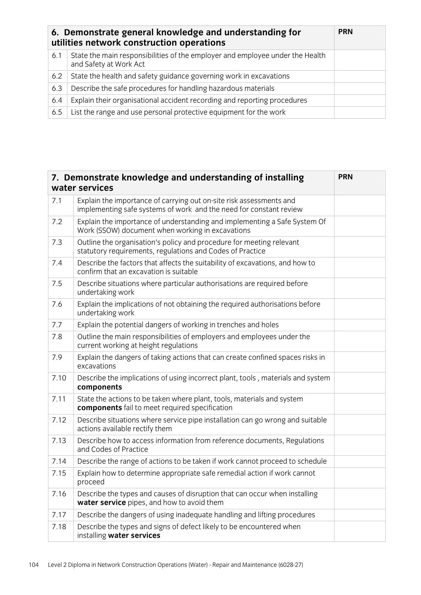| 6. Demonstrate general knowledge and understanding for<br>utilities network construction operations |                                                                                                         |  |  |  |
|-----------------------------------------------------------------------------------------------------|---------------------------------------------------------------------------------------------------------|--|--|--|
| 6.1                                                                                                 | State the main responsibilities of the employer and employee under the Health<br>and Safety at Work Act |  |  |  |
| 6.2                                                                                                 | State the health and safety guidance governing work in excavations                                      |  |  |  |
| 6.3                                                                                                 | Describe the safe procedures for handling hazardous materials                                           |  |  |  |
| 6.4                                                                                                 | Explain their organisational accident recording and reporting procedures                                |  |  |  |
| 6.5                                                                                                 | List the range and use personal protective equipment for the work                                       |  |  |  |

| 7. Demonstrate knowledge and understanding of installing<br>water services |      |                                                                                                                                           |  |  |  |
|----------------------------------------------------------------------------|------|-------------------------------------------------------------------------------------------------------------------------------------------|--|--|--|
|                                                                            | 7.1  | Explain the importance of carrying out on-site risk assessments and<br>implementing safe systems of work and the need for constant review |  |  |  |
|                                                                            | 7.2  | Explain the importance of understanding and implementing a Safe System Of<br>Work (SSOW) document when working in excavations             |  |  |  |
|                                                                            | 7.3  | Outline the organisation's policy and procedure for meeting relevant<br>statutory requirements, regulations and Codes of Practice         |  |  |  |
|                                                                            | 7.4  | Describe the factors that affects the suitability of excavations, and how to<br>confirm that an excavation is suitable                    |  |  |  |
|                                                                            | 7.5  | Describe situations where particular authorisations are required before<br>undertaking work                                               |  |  |  |
|                                                                            | 7.6  | Explain the implications of not obtaining the required authorisations before<br>undertaking work                                          |  |  |  |
|                                                                            | 7.7  | Explain the potential dangers of working in trenches and holes                                                                            |  |  |  |
|                                                                            | 7.8  | Outline the main responsibilities of employers and employees under the<br>current working at height regulations                           |  |  |  |
|                                                                            | 7.9  | Explain the dangers of taking actions that can create confined spaces risks in<br>excavations                                             |  |  |  |
|                                                                            | 7.10 | Describe the implications of using incorrect plant, tools, materials and system<br>components                                             |  |  |  |
|                                                                            | 7.11 | State the actions to be taken where plant, tools, materials and system<br>components fail to meet required specification                  |  |  |  |
|                                                                            | 7.12 | Describe situations where service pipe installation can go wrong and suitable<br>actions available rectify them                           |  |  |  |
|                                                                            | 7.13 | Describe how to access information from reference documents, Regulations<br>and Codes of Practice                                         |  |  |  |
|                                                                            | 7.14 | Describe the range of actions to be taken if work cannot proceed to schedule                                                              |  |  |  |
|                                                                            | 7.15 | Explain how to determine appropriate safe remedial action if work cannot<br>proceed                                                       |  |  |  |
|                                                                            | 7.16 | Describe the types and causes of disruption that can occur when installing<br>water service pipes, and how to avoid them                  |  |  |  |
|                                                                            | 7.17 | Describe the dangers of using inadequate handling and lifting procedures                                                                  |  |  |  |
|                                                                            | 7.18 | Describe the types and signs of defect likely to be encountered when<br>installing water services                                         |  |  |  |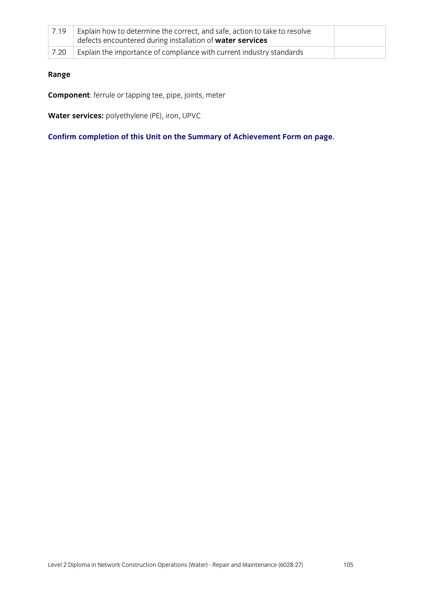| 7.19   | Explain how to determine the correct, and safe, action to take to resolve<br>defects encountered during installation of water services |  |
|--------|----------------------------------------------------------------------------------------------------------------------------------------|--|
| $7.20$ | Explain the importance of compliance with current industry standards                                                                   |  |

## **Range**

**Component**: ferrule or tapping tee, pipe, joints, meter

**Water services:** polyethylene (PE), iron, UPVC

**Confirm completion of this Unit on the Summary of Achievement Form on page.**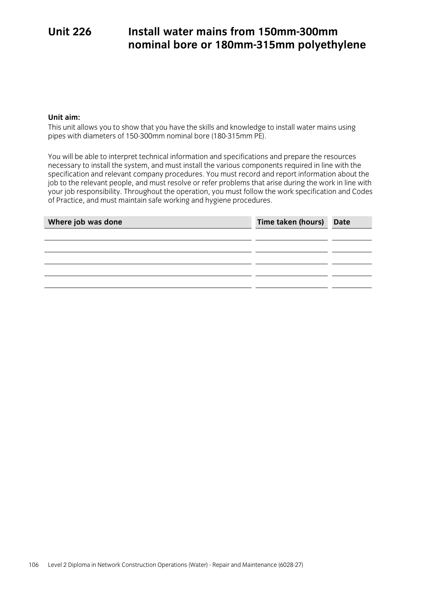## **Unit 226 Install water mains from 150mm-300mm nominal bore or 180mm-315mm polyethylene**

#### **Unit aim:**

This unit allows you to show that you have the skills and knowledge to install water mains using pipes with diameters of 150-300mm nominal bore (180-315mm PE).

You will be able to interpret technical information and specifications and prepare the resources necessary to install the system, and must install the various components required in line with the specification and relevant company procedures. You must record and report information about the job to the relevant people, and must resolve or refer problems that arise during the work in line with your job responsibility. Throughout the operation, you must follow the work specification and Codes of Practice, and must maintain safe working and hygiene procedures.

| Where job was done | <b>Time taken (hours)</b> | <b>Date</b> |
|--------------------|---------------------------|-------------|
|                    |                           |             |
|                    |                           |             |
|                    |                           |             |
|                    |                           |             |
|                    |                           |             |
|                    |                           |             |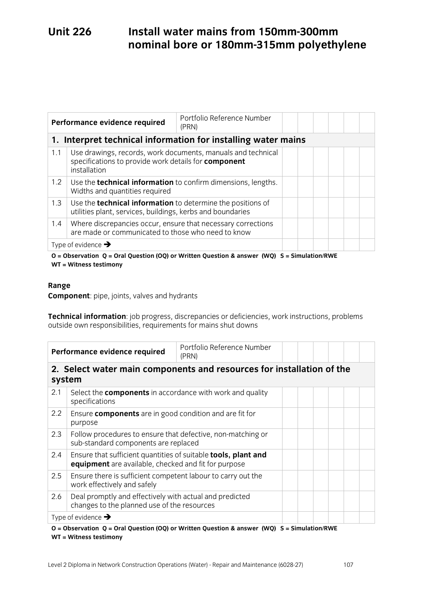# **Unit 226 Install water mains from 150mm-300mm nominal bore or 180mm-315mm polyethylene**

|                                                                                               | Performance evidence required                                                                                                        | Portfolio Reference Number<br>(PRN) |  |  |  |  |  |  |
|-----------------------------------------------------------------------------------------------|--------------------------------------------------------------------------------------------------------------------------------------|-------------------------------------|--|--|--|--|--|--|
|                                                                                               | 1. Interpret technical information for installing water mains                                                                        |                                     |  |  |  |  |  |  |
| 1.1                                                                                           | Use drawings, records, work documents, manuals and technical<br>specifications to provide work details for component<br>installation |                                     |  |  |  |  |  |  |
| 1.2                                                                                           | Use the <b>technical information</b> to confirm dimensions, lengths.<br>Widths and quantities required                               |                                     |  |  |  |  |  |  |
| 1.3                                                                                           | Use the <b>technical information</b> to determine the positions of<br>utilities plant, services, buildings, kerbs and boundaries     |                                     |  |  |  |  |  |  |
| 1.4                                                                                           | Where discrepancies occur, ensure that necessary corrections<br>are made or communicated to those who need to know                   |                                     |  |  |  |  |  |  |
|                                                                                               | Type of evidence $\rightarrow$                                                                                                       |                                     |  |  |  |  |  |  |
| 0. Okeanistian 0. Oral Questian (00) ar Written Questian 8 anougu (WO). C<br>Ciperdation DIME |                                                                                                                                      |                                     |  |  |  |  |  |  |

**O = Observation Q = Oral Question (OQ) or Written Question & answer (WQ) S = Simulation/RWE WT = Witness testimony**

## **Range**

**Component**: pipe, joints, valves and hydrants

**Technical information**: job progress, discrepancies or deficiencies, work instructions, problems outside own responsibilities, requirements for mains shut downs

|                                                                                 | Performance evidence required                                                                                          | Portfolio Reference Number<br>(PRN) |  |  |  |  |  |
|---------------------------------------------------------------------------------|------------------------------------------------------------------------------------------------------------------------|-------------------------------------|--|--|--|--|--|
| 2. Select water main components and resources for installation of the<br>system |                                                                                                                        |                                     |  |  |  |  |  |
| 2.1                                                                             | Select the <b>components</b> in accordance with work and quality<br>specifications                                     |                                     |  |  |  |  |  |
| 2.2                                                                             | Ensure <b>components</b> are in good condition and are fit for<br>purpose                                              |                                     |  |  |  |  |  |
| 2.3                                                                             | Follow procedures to ensure that defective, non-matching or<br>sub-standard components are replaced                    |                                     |  |  |  |  |  |
| 2.4                                                                             | Ensure that sufficient quantities of suitable tools, plant and<br>equipment are available, checked and fit for purpose |                                     |  |  |  |  |  |
| 2.5                                                                             | Ensure there is sufficient competent labour to carry out the<br>work effectively and safely                            |                                     |  |  |  |  |  |
| 2.6                                                                             | Deal promptly and effectively with actual and predicted<br>changes to the planned use of the resources                 |                                     |  |  |  |  |  |
| Type of evidence $\rightarrow$                                                  |                                                                                                                        |                                     |  |  |  |  |  |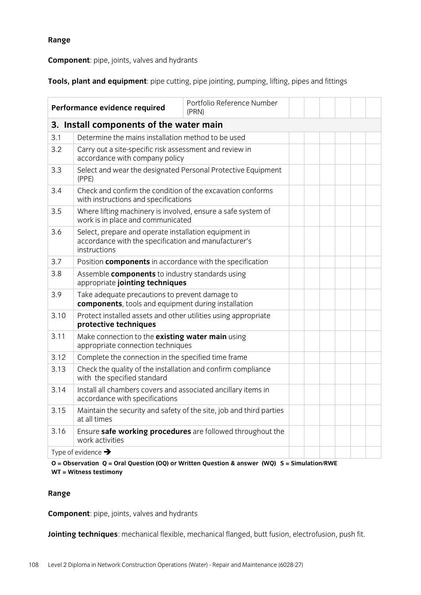**Component**: pipe, joints, valves and hydrants

**Tools, plant and equipment**: pipe cutting, pipe jointing, pumping, lifting, pipes and fittings

| Performance evidence required           |                                                                                                                               | Portfolio Reference Number<br>(PRN) |  |  |  |  |  |  |
|-----------------------------------------|-------------------------------------------------------------------------------------------------------------------------------|-------------------------------------|--|--|--|--|--|--|
| 3. Install components of the water main |                                                                                                                               |                                     |  |  |  |  |  |  |
| 3.1                                     | Determine the mains installation method to be used                                                                            |                                     |  |  |  |  |  |  |
| 3.2                                     | Carry out a site-specific risk assessment and review in<br>accordance with company policy                                     |                                     |  |  |  |  |  |  |
| 3.3                                     | Select and wear the designated Personal Protective Equipment<br>(PPE)                                                         |                                     |  |  |  |  |  |  |
| 3.4                                     | Check and confirm the condition of the excavation conforms<br>with instructions and specifications                            |                                     |  |  |  |  |  |  |
| 3.5                                     | Where lifting machinery is involved, ensure a safe system of<br>work is in place and communicated                             |                                     |  |  |  |  |  |  |
| 3.6                                     | Select, prepare and operate installation equipment in<br>accordance with the specification and manufacturer's<br>instructions |                                     |  |  |  |  |  |  |
| 3.7                                     | Position components in accordance with the specification                                                                      |                                     |  |  |  |  |  |  |
| 3.8                                     | Assemble components to industry standards using<br>appropriate jointing techniques                                            |                                     |  |  |  |  |  |  |
| 3.9                                     | Take adequate precautions to prevent damage to<br>components, tools and equipment during installation                         |                                     |  |  |  |  |  |  |
| 3.10                                    | Protect installed assets and other utilities using appropriate<br>protective techniques                                       |                                     |  |  |  |  |  |  |
| 3.11                                    | Make connection to the existing water main using<br>appropriate connection techniques                                         |                                     |  |  |  |  |  |  |
| 3.12                                    | Complete the connection in the specified time frame                                                                           |                                     |  |  |  |  |  |  |
| 3.13                                    | Check the quality of the installation and confirm compliance<br>with the specified standard                                   |                                     |  |  |  |  |  |  |
| 3.14                                    | Install all chambers covers and associated ancillary items in<br>accordance with specifications                               |                                     |  |  |  |  |  |  |
| 3.15                                    | Maintain the security and safety of the site, job and third parties<br>at all times                                           |                                     |  |  |  |  |  |  |
| 3.16                                    | Ensure safe working procedures are followed throughout the<br>work activities                                                 |                                     |  |  |  |  |  |  |
| Type of evidence $\rightarrow$          |                                                                                                                               |                                     |  |  |  |  |  |  |

**O = Observation Q = Oral Question (OQ) or Written Question & answer (WQ) S = Simulation/RWE WT = Witness testimony**

## **Range**

**Component**: pipe, joints, valves and hydrants

**Jointing techniques**: mechanical flexible, mechanical flanged, butt fusion, electrofusion, push fit.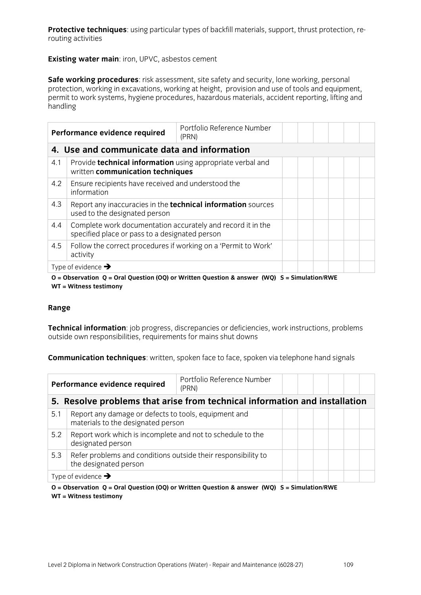**Protective techniques**: using particular types of backfill materials, support, thrust protection, rerouting activities

#### **Existing water main**: iron, UPVC, asbestos cement

**Safe working procedures**: risk assessment, site safety and security, lone working, personal protection, working in excavations, working at height, provision and use of tools and equipment, permit to work systems, hygiene procedures, hazardous materials, accident reporting, lifting and handling

|     | Performance evidence required                                                                                 | Portfolio Reference Number<br>(PRN) |  |  |  |
|-----|---------------------------------------------------------------------------------------------------------------|-------------------------------------|--|--|--|
|     | 4. Use and communicate data and information                                                                   |                                     |  |  |  |
| 4.1 | Provide technical information using appropriate verbal and<br>written communication techniques                |                                     |  |  |  |
| 4.2 | Ensure recipients have received and understood the<br>information                                             |                                     |  |  |  |
| 4.3 | Report any inaccuracies in the technical information sources<br>used to the designated person                 |                                     |  |  |  |
| 4.4 | Complete work documentation accurately and record it in the<br>specified place or pass to a designated person |                                     |  |  |  |
| 4.5 | Follow the correct procedures if working on a 'Permit to Work'<br>activity                                    |                                     |  |  |  |
|     | Type of evidence $\rightarrow$                                                                                |                                     |  |  |  |
|     |                                                                                                               |                                     |  |  |  |

**O = Observation Q = Oral Question (OQ) or Written Question & answer (WQ) S = Simulation/RWE WT = Witness testimony**

#### **Range**

**Technical information**: job progress, discrepancies or deficiencies, work instructions, problems outside own responsibilities, requirements for mains shut downs

**Communication techniques**: written, spoken face to face, spoken via telephone hand signals

|     | Performance evidence required                                                              | Portfolio Reference Number<br>(PRN) |  |  |  |  |  |  |
|-----|--------------------------------------------------------------------------------------------|-------------------------------------|--|--|--|--|--|--|
|     | 5. Resolve problems that arise from technical information and installation                 |                                     |  |  |  |  |  |  |
| 5.1 | Report any damage or defects to tools, equipment and<br>materials to the designated person |                                     |  |  |  |  |  |  |
| 5.2 | Report work which is incomplete and not to schedule to the<br>designated person            |                                     |  |  |  |  |  |  |
| 5.3 | Refer problems and conditions outside their responsibility to<br>the designated person     |                                     |  |  |  |  |  |  |
|     | Type of evidence $\rightarrow$                                                             |                                     |  |  |  |  |  |  |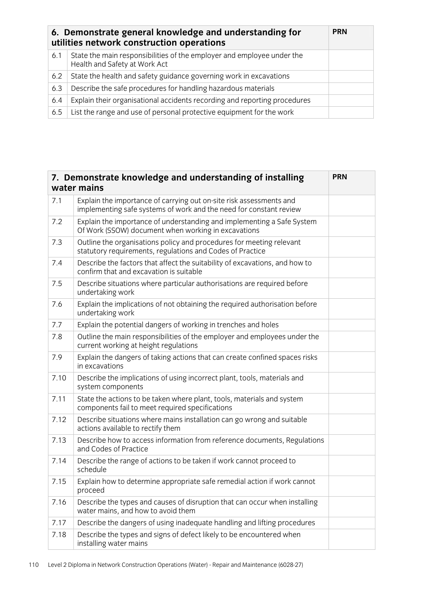|     | <b>PRN</b><br>6. Demonstrate general knowledge and understanding for<br>utilities network construction operations |  |  |  |  |
|-----|-------------------------------------------------------------------------------------------------------------------|--|--|--|--|
| 6.1 | State the main responsibilities of the employer and employee under the<br>Health and Safety at Work Act           |  |  |  |  |
| 6.2 | State the health and safety guidance governing work in excavations                                                |  |  |  |  |
| 6.3 | Describe the safe procedures for handling hazardous materials                                                     |  |  |  |  |
| 6.4 | Explain their organisational accidents recording and reporting procedures                                         |  |  |  |  |
| 6.5 | List the range and use of personal protective equipment for the work                                              |  |  |  |  |

|      | 7. Demonstrate knowledge and understanding of installing<br>water mains                                                                   | <b>PRN</b> |
|------|-------------------------------------------------------------------------------------------------------------------------------------------|------------|
| 7.1  | Explain the importance of carrying out on-site risk assessments and<br>implementing safe systems of work and the need for constant review |            |
| 7.2  | Explain the importance of understanding and implementing a Safe System<br>Of Work (SSOW) document when working in excavations             |            |
| 7.3  | Outline the organisations policy and procedures for meeting relevant<br>statutory requirements, regulations and Codes of Practice         |            |
| 7.4  | Describe the factors that affect the suitability of excavations, and how to<br>confirm that and excavation is suitable                    |            |
| 7.5  | Describe situations where particular authorisations are required before<br>undertaking work                                               |            |
| 7.6  | Explain the implications of not obtaining the required authorisation before<br>undertaking work                                           |            |
| 7.7  | Explain the potential dangers of working in trenches and holes                                                                            |            |
| 7.8  | Outline the main responsibilities of the employer and employees under the<br>current working at height regulations                        |            |
| 7.9  | Explain the dangers of taking actions that can create confined spaces risks<br>in excavations                                             |            |
| 7.10 | Describe the implications of using incorrect plant, tools, materials and<br>system components                                             |            |
| 7.11 | State the actions to be taken where plant, tools, materials and system<br>components fail to meet required specifications                 |            |
| 7.12 | Describe situations where mains installation can go wrong and suitable<br>actions available to rectify them                               |            |
| 7.13 | Describe how to access information from reference documents, Regulations<br>and Codes of Practice                                         |            |
| 7.14 | Describe the range of actions to be taken if work cannot proceed to<br>schedule                                                           |            |
| 7.15 | Explain how to determine appropriate safe remedial action if work cannot<br>proceed                                                       |            |
| 7.16 | Describe the types and causes of disruption that can occur when installing<br>water mains, and how to avoid them                          |            |
| 7.17 | Describe the dangers of using inadequate handling and lifting procedures                                                                  |            |
| 7.18 | Describe the types and signs of defect likely to be encountered when<br>installing water mains                                            |            |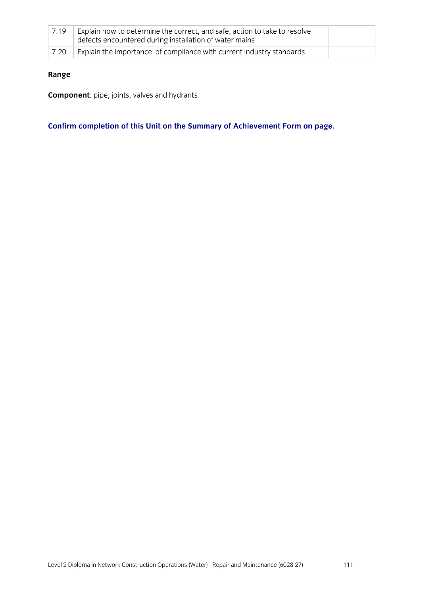| 7.19 | Explain how to determine the correct, and safe, action to take to resolve<br>defects encountered during installation of water mains |  |
|------|-------------------------------------------------------------------------------------------------------------------------------------|--|
| 7.20 | Explain the importance of compliance with current industry standards                                                                |  |

#### **Range**

**Component**: pipe, joints, valves and hydrants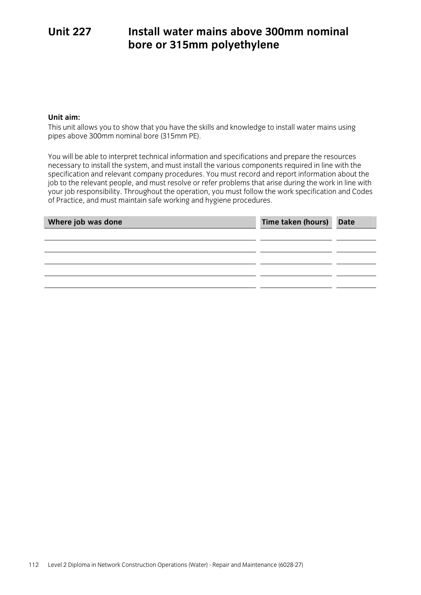### **Unit 227 Install water mains above 300mm nominal bore or 315mm polyethylene**

#### **Unit aim:**

This unit allows you to show that you have the skills and knowledge to install water mains using pipes above 300mm nominal bore (315mm PE).

You will be able to interpret technical information and specifications and prepare the resources necessary to install the system, and must install the various components required in line with the specification and relevant company procedures. You must record and report information about the job to the relevant people, and must resolve or refer problems that arise during the work in line with your job responsibility. Throughout the operation, you must follow the work specification and Codes of Practice, and must maintain safe working and hygiene procedures.

| Where job was done | Time taken (hours) Date |  |
|--------------------|-------------------------|--|
|                    |                         |  |
|                    |                         |  |
|                    |                         |  |
|                    |                         |  |
|                    |                         |  |
|                    |                         |  |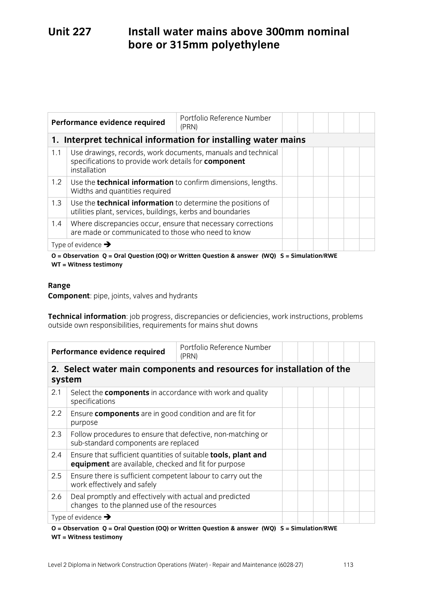## **Unit 227 Install water mains above 300mm nominal bore or 315mm polyethylene**

|     | Performance evidence required                                                                                                                                                                                                                                                                                                                                                     | Portfolio Reference Number<br>(PRN) |  |  |  |  |  |  |
|-----|-----------------------------------------------------------------------------------------------------------------------------------------------------------------------------------------------------------------------------------------------------------------------------------------------------------------------------------------------------------------------------------|-------------------------------------|--|--|--|--|--|--|
|     | 1. Interpret technical information for installing water mains                                                                                                                                                                                                                                                                                                                     |                                     |  |  |  |  |  |  |
| 1.1 | Use drawings, records, work documents, manuals and technical<br>specifications to provide work details for component<br>installation                                                                                                                                                                                                                                              |                                     |  |  |  |  |  |  |
| 1.2 | Use the <b>technical information</b> to confirm dimensions, lengths.<br>Widths and quantities required                                                                                                                                                                                                                                                                            |                                     |  |  |  |  |  |  |
| 1.3 | Use the <b>technical information</b> to determine the positions of<br>utilities plant, services, buildings, kerbs and boundaries                                                                                                                                                                                                                                                  |                                     |  |  |  |  |  |  |
| 1.4 | Where discrepancies occur, ensure that necessary corrections<br>are made or communicated to those who need to know                                                                                                                                                                                                                                                                |                                     |  |  |  |  |  |  |
|     | Type of evidence $\rightarrow$                                                                                                                                                                                                                                                                                                                                                    |                                     |  |  |  |  |  |  |
|     | $\bigcap$ $\bigcap$ $\bigcap$ $\bigcap$ $\bigcap$ $\bigcap$ $\bigcap$ $\bigcap$ $\bigcap$ $\bigcap$ $\bigcap$ $\bigcap$ $\bigcap$ $\bigcap$ $\bigcap$ $\bigcap$ $\bigcap$ $\bigcap$ $\bigcap$ $\bigcap$ $\bigcap$ $\bigcap$ $\bigcap$ $\bigcap$ $\bigcap$ $\bigcap$ $\bigcap$ $\bigcap$ $\bigcap$ $\bigcap$ $\bigcap$ $\bigcap$ $\bigcap$ $\bigcap$ $\bigcap$ $\bigcap$ $\bigcap$ |                                     |  |  |  |  |  |  |

**O = Observation Q = Oral Question (OQ) or Written Question & answer (WQ) S = Simulation/RWE WT = Witness testimony**

#### **Range**

**Component**: pipe, joints, valves and hydrants

**Technical information**: job progress, discrepancies or deficiencies, work instructions, problems outside own responsibilities, requirements for mains shut downs

|     | Performance evidence required                                                                                          | Portfolio Reference Number<br>(PRN) |  |  |  |  |  |
|-----|------------------------------------------------------------------------------------------------------------------------|-------------------------------------|--|--|--|--|--|
|     | 2. Select water main components and resources for installation of the<br>system                                        |                                     |  |  |  |  |  |
| 2.1 | Select the <b>components</b> in accordance with work and quality<br>specifications                                     |                                     |  |  |  |  |  |
| 2.2 | Ensure <b>components</b> are in good condition and are fit for<br>purpose                                              |                                     |  |  |  |  |  |
| 2.3 | Follow procedures to ensure that defective, non-matching or<br>sub-standard components are replaced                    |                                     |  |  |  |  |  |
| 2.4 | Ensure that sufficient quantities of suitable tools, plant and<br>equipment are available, checked and fit for purpose |                                     |  |  |  |  |  |
| 2.5 | Ensure there is sufficient competent labour to carry out the<br>work effectively and safely                            |                                     |  |  |  |  |  |
| 2.6 | Deal promptly and effectively with actual and predicted<br>changes to the planned use of the resources                 |                                     |  |  |  |  |  |
|     | Type of evidence $\rightarrow$                                                                                         |                                     |  |  |  |  |  |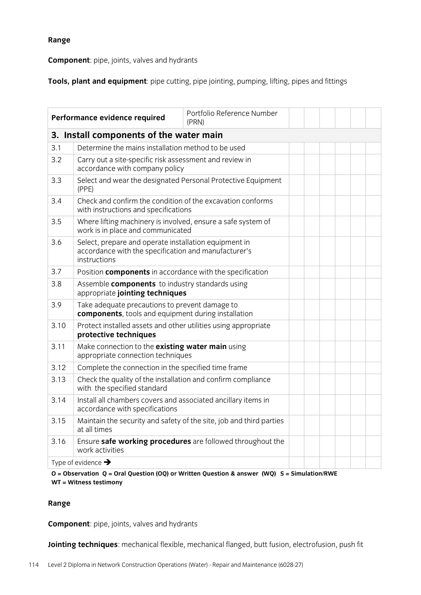**Component**: pipe, joints, valves and hydrants

**Tools, plant and equipment**: pipe cutting, pipe jointing, pumping, lifting, pipes and fittings

|      | Performance evidence required                                                                                                 | Portfolio Reference Number<br>(PRN) |  |  |  |
|------|-------------------------------------------------------------------------------------------------------------------------------|-------------------------------------|--|--|--|
|      | 3. Install components of the water main                                                                                       |                                     |  |  |  |
| 3.1  | Determine the mains installation method to be used                                                                            |                                     |  |  |  |
| 3.2  | Carry out a site-specific risk assessment and review in<br>accordance with company policy                                     |                                     |  |  |  |
| 3.3  | Select and wear the designated Personal Protective Equipment<br>(PPE)                                                         |                                     |  |  |  |
| 3.4  | Check and confirm the condition of the excavation conforms<br>with instructions and specifications                            |                                     |  |  |  |
| 3.5  | Where lifting machinery is involved, ensure a safe system of<br>work is in place and communicated                             |                                     |  |  |  |
| 3.6  | Select, prepare and operate installation equipment in<br>accordance with the specification and manufacturer's<br>instructions |                                     |  |  |  |
| 3.7  | Position components in accordance with the specification                                                                      |                                     |  |  |  |
| 3.8  | Assemble components to industry standards using<br>appropriate jointing techniques                                            |                                     |  |  |  |
| 3.9  | Take adequate precautions to prevent damage to<br>components, tools and equipment during installation                         |                                     |  |  |  |
| 3.10 | Protect installed assets and other utilities using appropriate<br>protective techniques                                       |                                     |  |  |  |
| 3.11 | Make connection to the existing water main using<br>appropriate connection techniques                                         |                                     |  |  |  |
| 3.12 | Complete the connection in the specified time frame                                                                           |                                     |  |  |  |
| 3.13 | Check the quality of the installation and confirm compliance<br>with the specified standard                                   |                                     |  |  |  |
| 3.14 | Install all chambers covers and associated ancillary items in<br>accordance with specifications                               |                                     |  |  |  |
| 3.15 | Maintain the security and safety of the site, job and third parties<br>at all times                                           |                                     |  |  |  |
| 3.16 | Ensure safe working procedures are followed throughout the<br>work activities                                                 |                                     |  |  |  |
|      | Type of evidence $\rightarrow$                                                                                                |                                     |  |  |  |

**O = Observation Q = Oral Question (OQ) or Written Question & answer (WQ) S = Simulation/RWE WT = Witness testimony**

#### **Range**

**Component**: pipe, joints, valves and hydrants

**Jointing techniques**: mechanical flexible, mechanical flanged, butt fusion, electrofusion, push fit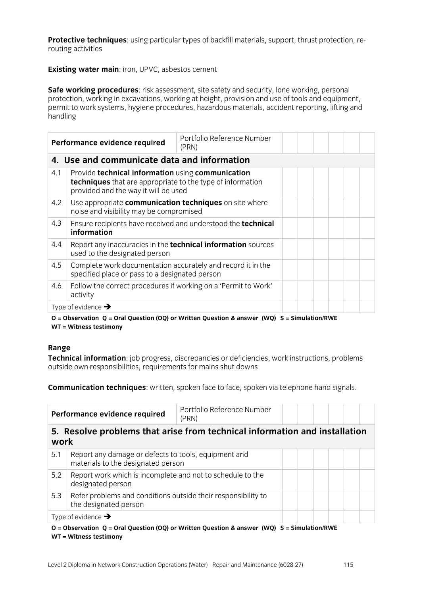**Protective techniques**: using particular types of backfill materials, support, thrust protection, rerouting activities

#### **Existing water main**: iron, UPVC, asbestos cement

**Safe working procedures**: risk assessment, site safety and security, lone working, personal protection, working in excavations, working at height, provision and use of tools and equipment, permit to work systems, hygiene procedures, hazardous materials, accident reporting, lifting and handling

|     | Performance evidence required                                                                                                                           | Portfolio Reference Number<br>(PRN) |                                |  |  |  |  |  |
|-----|---------------------------------------------------------------------------------------------------------------------------------------------------------|-------------------------------------|--------------------------------|--|--|--|--|--|
|     | 4. Use and communicate data and information                                                                                                             |                                     |                                |  |  |  |  |  |
| 4.1 | Provide technical information using communication<br>techniques that are appropriate to the type of information<br>provided and the way it will be used |                                     |                                |  |  |  |  |  |
| 4.2 | Use appropriate communication techniques on site where<br>noise and visibility may be compromised                                                       |                                     |                                |  |  |  |  |  |
| 4.3 | Ensure recipients have received and understood the technical<br>information                                                                             |                                     |                                |  |  |  |  |  |
| 4.4 | Report any inaccuracies in the <b>technical information</b> sources<br>used to the designated person                                                    |                                     |                                |  |  |  |  |  |
| 4.5 | Complete work documentation accurately and record it in the<br>specified place or pass to a designated person                                           |                                     |                                |  |  |  |  |  |
| 4.6 | Follow the correct procedures if working on a 'Permit to Work'<br>activity                                                                              |                                     |                                |  |  |  |  |  |
|     |                                                                                                                                                         |                                     | Type of evidence $\rightarrow$ |  |  |  |  |  |

**O = Observation Q = Oral Question (OQ) or Written Question & answer (WQ) S = Simulation/RWE WT = Witness testimony**

#### **Range**

**Technical information**: job progress, discrepancies or deficiencies, work instructions, problems outside own responsibilities, requirements for mains shut downs

**Communication techniques**: written, spoken face to face, spoken via telephone hand signals.

|     | Performance evidence required                                                              | Portfolio Reference Number<br>(PRN) |  |  |  |  |  |  |
|-----|--------------------------------------------------------------------------------------------|-------------------------------------|--|--|--|--|--|--|
|     | 5. Resolve problems that arise from technical information and installation<br>work         |                                     |  |  |  |  |  |  |
| 5.1 | Report any damage or defects to tools, equipment and<br>materials to the designated person |                                     |  |  |  |  |  |  |
| 5.2 | Report work which is incomplete and not to schedule to the<br>designated person            |                                     |  |  |  |  |  |  |
| 5.3 | Refer problems and conditions outside their responsibility to<br>the designated person     |                                     |  |  |  |  |  |  |
|     | Type of evidence $\rightarrow$                                                             |                                     |  |  |  |  |  |  |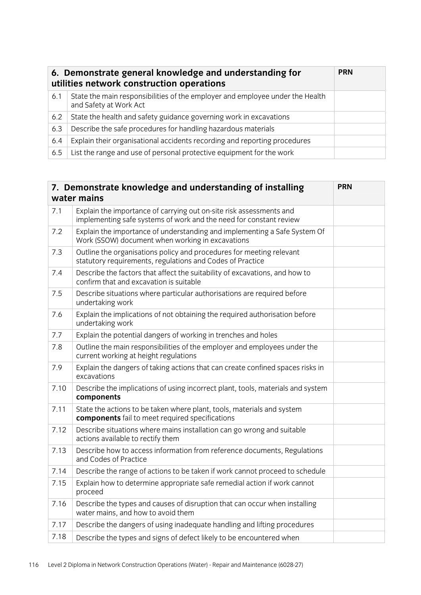|     | <b>PRN</b><br>6. Demonstrate general knowledge and understanding for<br>utilities network construction operations |  |  |  |  |
|-----|-------------------------------------------------------------------------------------------------------------------|--|--|--|--|
| 6.1 | State the main responsibilities of the employer and employee under the Health<br>and Safety at Work Act           |  |  |  |  |
| 6.2 | State the health and safety guidance governing work in excavations                                                |  |  |  |  |
| 6.3 | Describe the safe procedures for handling hazardous materials                                                     |  |  |  |  |
| 6.4 | Explain their organisational accidents recording and reporting procedures                                         |  |  |  |  |
| 6.5 | List the range and use of personal protective equipment for the work                                              |  |  |  |  |

|      | 7. Demonstrate knowledge and understanding of installing<br>water mains                                                                   | <b>PRN</b> |
|------|-------------------------------------------------------------------------------------------------------------------------------------------|------------|
| 7.1  | Explain the importance of carrying out on-site risk assessments and<br>implementing safe systems of work and the need for constant review |            |
| 7.2  | Explain the importance of understanding and implementing a Safe System Of<br>Work (SSOW) document when working in excavations             |            |
| 7.3  | Outline the organisations policy and procedures for meeting relevant<br>statutory requirements, regulations and Codes of Practice         |            |
| 7.4  | Describe the factors that affect the suitability of excavations, and how to<br>confirm that and excavation is suitable                    |            |
| 7.5  | Describe situations where particular authorisations are required before<br>undertaking work                                               |            |
| 7.6  | Explain the implications of not obtaining the required authorisation before<br>undertaking work                                           |            |
| 7.7  | Explain the potential dangers of working in trenches and holes                                                                            |            |
| 7.8  | Outline the main responsibilities of the employer and employees under the<br>current working at height regulations                        |            |
| 7.9  | Explain the dangers of taking actions that can create confined spaces risks in<br>excavations                                             |            |
| 7.10 | Describe the implications of using incorrect plant, tools, materials and system<br>components                                             |            |
| 7.11 | State the actions to be taken where plant, tools, materials and system<br>components fail to meet required specifications                 |            |
| 7.12 | Describe situations where mains installation can go wrong and suitable<br>actions available to rectify them                               |            |
| 7.13 | Describe how to access information from reference documents, Regulations<br>and Codes of Practice                                         |            |
| 7.14 | Describe the range of actions to be taken if work cannot proceed to schedule                                                              |            |
| 7.15 | Explain how to determine appropriate safe remedial action if work cannot<br>proceed                                                       |            |
| 7.16 | Describe the types and causes of disruption that can occur when installing<br>water mains, and how to avoid them                          |            |
| 7.17 | Describe the dangers of using inadequate handling and lifting procedures                                                                  |            |
| 7.18 | Describe the types and signs of defect likely to be encountered when                                                                      |            |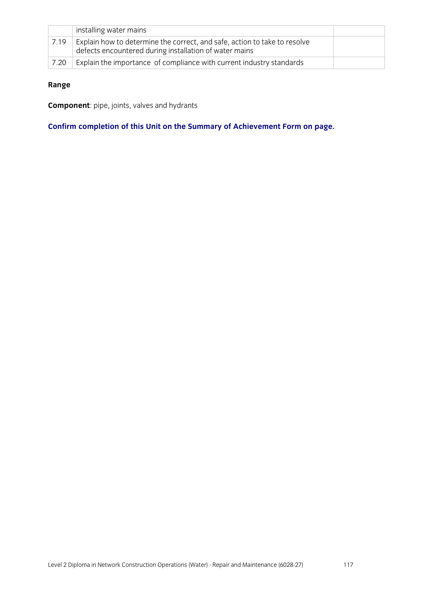|      | installing water mains                                                                                                              |  |
|------|-------------------------------------------------------------------------------------------------------------------------------------|--|
| 7.19 | Explain how to determine the correct, and safe, action to take to resolve<br>defects encountered during installation of water mains |  |
| 7.20 | Explain the importance of compliance with current industry standards                                                                |  |

### **Range**

**Component**: pipe, joints, valves and hydrants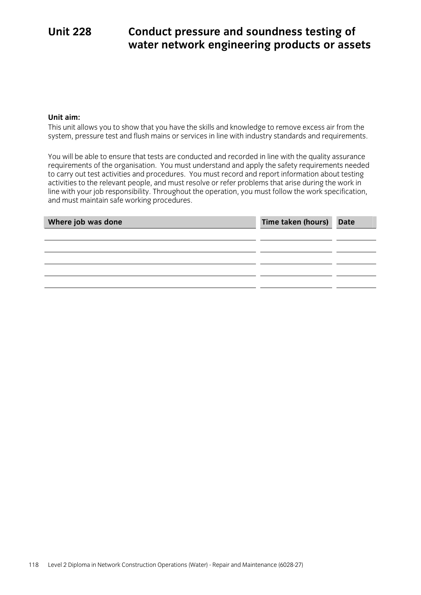### **Unit 228 Conduct pressure and soundness testing of water network engineering products or assets**

#### **Unit aim:**

This unit allows you to show that you have the skills and knowledge to remove excess air from the system, pressure test and flush mains or services in line with industry standards and requirements.

You will be able to ensure that tests are conducted and recorded in line with the quality assurance requirements of the organisation. You must understand and apply the safety requirements needed to carry out test activities and procedures. You must record and report information about testing activities to the relevant people, and must resolve or refer problems that arise during the work in line with your job responsibility. Throughout the operation, you must follow the work specification, and must maintain safe working procedures.

| Where job was done | Time taken (hours) Date |  |
|--------------------|-------------------------|--|
|                    |                         |  |
|                    |                         |  |
|                    |                         |  |
|                    |                         |  |
|                    |                         |  |
|                    |                         |  |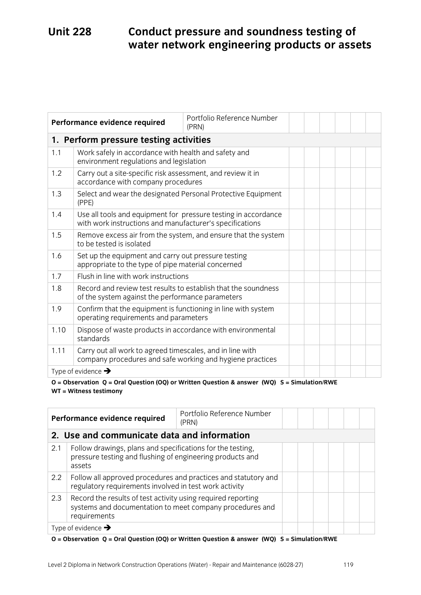### **Unit 228 Conduct pressure and soundness testing of water network engineering products or assets**

| Performance evidence required |                                                                                                                            | Portfolio Reference Number<br>(PRN) |  |  |  |  |  |  |
|-------------------------------|----------------------------------------------------------------------------------------------------------------------------|-------------------------------------|--|--|--|--|--|--|
|                               | 1. Perform pressure testing activities                                                                                     |                                     |  |  |  |  |  |  |
| 1.1                           | Work safely in accordance with health and safety and<br>environment regulations and legislation                            |                                     |  |  |  |  |  |  |
| 1.2                           | Carry out a site-specific risk assessment, and review it in<br>accordance with company procedures                          |                                     |  |  |  |  |  |  |
| 1.3                           | Select and wear the designated Personal Protective Equipment<br>(PPE)                                                      |                                     |  |  |  |  |  |  |
| 1.4                           | Use all tools and equipment for pressure testing in accordance<br>with work instructions and manufacturer's specifications |                                     |  |  |  |  |  |  |
| 1.5                           | Remove excess air from the system, and ensure that the system<br>to be tested is isolated                                  |                                     |  |  |  |  |  |  |
| 1.6                           | Set up the equipment and carry out pressure testing<br>appropriate to the type of pipe material concerned                  |                                     |  |  |  |  |  |  |
| 1.7                           | Flush in line with work instructions                                                                                       |                                     |  |  |  |  |  |  |
| 1.8                           | Record and review test results to establish that the soundness<br>of the system against the performance parameters         |                                     |  |  |  |  |  |  |
| 1.9                           | Confirm that the equipment is functioning in line with system<br>operating requirements and parameters                     |                                     |  |  |  |  |  |  |
| 1.10                          | Dispose of waste products in accordance with environmental<br>standards                                                    |                                     |  |  |  |  |  |  |
| 1.11                          | Carry out all work to agreed timescales, and in line with<br>company procedures and safe working and hygiene practices     |                                     |  |  |  |  |  |  |
|                               | Type of evidence $\rightarrow$                                                                                             |                                     |  |  |  |  |  |  |

**O = Observation Q = Oral Question (OQ) or Written Question & answer (WQ) S = Simulation/RWE WT = Witness testimony**

| Performance evidence required                                                                                                            |                                                                                                                                          | Portfolio Reference Number<br>(PRN) |  |  |  |
|------------------------------------------------------------------------------------------------------------------------------------------|------------------------------------------------------------------------------------------------------------------------------------------|-------------------------------------|--|--|--|
|                                                                                                                                          | 2. Use and communicate data and information                                                                                              |                                     |  |  |  |
| Follow drawings, plans and specifications for the testing,<br>2.1<br>pressure testing and flushing of engineering products and<br>assets |                                                                                                                                          |                                     |  |  |  |
| $2.2\phantom{0}$                                                                                                                         | Follow all approved procedures and practices and statutory and<br>regulatory requirements involved in test work activity                 |                                     |  |  |  |
| 2.3                                                                                                                                      | Record the results of test activity using required reporting<br>systems and documentation to meet company procedures and<br>requirements |                                     |  |  |  |
|                                                                                                                                          | Type of evidence $\rightarrow$                                                                                                           |                                     |  |  |  |

#### **O = Observation Q = Oral Question (OQ) or Written Question & answer (WQ) S = Simulation/RWE**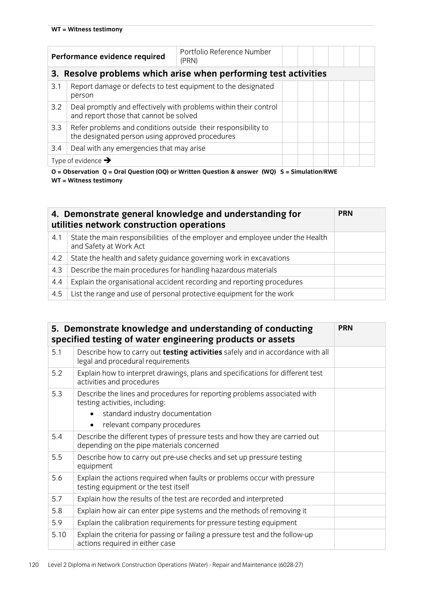| Performance evidence required |                                                                                                                  | Portfolio Reference Number<br>(PRN) |  |  |  |  |  |
|-------------------------------|------------------------------------------------------------------------------------------------------------------|-------------------------------------|--|--|--|--|--|
|                               | 3. Resolve problems which arise when performing test activities                                                  |                                     |  |  |  |  |  |
| 3.1                           | Report damage or defects to test equipment to the designated<br>person                                           |                                     |  |  |  |  |  |
| 3.2                           | Deal promptly and effectively with problems within their control<br>and report those that cannot be solved       |                                     |  |  |  |  |  |
| 3.3                           | Refer problems and conditions outside their responsibility to<br>the designated person using approved procedures |                                     |  |  |  |  |  |
| 3.4                           | Deal with any emergencies that may arise                                                                         |                                     |  |  |  |  |  |
|                               | Type of evidence $\rightarrow$                                                                                   |                                     |  |  |  |  |  |

| 4. Demonstrate general knowledge and understanding for<br>utilities network construction operations | <b>PRN</b>                                                                                              |  |  |
|-----------------------------------------------------------------------------------------------------|---------------------------------------------------------------------------------------------------------|--|--|
| 4.1                                                                                                 | State the main responsibilities of the employer and employee under the Health<br>and Safety at Work Act |  |  |
| 4.2                                                                                                 | State the health and safety guidance governing work in excavations                                      |  |  |
| 4.3                                                                                                 | Describe the main procedures for handling hazardous materials                                           |  |  |
| 4.4                                                                                                 | Explain the organisational accident recording and reporting procedures                                  |  |  |
| 4.5                                                                                                 | List the range and use of personal protective equipment for the work                                    |  |  |

|      | 5. Demonstrate knowledge and understanding of conducting<br>specified testing of water engineering products or assets    | <b>PRN</b> |
|------|--------------------------------------------------------------------------------------------------------------------------|------------|
| 5.1  | Describe how to carry out testing activities safely and in accordance with all<br>legal and procedural requirements      |            |
| 5.2  | Explain how to interpret drawings, plans and specifications for different test<br>activities and procedures              |            |
| 5.3  | Describe the lines and procedures for reporting problems associated with<br>testing activities, including:               |            |
|      | standard industry documentation                                                                                          |            |
|      | relevant company procedures<br>$\bullet$                                                                                 |            |
| 5.4  | Describe the different types of pressure tests and how they are carried out<br>depending on the pipe materials concerned |            |
| 5.5  | Describe how to carry out pre-use checks and set up pressure testing<br>equipment                                        |            |
| 5.6  | Explain the actions required when faults or problems occur with pressure<br>testing equipment or the test itself         |            |
| 5.7  | Explain how the results of the test are recorded and interpreted                                                         |            |
| 5.8  | Explain how air can enter pipe systems and the methods of removing it                                                    |            |
| 5.9  | Explain the calibration requirements for pressure testing equipment                                                      |            |
| 5.10 | Explain the criteria for passing or failing a pressure test and the follow-up<br>actions required in either case         |            |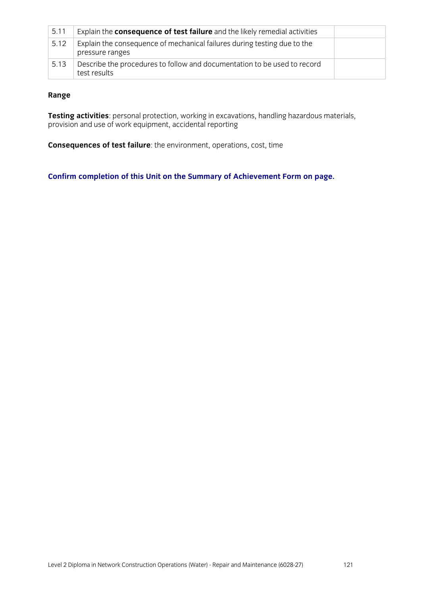| 5.11 | Explain the <b>consequence of test failure</b> and the likely remedial activities           |  |
|------|---------------------------------------------------------------------------------------------|--|
| 5.12 | Explain the consequence of mechanical failures during testing due to the<br>pressure ranges |  |
| 5.13 | Describe the procedures to follow and documentation to be used to record<br>test results    |  |

#### **Range**

**Testing activities**: personal protection, working in excavations, handling hazardous materials, provision and use of work equipment, accidental reporting

**Consequences of test failure**: the environment, operations, cost, time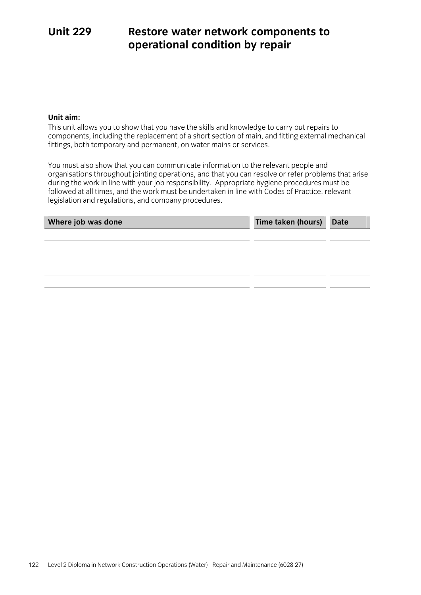### **Unit 229 Restore water network components to operational condition by repair**

#### **Unit aim:**

This unit allows you to show that you have the skills and knowledge to carry out repairs to components, including the replacement of a short section of main, and fitting external mechanical fittings, both temporary and permanent, on water mains or services.

You must also show that you can communicate information to the relevant people and organisations throughout jointing operations, and that you can resolve or refer problems that arise during the work in line with your job responsibility. Appropriate hygiene procedures must be followed at all times, and the work must be undertaken in line with Codes of Practice, relevant legislation and regulations, and company procedures.

| Where job was done | Time taken (hours) Date |  |
|--------------------|-------------------------|--|
|                    |                         |  |
|                    |                         |  |
|                    |                         |  |
|                    |                         |  |
|                    |                         |  |
|                    |                         |  |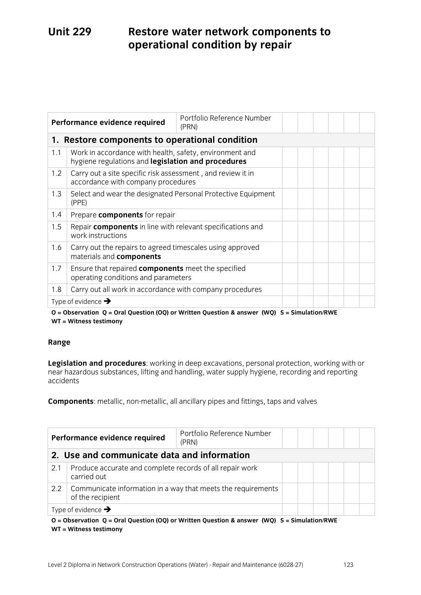### **Unit 229 Restore water network components to operational condition by repair**

|                                                | Performance evidence required                                                                                 | Portfolio Reference Number<br>(PRN) |  |  |  |  |  |  |
|------------------------------------------------|---------------------------------------------------------------------------------------------------------------|-------------------------------------|--|--|--|--|--|--|
| 1. Restore components to operational condition |                                                                                                               |                                     |  |  |  |  |  |  |
| 1.1                                            | Work in accordance with health, safety, environment and<br>hygiene regulations and legislation and procedures |                                     |  |  |  |  |  |  |
| 1.2                                            | Carry out a site specific risk assessment, and review it in<br>accordance with company procedures             |                                     |  |  |  |  |  |  |
| 1.3                                            | Select and wear the designated Personal Protective Equipment<br>(PPE)                                         |                                     |  |  |  |  |  |  |
| 1.4                                            | Prepare components for repair                                                                                 |                                     |  |  |  |  |  |  |
| 1.5                                            | Repair components in line with relevant specifications and<br>work instructions                               |                                     |  |  |  |  |  |  |
| 1.6                                            | Carry out the repairs to agreed timescales using approved<br>materials and components                         |                                     |  |  |  |  |  |  |
| 1.7                                            | Ensure that repaired components meet the specified<br>operating conditions and parameters                     |                                     |  |  |  |  |  |  |
| 1.8                                            | Carry out all work in accordance with company procedures                                                      |                                     |  |  |  |  |  |  |
|                                                | Type of evidence $\rightarrow$                                                                                |                                     |  |  |  |  |  |  |
|                                                |                                                                                                               |                                     |  |  |  |  |  |  |

**O = Observation Q = Oral Question (OQ) or Written Question & answer (WQ) S = Simulation/RWE WT = Witness testimony**

#### **Range**

**Legislation and procedures**: working in deep excavations, personal protection, working with or near hazardous substances, lifting and handling, water supply hygiene, recording and reporting accidents

**Components**: metallic, non-metallic, all ancillary pipes and fittings, taps and valves

| Performance evidence required |                                                                                  | Portfolio Reference Number<br>(PRN) |  |  |  |  |  |  |
|-------------------------------|----------------------------------------------------------------------------------|-------------------------------------|--|--|--|--|--|--|
|                               | 2. Use and communicate data and information                                      |                                     |  |  |  |  |  |  |
| 2.1                           | Produce accurate and complete records of all repair work<br>carried out          |                                     |  |  |  |  |  |  |
| 2.2                           | Communicate information in a way that meets the requirements<br>of the recipient |                                     |  |  |  |  |  |  |
|                               | Type of evidence $\rightarrow$                                                   |                                     |  |  |  |  |  |  |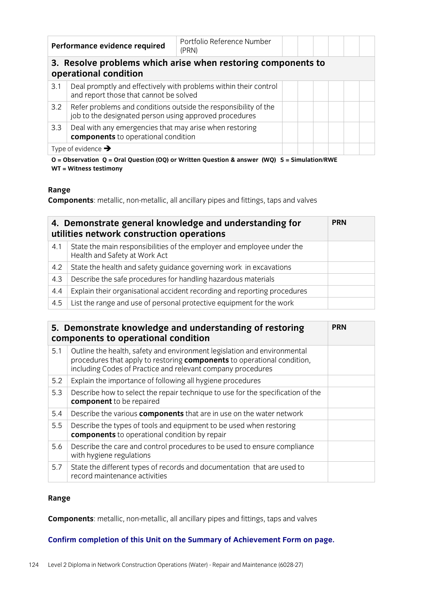| Performance evidence required                                                         |                                                                                                                           | Portfolio Reference Number<br>(PRN) |  |  |  |  |  |  |
|---------------------------------------------------------------------------------------|---------------------------------------------------------------------------------------------------------------------------|-------------------------------------|--|--|--|--|--|--|
| 3. Resolve problems which arise when restoring components to<br>operational condition |                                                                                                                           |                                     |  |  |  |  |  |  |
| 3.1                                                                                   | Deal promptly and effectively with problems within their control<br>and report those that cannot be solved                |                                     |  |  |  |  |  |  |
| 3.2                                                                                   | Refer problems and conditions outside the responsibility of the<br>job to the designated person using approved procedures |                                     |  |  |  |  |  |  |
| 3.3                                                                                   | Deal with any emergencies that may arise when restoring<br>components to operational condition                            |                                     |  |  |  |  |  |  |
|                                                                                       | Type of evidence $\rightarrow$                                                                                            |                                     |  |  |  |  |  |  |

**O = Observation Q = Oral Question (OQ) or Written Question & answer (WQ) S = Simulation/RWE WT = Witness testimony**

#### **Range**

**Components**: metallic, non-metallic, all ancillary pipes and fittings, taps and valves

| 4. Demonstrate general knowledge and understanding for<br>utilities network construction operations |                                                                                                         | <b>PRN</b> |
|-----------------------------------------------------------------------------------------------------|---------------------------------------------------------------------------------------------------------|------------|
| 4.1                                                                                                 | State the main responsibilities of the employer and employee under the<br>Health and Safety at Work Act |            |
| 4.2                                                                                                 | State the health and safety guidance governing work in excavations                                      |            |
| 4.3                                                                                                 | Describe the safe procedures for handling hazardous materials                                           |            |
| 4.4                                                                                                 | Explain their organisational accident recording and reporting procedures                                |            |
| 4.5                                                                                                 | List the range and use of personal protective equipment for the work                                    |            |

| 5. Demonstrate knowledge and understanding of restoring<br>components to operational condition |                                                                                                                                                                                                                    |  |
|------------------------------------------------------------------------------------------------|--------------------------------------------------------------------------------------------------------------------------------------------------------------------------------------------------------------------|--|
| 5.1                                                                                            | Outline the health, safety and environment legislation and environmental<br>procedures that apply to restoring components to operational condition,<br>including Codes of Practice and relevant company procedures |  |
| 5.2                                                                                            | Explain the importance of following all hygiene procedures                                                                                                                                                         |  |
| 5.3                                                                                            | Describe how to select the repair technique to use for the specification of the<br>component to be repaired                                                                                                        |  |
| 5.4                                                                                            | Describe the various components that are in use on the water network                                                                                                                                               |  |
| 5.5                                                                                            | Describe the types of tools and equipment to be used when restoring<br>components to operational condition by repair                                                                                               |  |
| 5.6                                                                                            | Describe the care and control procedures to be used to ensure compliance<br>with hygiene regulations                                                                                                               |  |
| 5.7                                                                                            | State the different types of records and documentation that are used to<br>record maintenance activities                                                                                                           |  |

#### **Range**

**Components**: metallic, non-metallic, all ancillary pipes and fittings, taps and valves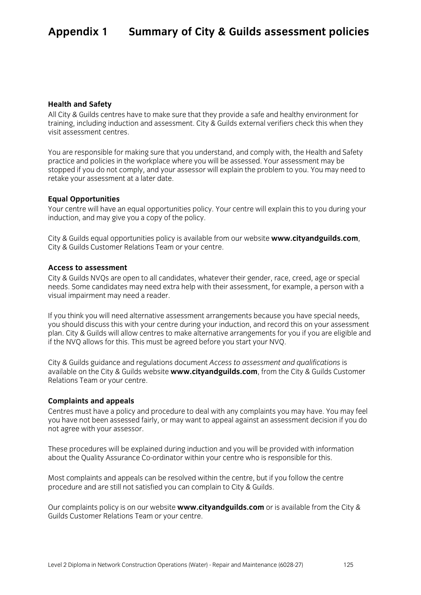#### **Health and Safety**

All City & Guilds centres have to make sure that they provide a safe and healthy environment for training, including induction and assessment. City & Guilds external verifiers check this when they visit assessment centres.

You are responsible for making sure that you understand, and comply with, the Health and Safety practice and policies in the workplace where you will be assessed. Your assessment may be stopped if you do not comply, and your assessor will explain the problem to you. You may need to retake your assessment at a later date.

#### **Equal Opportunities**

Your centre will have an equal opportunities policy. Your centre will explain this to you during your induction, and may give you a copy of the policy.

City & Guilds equal opportunities policy is available from our website **[www.cityandguilds.com](http://www.cityandguilds.com/)**, City & Guilds Customer Relations Team or your centre.

#### **Access to assessment**

City & Guilds NVQs are open to all candidates, whatever their gender, race, creed, age or special needs. Some candidates may need extra help with their assessment, for example, a person with a visual impairment may need a reader.

If you think you will need alternative assessment arrangements because you have special needs, you should discuss this with your centre during your induction, and record this on your assessment plan. City & Guilds will allow centres to make alternative arrangements for you if you are eligible and if the NVQ allows for this. This must be agreed before you start your NVQ.

City & Guilds guidance and regulations document *Access to assessment and qualifications* is available on the City & Guilds website **[www.cityandguilds.com](http://www.cityandguilds.com/)**, from the City & Guilds Customer Relations Team or your centre.

#### **Complaints and appeals**

Centres must have a policy and procedure to deal with any complaints you may have. You may feel you have not been assessed fairly, or may want to appeal against an assessment decision if you do not agree with your assessor.

These procedures will be explained during induction and you will be provided with information about the Quality Assurance Co-ordinator within your centre who is responsible for this.

Most complaints and appeals can be resolved within the centre, but if you follow the centre procedure and are still not satisfied you can complain to City & Guilds.

Our complaints policy is on our website **[www.cityandguilds.com](http://www.cityandguilds.com/)** or is available from the City & Guilds Customer Relations Team or your centre.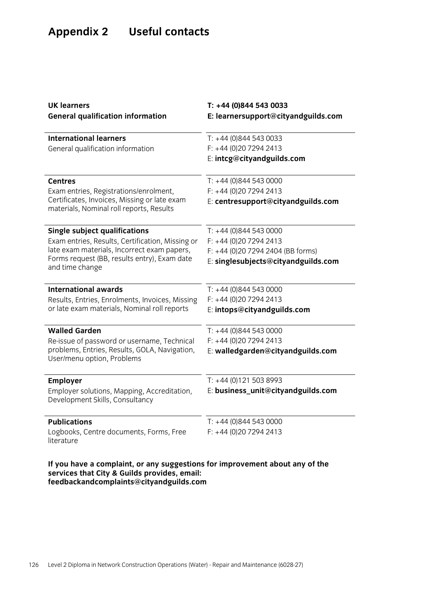# **Appendix 2 Useful contacts**

| <b>UK learners</b><br><b>General qualification information</b>                              | T: +44 (0)844 543 0033<br>E: learnersupport@cityandguilds.com |
|---------------------------------------------------------------------------------------------|---------------------------------------------------------------|
| <b>International learners</b>                                                               | $T: +44(0)8445430033$                                         |
| General qualification information                                                           | $F: +44(0)2072942413$<br>E: intcg@cityandguilds.com           |
|                                                                                             |                                                               |
| <b>Centres</b>                                                                              | $T: +44(0)8445430000$                                         |
| Exam entries, Registrations/enrolment,                                                      | F: +44 (0)20 7294 2413                                        |
| Certificates, Invoices, Missing or late exam<br>materials, Nominal roll reports, Results    | E: centresupport@cityandguilds.com                            |
| <b>Single subject qualifications</b>                                                        | $T: +44(0)8445430000$                                         |
| Exam entries, Results, Certification, Missing or                                            | $F: +44(0)2072942413$                                         |
| late exam materials, Incorrect exam papers,<br>Forms request (BB, results entry), Exam date | F: +44 (0) 20 7294 2404 (BB forms)                            |
| and time change                                                                             | E: singlesubjects@cityandguilds.com                           |
| <b>International awards</b>                                                                 | $T: +44(0)8445430000$                                         |
| Results, Entries, Enrolments, Invoices, Missing                                             | $F: +44(0)2072942413$                                         |
| or late exam materials, Nominal roll reports                                                | E: intops@cityandguilds.com                                   |
| <b>Walled Garden</b>                                                                        | $T: +44(0)8445430000$                                         |
| Re-issue of password or username, Technical                                                 | $F: +44(0)2072942413$                                         |
| problems, Entries, Results, GOLA, Navigation,<br>User/menu option, Problems                 | E: walledgarden@cityandguilds.com                             |
| <b>Employer</b>                                                                             | $T: +44(0)1215038993$                                         |
| Employer solutions, Mapping, Accreditation,<br>Development Skills, Consultancy              | E: business_unit@cityandguilds.com                            |
| <b>Publications</b>                                                                         | $T: +44(0)8445430000$                                         |
| Logbooks, Centre documents, Forms, Free<br>literature                                       | $F: +44(0)2072942413$                                         |
|                                                                                             |                                                               |

**If you have a complaint, or any suggestions for improvement about any of the services that City & Guilds provides, email: feedbackandcomplaints@cityandguilds.com**